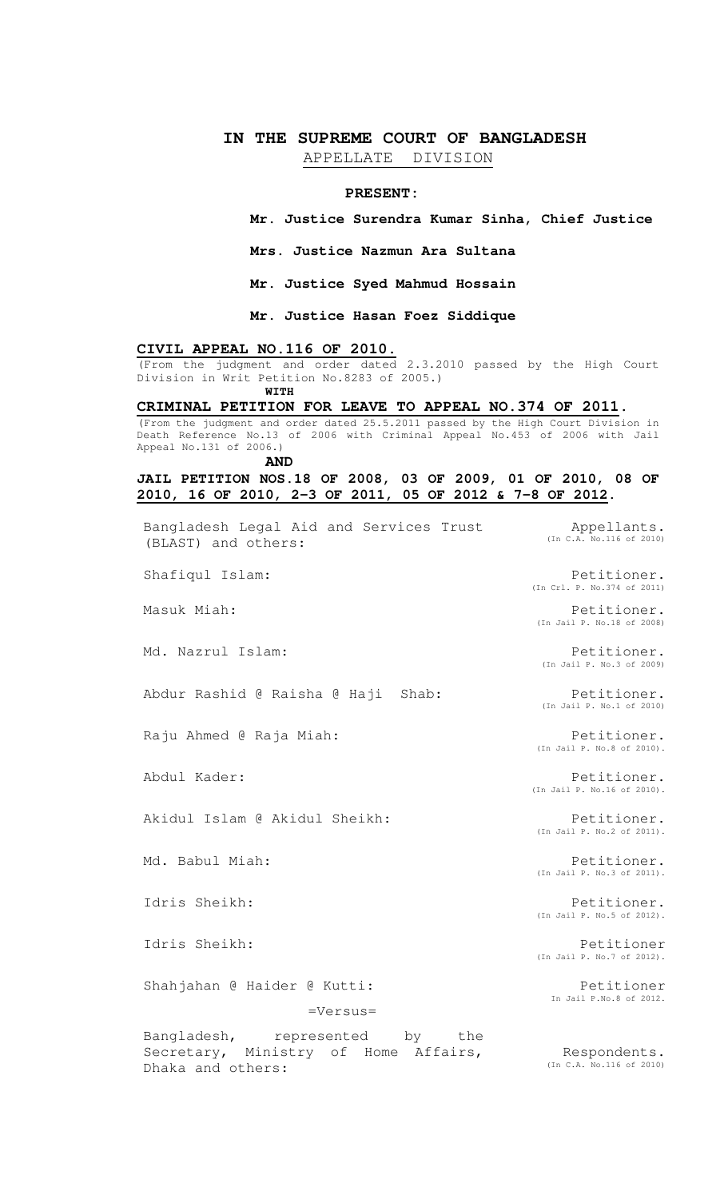# **IN THE SUPREME COURT OF BANGLADESH**

APPELLATE DIVISION

#### **PRESENT:**

**Mr. Justice Surendra Kumar Sinha, Chief Justice**

**Mrs. Justice Nazmun Ara Sultana**

**Mr. Justice Syed Mahmud Hossain**

**Mr. Justice Hasan Foez Siddique**

# **CIVIL APPEAL NO.116 OF 2010.**

(From the judgment and order dated 2.3.2010 passed by the High Court Division in Writ Petition No.8283 of 2005.) **WITH** 

# **CRIMINAL PETITION FOR LEAVE TO APPEAL NO.374 OF 2011.**

(From the judgment and order dated 25.5.2011 passed by the High Court Division in Death Reference No.13 of 2006 with Criminal Appeal No.453 of 2006 with Jail Appeal No.131 of 2006.)

**AND** 

#### **JAIL PETITION NOS.18 OF 2008, 03 OF 2009, 01 OF 2010, 08 OF 2010, 16 OF 2010, 2-3 OF 2011, 05 OF 2012 & 7-8 OF 2012.**

| Bangladesh Legal Aid and Services Trust<br>(BLAST) and others:                              | Appellants.<br>(In C.A. No.116 of 2010)    |
|---------------------------------------------------------------------------------------------|--------------------------------------------|
| Shafiqul Islam:                                                                             | Petitioner.<br>(In Crl. P. No.374 of 2011) |
| Masuk Miah:                                                                                 | Petitioner.<br>(In Jail P. No.18 of 2008)  |
| Md. Nazrul Islam:                                                                           | Petitioner.<br>(In Jail P. No.3 of 2009)   |
| Abdur Rashid @ Raisha @ Haji Shab:                                                          | Petitioner.<br>(In Jail P. No.1 of 2010)   |
| Raju Ahmed @ Raja Miah:                                                                     | Petitioner.<br>(In Jail P. No.8 of 2010).  |
| Abdul Kader:                                                                                | Petitioner.<br>(In Jail P. No.16 of 2010). |
| Akidul Islam @ Akidul Sheikh:                                                               | Petitioner.<br>(In Jail P. No.2 of 2011).  |
| Md. Babul Miah:                                                                             | Petitioner.<br>(In Jail P. No.3 of 2011).  |
| Idris Sheikh:                                                                               | Petitioner.<br>(In Jail P. No.5 of 2012).  |
| Idris Sheikh:                                                                               | Petitioner<br>(In Jail P. No.7 of 2012).   |
| Shahjahan @ Haider @ Kutti:                                                                 | Petitioner<br>In Jail P.No.8 of 2012.      |
| $=$ Versus $=$                                                                              |                                            |
| Bangladesh, represented by the<br>Secretary, Ministry of Home Affairs,<br>Dhaka and others: | Respondents.<br>(In C.A. No.116 of 2010)   |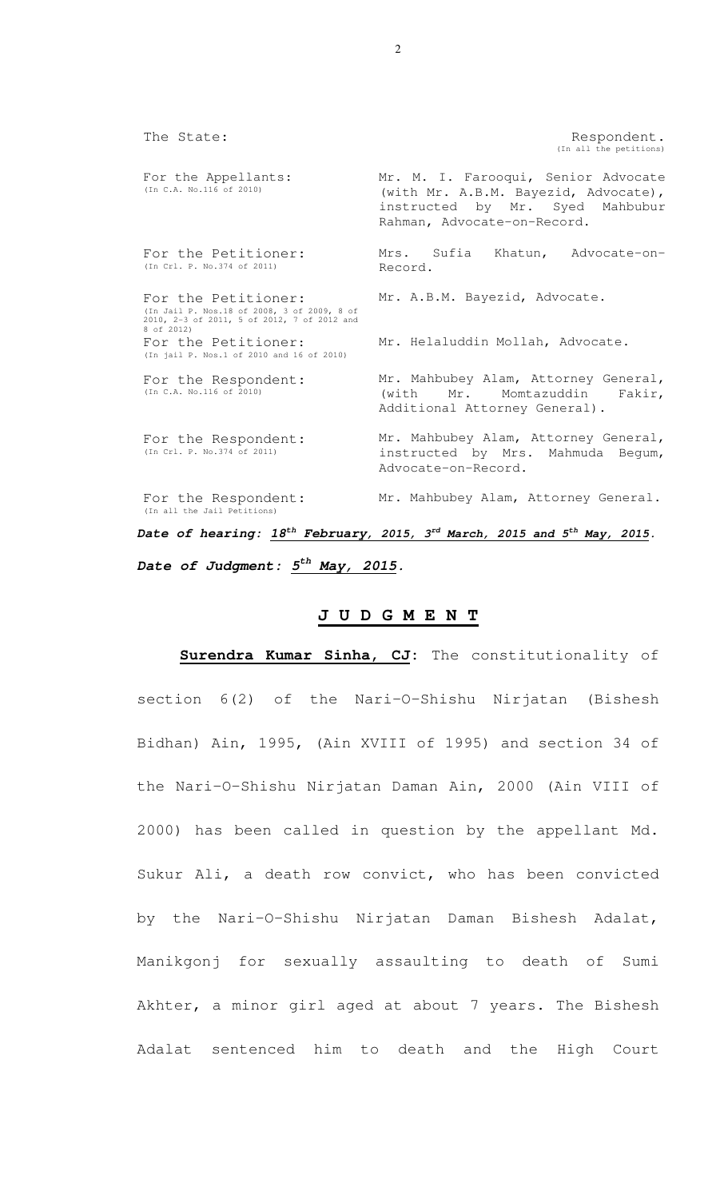The State: The State:  $\blacksquare$ (In all the petitions) For the Appellants: (In C.A. No.116 of 2010) Mr. M. I. Farooqui, Senior Advocate (with Mr. A.B.M. Bayezid, Advocate), instructed by Mr. Syed Mahbubur Rahman, Advocate-on-Record. For the Petitioner: (In Crl. P. No.374 of 2011) Mrs. Sufia Khatun, Advocate-on-Record. For the Petitioner: (In Jail P. Nos.18 of 2008, 3 of 2009, 8 of 2010, 2-3 of 2011, 5 of 2012, 7 of 2012 and 8 of 2012) Mr. A.B.M. Bayezid, Advocate. For the Petitioner: (In jail P. Nos.1 of 2010 and 16 of 2010) Mr. Helaluddin Mollah, Advocate. For the Respondent: (In C.A. No.116 of 2010) Mr. Mahbubey Alam, Attorney General, (with Mr. Momtazuddin Fakir, Additional Attorney General). For the Respondent: (In Crl. P. No.374 of 2011) Mr. Mahbubey Alam, Attorney General, instructed by Mrs. Mahmuda Begum, Advocate-on-Record. For the Respondent: (In all the Jail Petitions) Mr. Mahbubey Alam, Attorney General.

*Date of hearing: 18th February, 2015, 3rd March, 2015 and 5th May, 2015. Date of Judgment: 5th May, 2015.* 

# **J U D G M E N T**

**Surendra Kumar Sinha, CJ:** The constitutionality of section 6(2) of the Nari-O-Shishu Nirjatan (Bishesh Bidhan) Ain, 1995, (Ain XVIII of 1995) and section 34 of the Nari-O-Shishu Nirjatan Daman Ain, 2000 (Ain VIII of 2000) has been called in question by the appellant Md. Sukur Ali, a death row convict, who has been convicted by the Nari-O-Shishu Nirjatan Daman Bishesh Adalat, Manikgonj for sexually assaulting to death of Sumi Akhter, a minor girl aged at about 7 years. The Bishesh Adalat sentenced him to death and the High Court

 $\mathfrak{D}$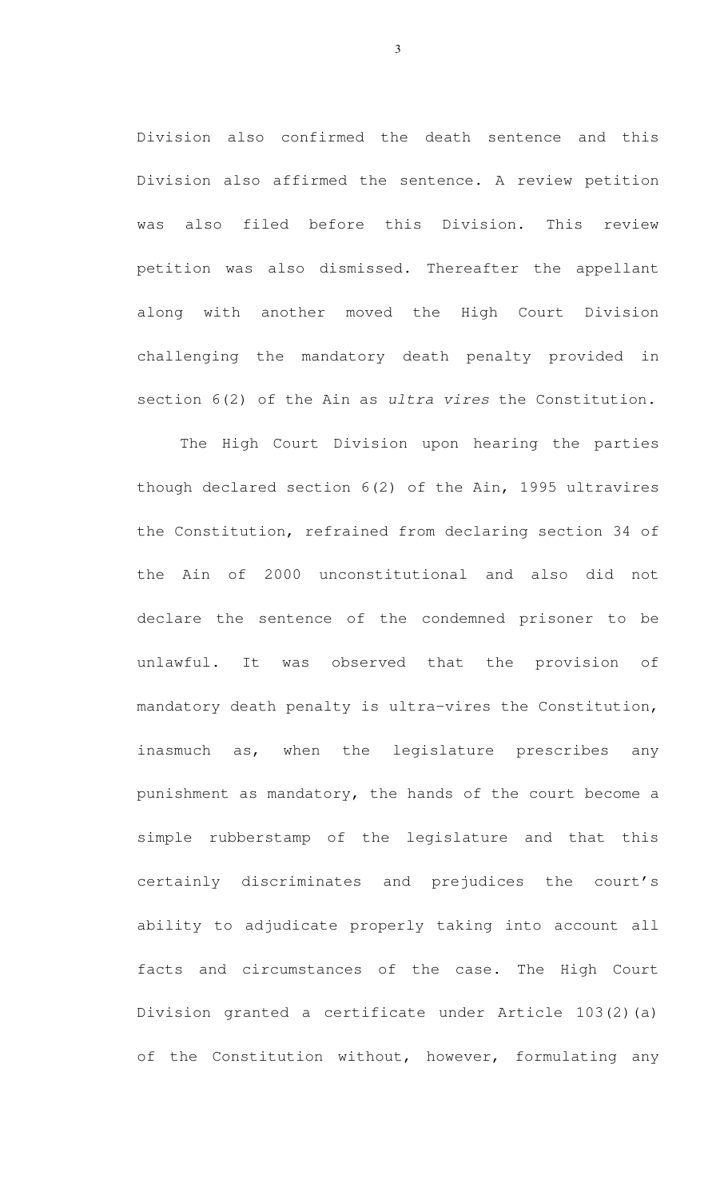Division also confirmed the death sentence and this Division also affirmed the sentence. A review petition was also filed before this Division. This review petition was also dismissed. Thereafter the appellant along with another moved the High Court Division challenging the mandatory death penalty provided in section 6(2) of the Ain as ultra vires the Constitution.

 The High Court Division upon hearing the parties though declared section 6(2) of the Ain, 1995 ultravires the Constitution, refrained from declaring section 34 of the Ain of 2000 unconstitutional and also did not declare the sentence of the condemned prisoner to be unlawful. It was observed that the provision of mandatory death penalty is ultra-vires the Constitution, inasmuch as, when the legislature prescribes any punishment as mandatory, the hands of the court become a simple rubberstamp of the legislature and that this certainly discriminates and prejudices the court's ability to adjudicate properly taking into account all facts and circumstances of the case. The High Court Division granted a certificate under Article 103(2)(a) of the Constitution without, however, formulating any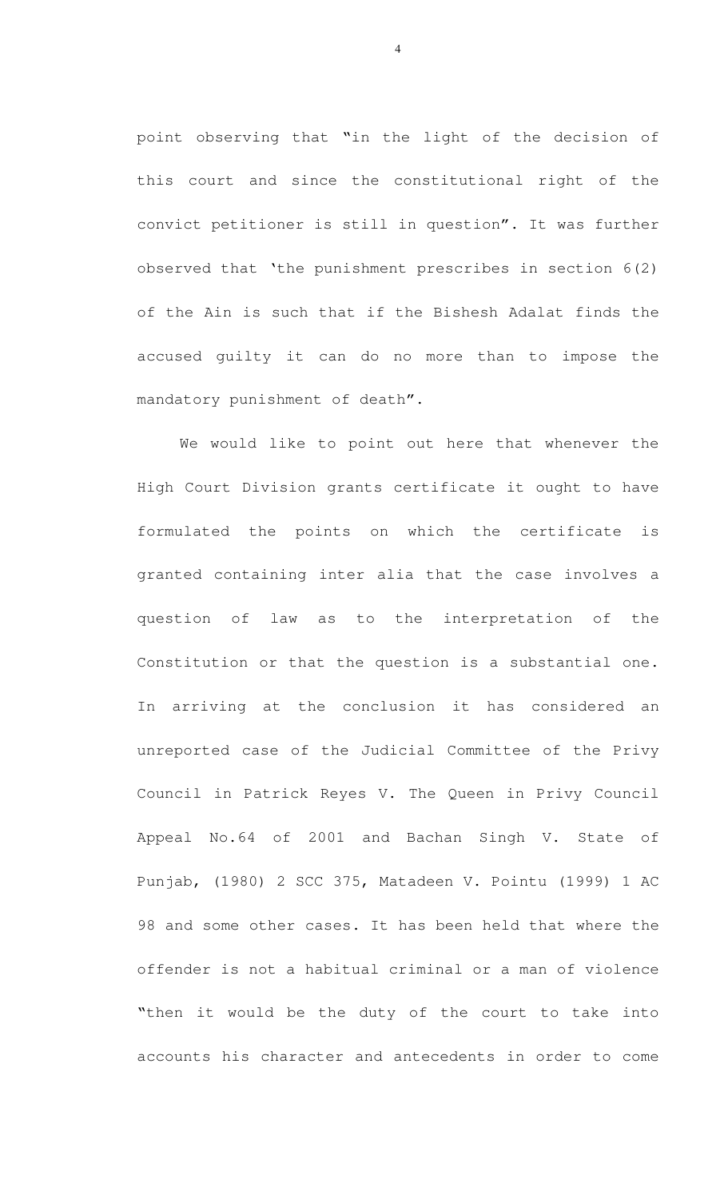point observing that "in the light of the decision of this court and since the constitutional right of the convict petitioner is still in question". It was further observed that 'the punishment prescribes in section 6(2) of the Ain is such that if the Bishesh Adalat finds the accused guilty it can do no more than to impose the mandatory punishment of death".

We would like to point out here that whenever the High Court Division grants certificate it ought to have formulated the points on which the certificate is granted containing inter alia that the case involves a question of law as to the interpretation of the Constitution or that the question is a substantial one. In arriving at the conclusion it has considered an unreported case of the Judicial Committee of the Privy Council in Patrick Reyes V. The Queen in Privy Council Appeal No.64 of 2001 and Bachan Singh V. State of Punjab, (1980) 2 SCC 375, Matadeen V. Pointu (1999) 1 AC 98 and some other cases. It has been held that where the offender is not a habitual criminal or a man of violence "then it would be the duty of the court to take into accounts his character and antecedents in order to come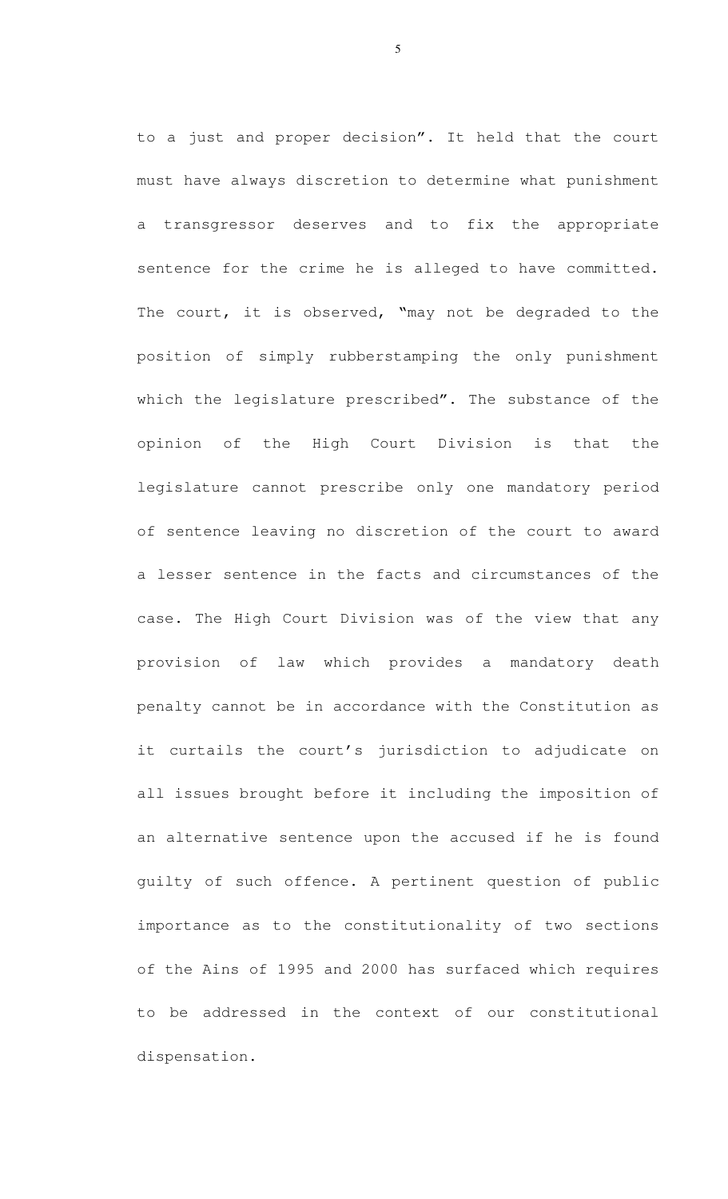to a just and proper decision". It held that the court must have always discretion to determine what punishment a transgressor deserves and to fix the appropriate sentence for the crime he is alleged to have committed. The court, it is observed, "may not be degraded to the position of simply rubberstamping the only punishment which the legislature prescribed". The substance of the opinion of the High Court Division is that the legislature cannot prescribe only one mandatory period of sentence leaving no discretion of the court to award a lesser sentence in the facts and circumstances of the case. The High Court Division was of the view that any provision of law which provides a mandatory death penalty cannot be in accordance with the Constitution as it curtails the court's jurisdiction to adjudicate on all issues brought before it including the imposition of an alternative sentence upon the accused if he is found guilty of such offence. A pertinent question of public importance as to the constitutionality of two sections of the Ains of 1995 and 2000 has surfaced which requires to be addressed in the context of our constitutional dispensation.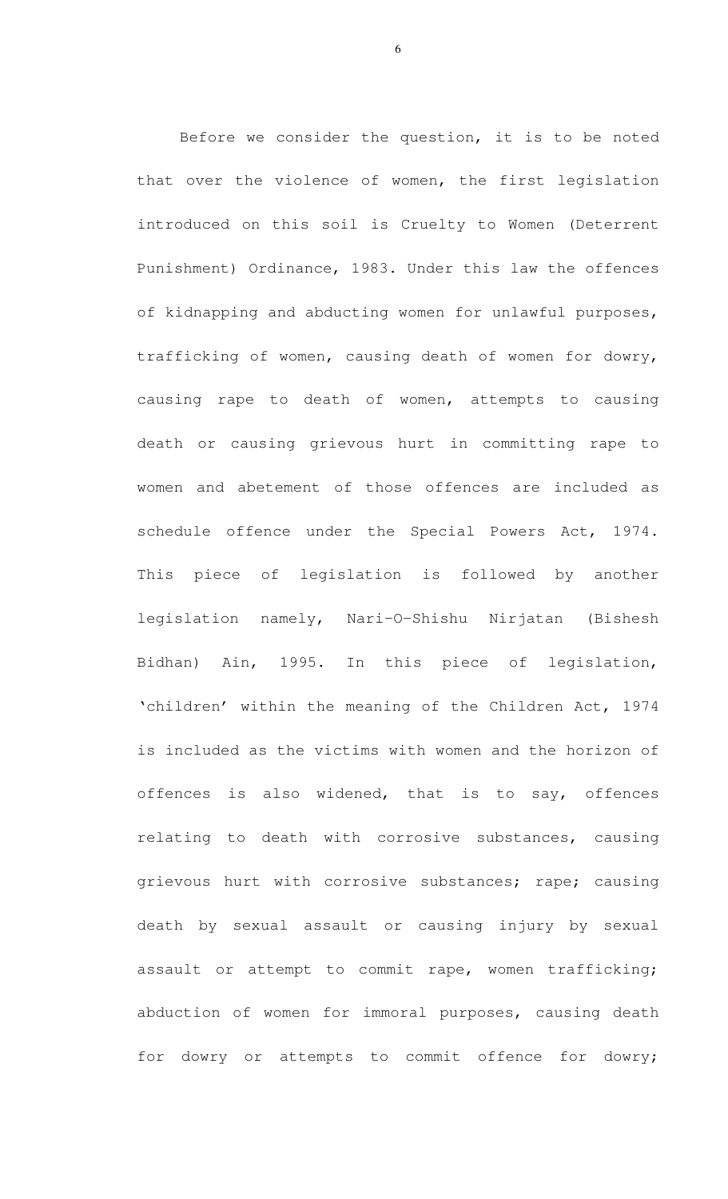Before we consider the question, it is to be noted that over the violence of women, the first legislation introduced on this soil is Cruelty to Women (Deterrent Punishment) Ordinance, 1983. Under this law the offences of kidnapping and abducting women for unlawful purposes, trafficking of women, causing death of women for dowry, causing rape to death of women, attempts to causing death or causing grievous hurt in committing rape to women and abetement of those offences are included as schedule offence under the Special Powers Act, 1974. This piece of legislation is followed by another legislation namely, Nari-O-Shishu Nirjatan (Bishesh Bidhan) Ain, 1995. In this piece of legislation, 'children' within the meaning of the Children Act, 1974 is included as the victims with women and the horizon of offences is also widened, that is to say, offences relating to death with corrosive substances, causing grievous hurt with corrosive substances; rape; causing death by sexual assault or causing injury by sexual assault or attempt to commit rape, women trafficking; abduction of women for immoral purposes, causing death for dowry or attempts to commit offence for dowry;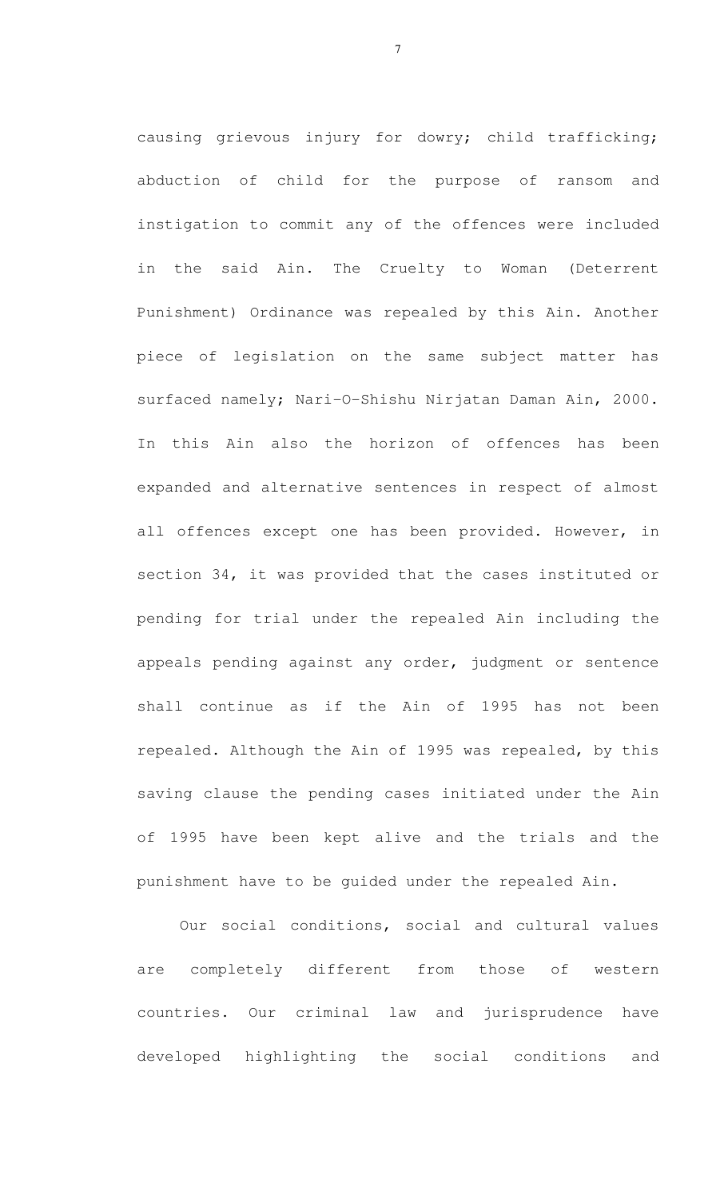causing grievous injury for dowry; child trafficking; abduction of child for the purpose of ransom and instigation to commit any of the offences were included in the said Ain. The Cruelty to Woman (Deterrent Punishment) Ordinance was repealed by this Ain. Another piece of legislation on the same subject matter has surfaced namely; Nari-O-Shishu Nirjatan Daman Ain, 2000. In this Ain also the horizon of offences has been expanded and alternative sentences in respect of almost all offences except one has been provided. However, in section 34, it was provided that the cases instituted or pending for trial under the repealed Ain including the appeals pending against any order, judgment or sentence shall continue as if the Ain of 1995 has not been repealed. Although the Ain of 1995 was repealed, by this saving clause the pending cases initiated under the Ain of 1995 have been kept alive and the trials and the punishment have to be guided under the repealed Ain.

Our social conditions, social and cultural values are completely different from those of western countries. Our criminal law and jurisprudence have developed highlighting the social conditions and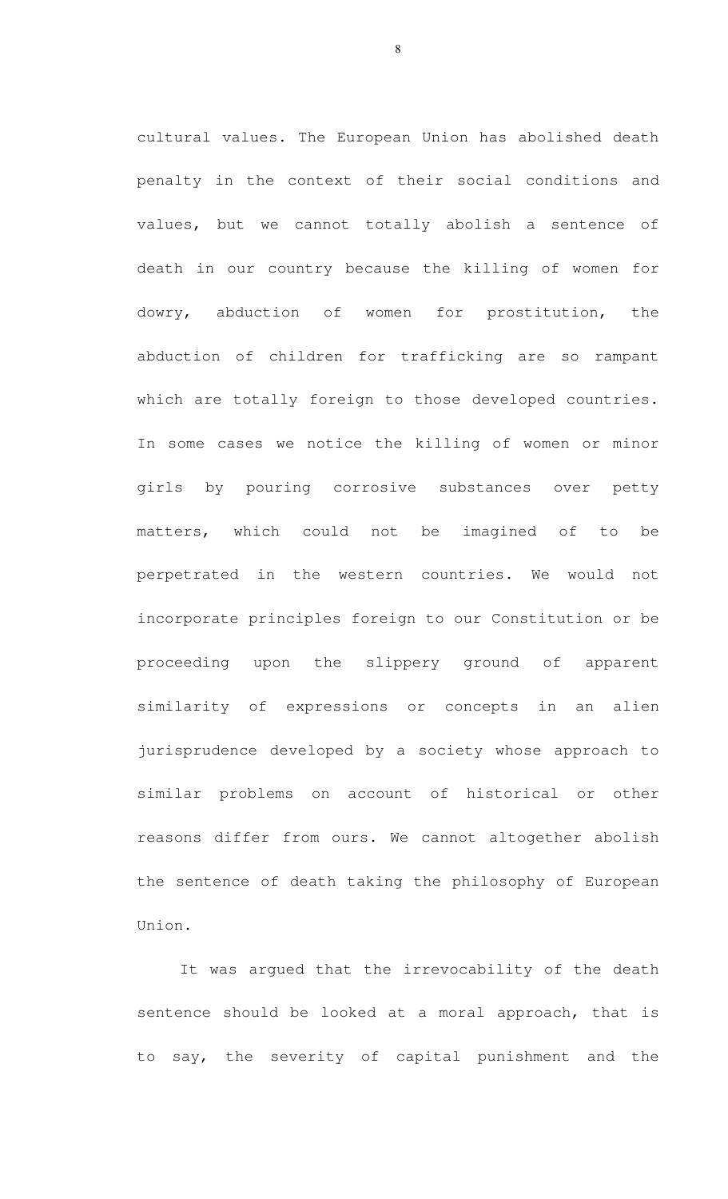cultural values. The European Union has abolished death penalty in the context of their social conditions and values, but we cannot totally abolish a sentence of death in our country because the killing of women for dowry, abduction of women for prostitution, the abduction of children for trafficking are so rampant which are totally foreign to those developed countries. In some cases we notice the killing of women or minor girls by pouring corrosive substances over petty matters, which could not be imagined of to be perpetrated in the western countries. We would not incorporate principles foreign to our Constitution or be proceeding upon the slippery ground of apparent similarity of expressions or concepts in an alien jurisprudence developed by a society whose approach to similar problems on account of historical or other reasons differ from ours. We cannot altogether abolish the sentence of death taking the philosophy of European Union.

It was argued that the irrevocability of the death sentence should be looked at a moral approach, that is to say, the severity of capital punishment and the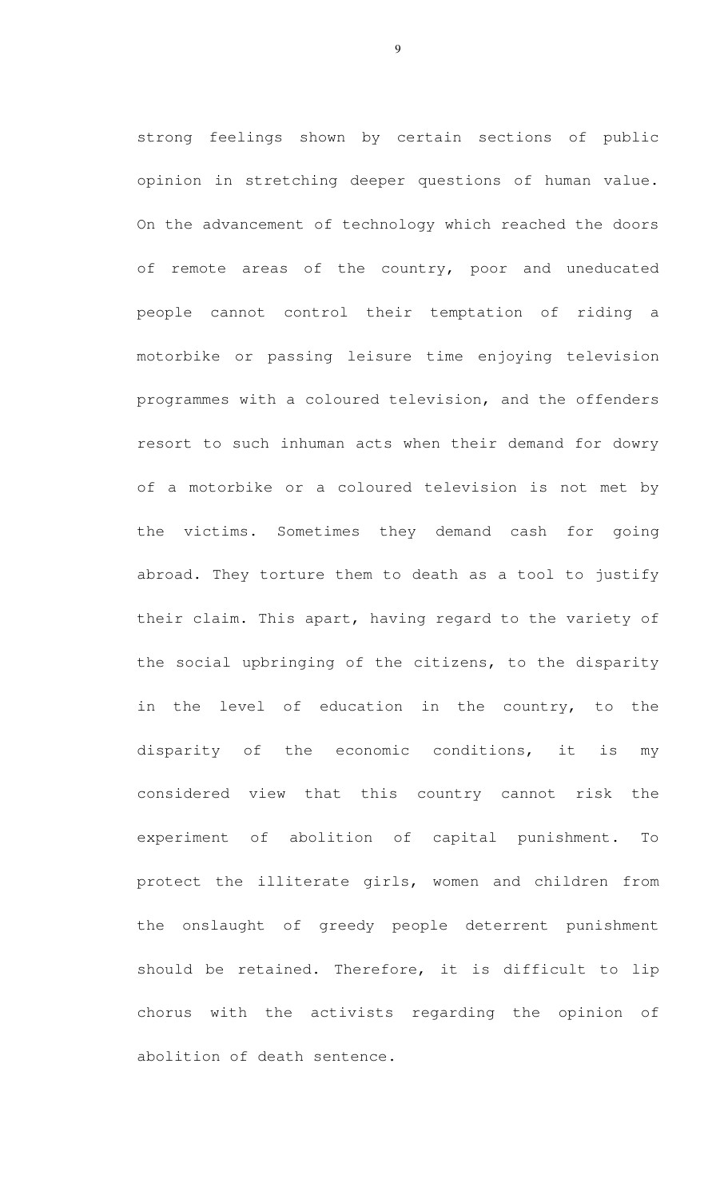strong feelings shown by certain sections of public opinion in stretching deeper questions of human value. On the advancement of technology which reached the doors of remote areas of the country, poor and uneducated people cannot control their temptation of riding a motorbike or passing leisure time enjoying television programmes with a coloured television, and the offenders resort to such inhuman acts when their demand for dowry of a motorbike or a coloured television is not met by the victims. Sometimes they demand cash for going abroad. They torture them to death as a tool to justify their claim. This apart, having regard to the variety of the social upbringing of the citizens, to the disparity in the level of education in the country, to the disparity of the economic conditions, it is my considered view that this country cannot risk the experiment of abolition of capital punishment. To protect the illiterate girls, women and children from the onslaught of greedy people deterrent punishment should be retained. Therefore, it is difficult to lip chorus with the activists regarding the opinion of abolition of death sentence.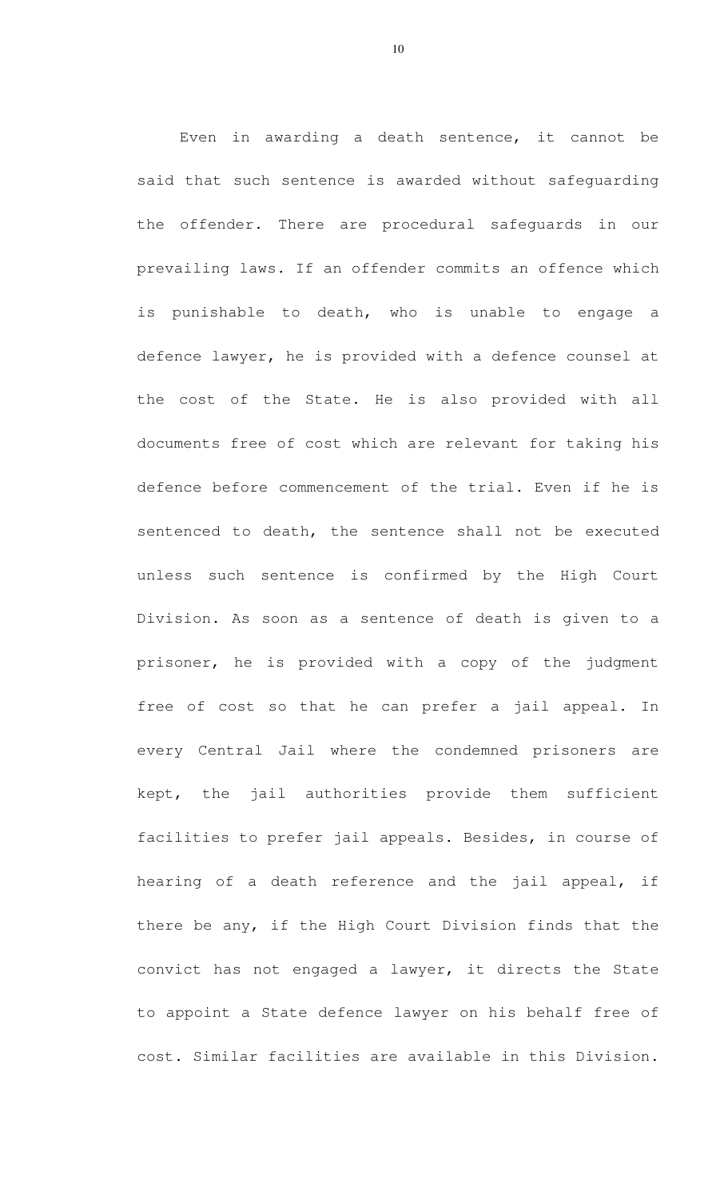Even in awarding a death sentence, it cannot be said that such sentence is awarded without safeguarding the offender. There are procedural safeguards in our prevailing laws. If an offender commits an offence which is punishable to death, who is unable to engage a defence lawyer, he is provided with a defence counsel at the cost of the State. He is also provided with all documents free of cost which are relevant for taking his defence before commencement of the trial. Even if he is sentenced to death, the sentence shall not be executed unless such sentence is confirmed by the High Court Division. As soon as a sentence of death is given to a prisoner, he is provided with a copy of the judgment free of cost so that he can prefer a jail appeal. In every Central Jail where the condemned prisoners are kept, the jail authorities provide them sufficient facilities to prefer jail appeals. Besides, in course of hearing of a death reference and the jail appeal, if there be any, if the High Court Division finds that the convict has not engaged a lawyer, it directs the State to appoint a State defence lawyer on his behalf free of cost. Similar facilities are available in this Division.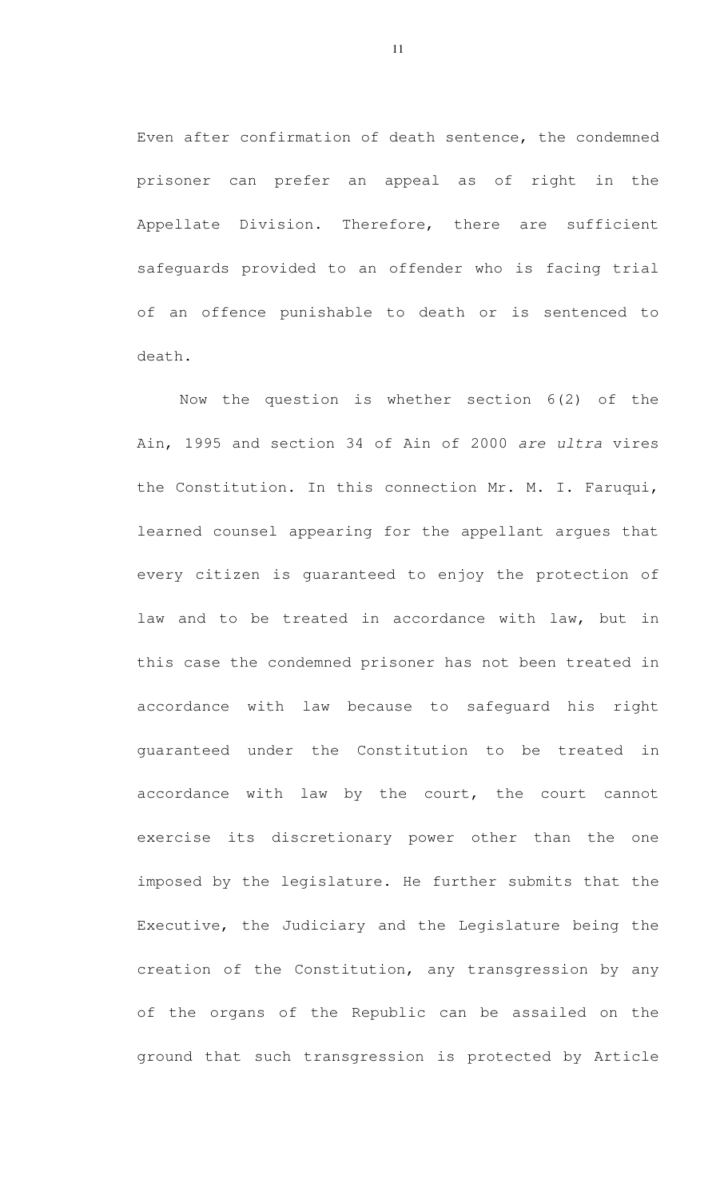Even after confirmation of death sentence, the condemned prisoner can prefer an appeal as of right in the Appellate Division. Therefore, there are sufficient safeguards provided to an offender who is facing trial of an offence punishable to death or is sentenced to death.

 Now the question is whether section 6(2) of the Ain, 1995 and section 34 of Ain of 2000 are ultra vires the Constitution. In this connection Mr. M. I. Faruqui, learned counsel appearing for the appellant argues that every citizen is guaranteed to enjoy the protection of law and to be treated in accordance with law, but in this case the condemned prisoner has not been treated in accordance with law because to safeguard his right guaranteed under the Constitution to be treated in accordance with law by the court, the court cannot exercise its discretionary power other than the one imposed by the legislature. He further submits that the Executive, the Judiciary and the Legislature being the creation of the Constitution, any transgression by any of the organs of the Republic can be assailed on the ground that such transgression is protected by Article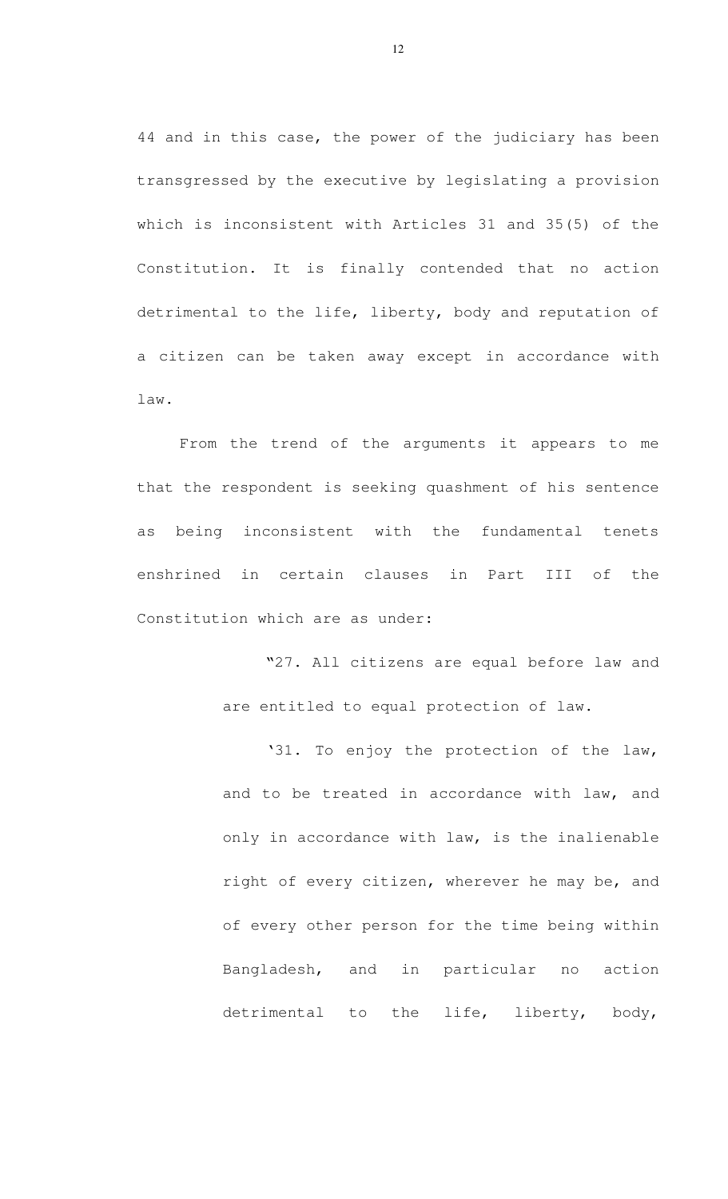44 and in this case, the power of the judiciary has been transgressed by the executive by legislating a provision which is inconsistent with Articles 31 and 35(5) of the Constitution. It is finally contended that no action detrimental to the life, liberty, body and reputation of a citizen can be taken away except in accordance with law.

 From the trend of the arguments it appears to me that the respondent is seeking quashment of his sentence as being inconsistent with the fundamental tenets enshrined in certain clauses in Part III of the Constitution which are as under:

> "27. All citizens are equal before law and are entitled to equal protection of law.

> '31. To enjoy the protection of the law, and to be treated in accordance with law, and only in accordance with law, is the inalienable right of every citizen, wherever he may be, and of every other person for the time being within Bangladesh, and in particular no action detrimental to the life, liberty, body,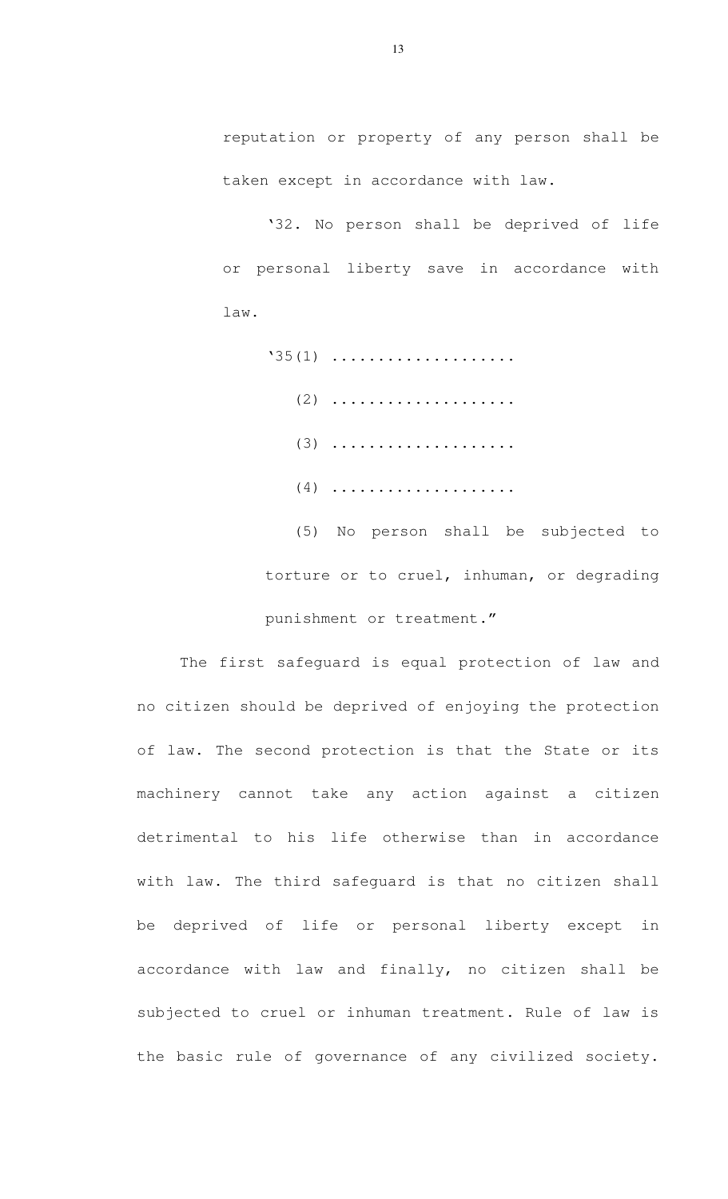reputation or property of any person shall be taken except in accordance with law.

 '32. No person shall be deprived of life or personal liberty save in accordance with law.

 $'35(1)$  .................... (2) .................... (3) .................... (4) .................... (5) No person shall be subjected to

torture or to cruel, inhuman, or degrading punishment or treatment."

 The first safeguard is equal protection of law and no citizen should be deprived of enjoying the protection of law. The second protection is that the State or its machinery cannot take any action against a citizen detrimental to his life otherwise than in accordance with law. The third safeguard is that no citizen shall be deprived of life or personal liberty except in accordance with law and finally, no citizen shall be subjected to cruel or inhuman treatment. Rule of law is the basic rule of governance of any civilized society.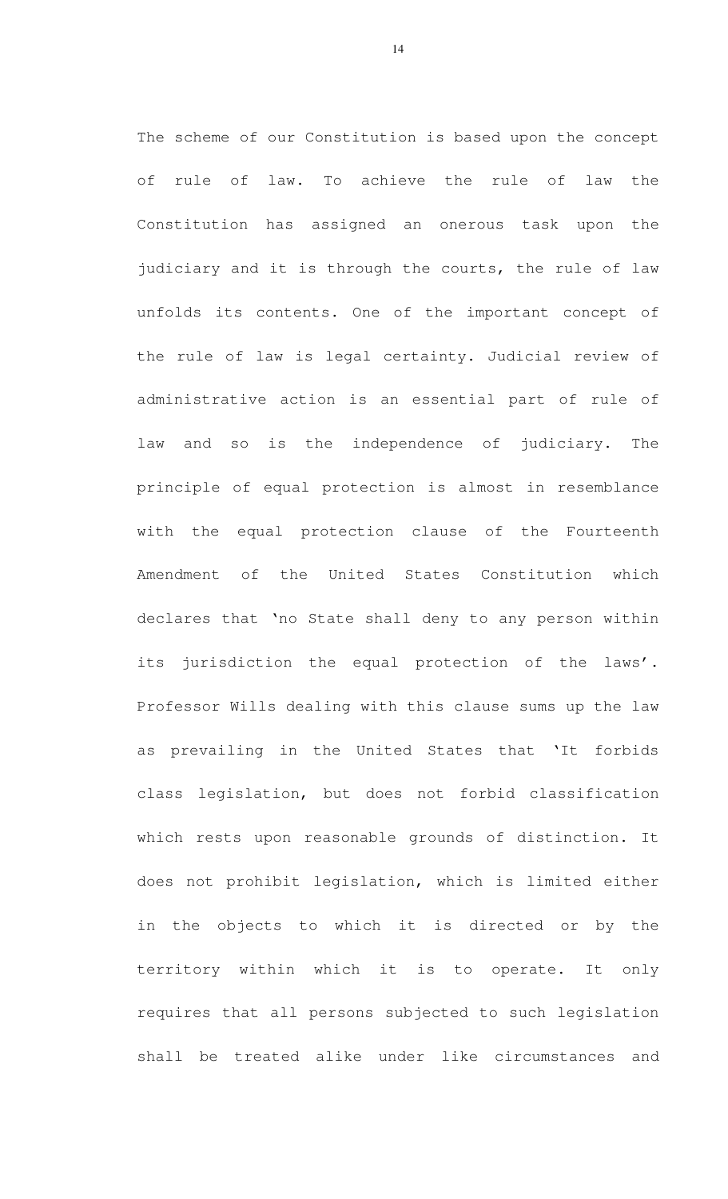The scheme of our Constitution is based upon the concept of rule of law. To achieve the rule of law the Constitution has assigned an onerous task upon the judiciary and it is through the courts, the rule of law unfolds its contents. One of the important concept of the rule of law is legal certainty. Judicial review of administrative action is an essential part of rule of law and so is the independence of judiciary. The principle of equal protection is almost in resemblance with the equal protection clause of the Fourteenth Amendment of the United States Constitution which declares that 'no State shall deny to any person within its jurisdiction the equal protection of the laws'. Professor Wills dealing with this clause sums up the law as prevailing in the United States that 'It forbids class legislation, but does not forbid classification which rests upon reasonable grounds of distinction. It does not prohibit legislation, which is limited either in the objects to which it is directed or by the territory within which it is to operate. It only requires that all persons subjected to such legislation shall be treated alike under like circumstances and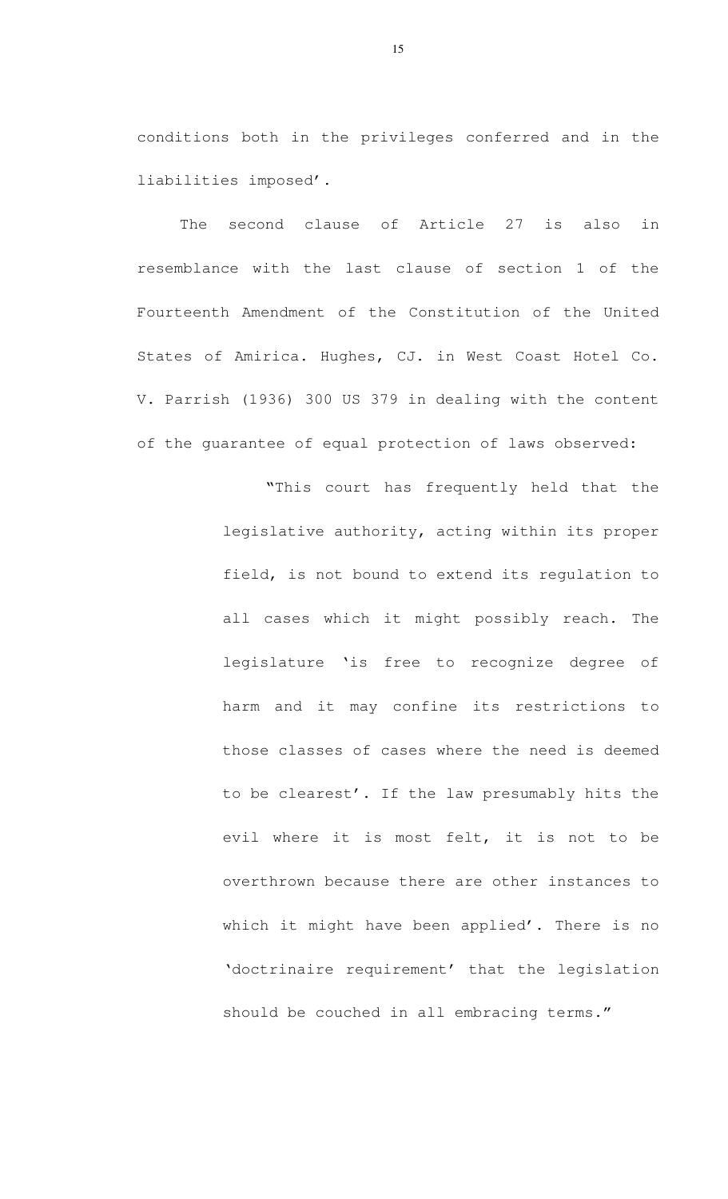conditions both in the privileges conferred and in the liabilities imposed'.

The second clause of Article 27 is also in resemblance with the last clause of section 1 of the Fourteenth Amendment of the Constitution of the United States of Amirica. Hughes, CJ. in West Coast Hotel Co. V. Parrish (1936) 300 US 379 in dealing with the content of the guarantee of equal protection of laws observed:

> "This court has frequently held that the legislative authority, acting within its proper field, is not bound to extend its regulation to all cases which it might possibly reach. The legislature 'is free to recognize degree of harm and it may confine its restrictions to those classes of cases where the need is deemed to be clearest'. If the law presumably hits the evil where it is most felt, it is not to be overthrown because there are other instances to which it might have been applied'. There is no 'doctrinaire requirement' that the legislation should be couched in all embracing terms."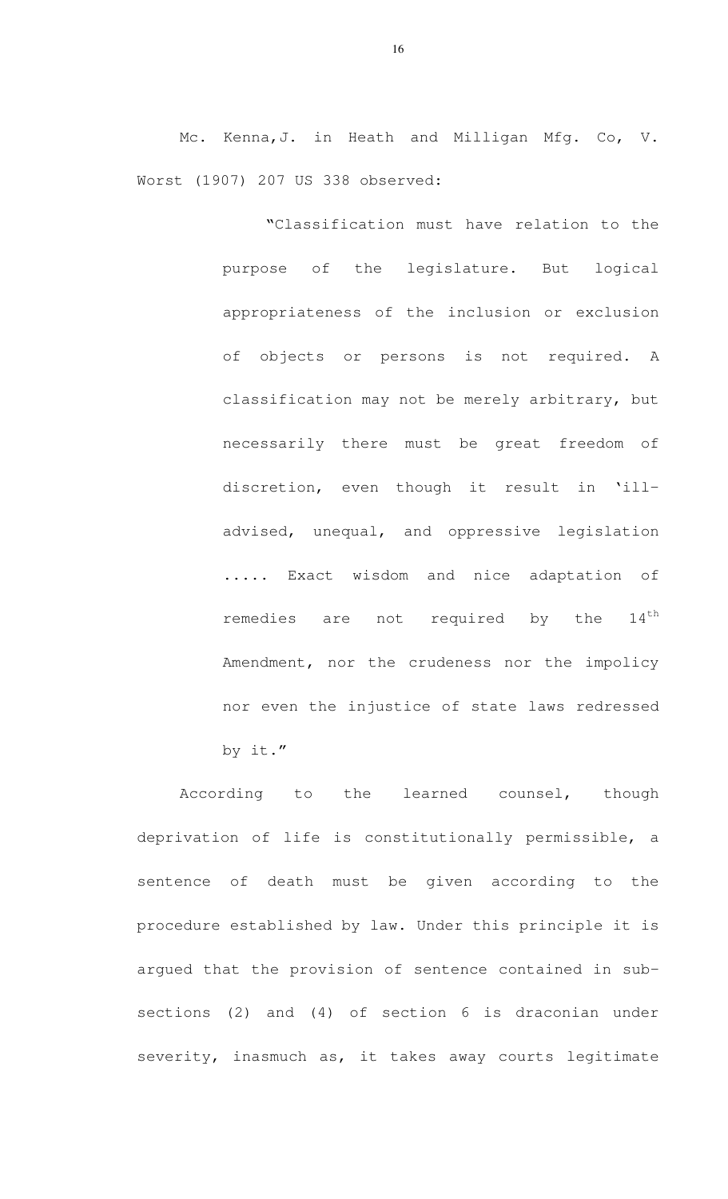Mc. Kenna,J. in Heath and Milligan Mfg. Co, V. Worst (1907) 207 US 338 observed:

> "Classification must have relation to the purpose of the legislature. But logical appropriateness of the inclusion or exclusion of objects or persons is not required. A classification may not be merely arbitrary, but necessarily there must be great freedom of discretion, even though it result in 'illadvised, unequal, and oppressive legislation ..... Exact wisdom and nice adaptation of remedies are not required by the 14<sup>th</sup> Amendment, nor the crudeness nor the impolicy nor even the injustice of state laws redressed by it."

According to the learned counsel, though deprivation of life is constitutionally permissible, a sentence of death must be given according to the procedure established by law. Under this principle it is argued that the provision of sentence contained in subsections (2) and (4) of section 6 is draconian under severity, inasmuch as, it takes away courts legitimate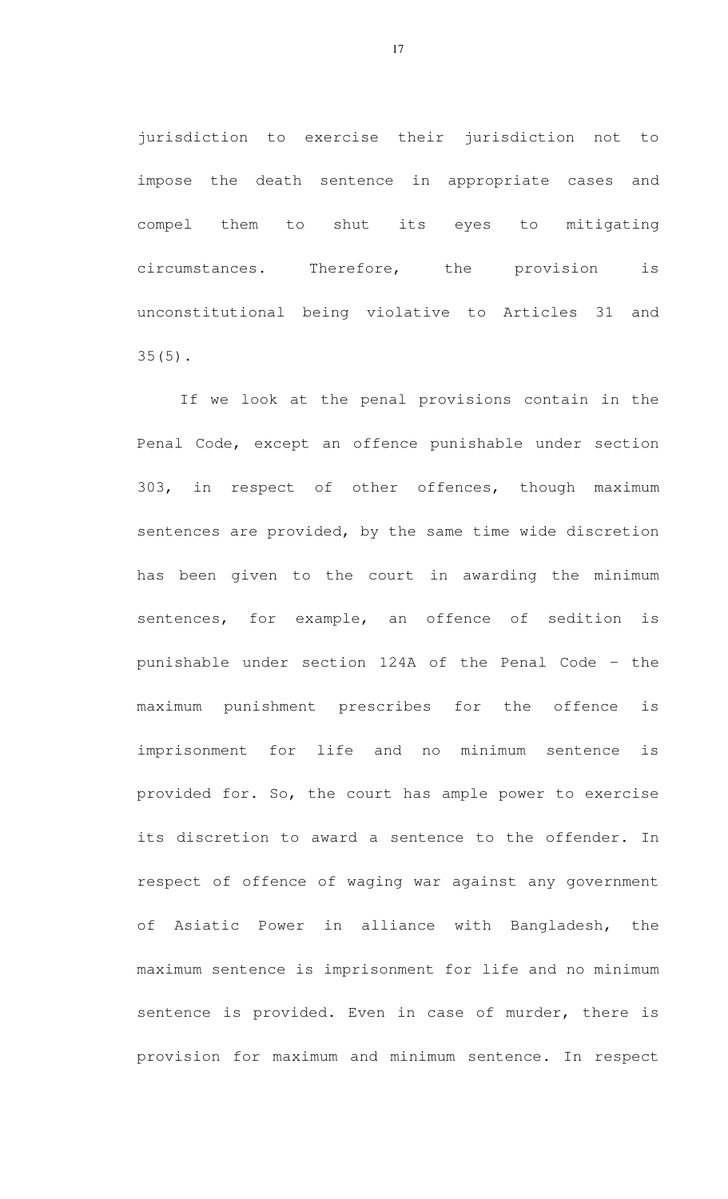jurisdiction to exercise their jurisdiction not to impose the death sentence in appropriate cases and compel them to shut its eyes to mitigating circumstances. Therefore, the provision is unconstitutional being violative to Articles 31 and 35(5).

If we look at the penal provisions contain in the Penal Code, except an offence punishable under section 303, in respect of other offences, though maximum sentences are provided, by the same time wide discretion has been given to the court in awarding the minimum sentences, for example, an offence of sedition is punishable under section 124A of the Penal Code - the maximum punishment prescribes for the offence is imprisonment for life and no minimum sentence is provided for. So, the court has ample power to exercise its discretion to award a sentence to the offender. In respect of offence of waging war against any government of Asiatic Power in alliance with Bangladesh, the maximum sentence is imprisonment for life and no minimum sentence is provided. Even in case of murder, there is provision for maximum and minimum sentence. In respect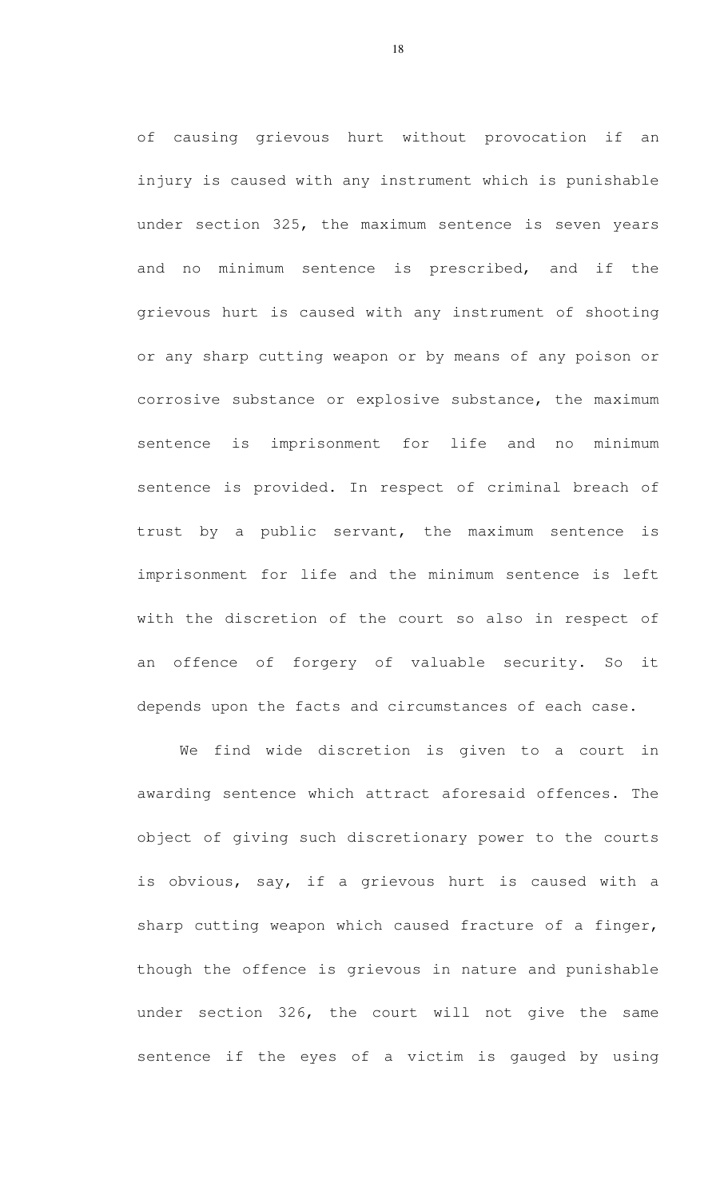of causing grievous hurt without provocation if an injury is caused with any instrument which is punishable under section 325, the maximum sentence is seven years and no minimum sentence is prescribed, and if the grievous hurt is caused with any instrument of shooting or any sharp cutting weapon or by means of any poison or corrosive substance or explosive substance, the maximum sentence is imprisonment for life and no minimum sentence is provided. In respect of criminal breach of trust by a public servant, the maximum sentence is imprisonment for life and the minimum sentence is left with the discretion of the court so also in respect of an offence of forgery of valuable security. So it depends upon the facts and circumstances of each case.

We find wide discretion is given to a court in awarding sentence which attract aforesaid offences. The object of giving such discretionary power to the courts is obvious, say, if a grievous hurt is caused with a sharp cutting weapon which caused fracture of a finger, though the offence is grievous in nature and punishable under section 326, the court will not give the same sentence if the eyes of a victim is gauged by using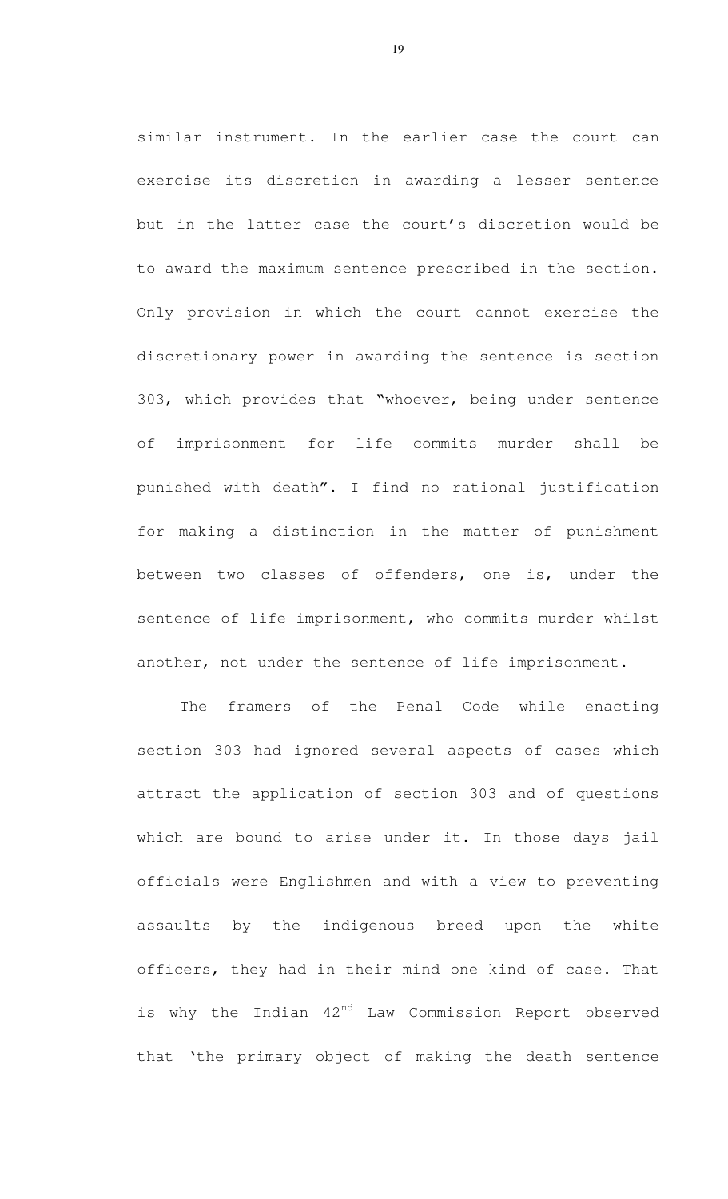similar instrument. In the earlier case the court can exercise its discretion in awarding a lesser sentence but in the latter case the court's discretion would be to award the maximum sentence prescribed in the section. Only provision in which the court cannot exercise the discretionary power in awarding the sentence is section 303, which provides that "whoever, being under sentence of imprisonment for life commits murder shall be punished with death". I find no rational justification for making a distinction in the matter of punishment between two classes of offenders, one is, under the sentence of life imprisonment, who commits murder whilst another, not under the sentence of life imprisonment.

The framers of the Penal Code while enacting section 303 had ignored several aspects of cases which attract the application of section 303 and of questions which are bound to arise under it. In those days jail officials were Englishmen and with a view to preventing assaults by the indigenous breed upon the white officers, they had in their mind one kind of case. That is why the Indian  $42^{nd}$  Law Commission Report observed that 'the primary object of making the death sentence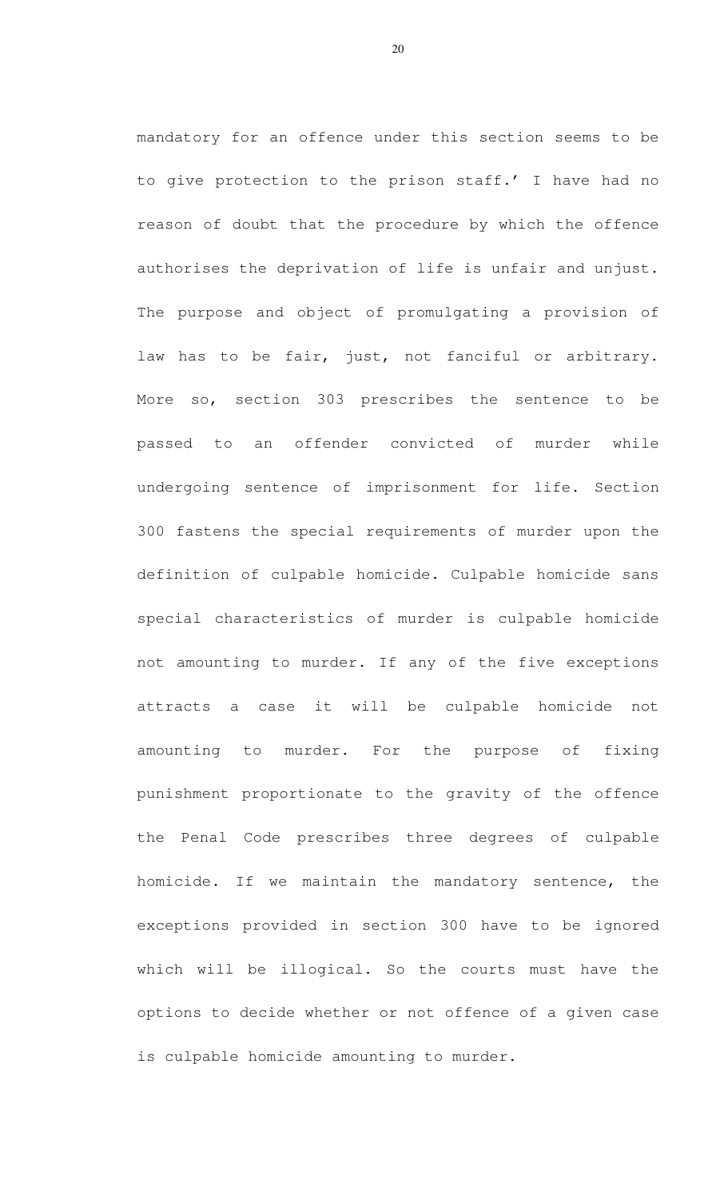mandatory for an offence under this section seems to be to give protection to the prison staff.' I have had no reason of doubt that the procedure by which the offence authorises the deprivation of life is unfair and unjust. The purpose and object of promulgating a provision of law has to be fair, just, not fanciful or arbitrary. More so, section 303 prescribes the sentence to be passed to an offender convicted of murder while undergoing sentence of imprisonment for life. Section 300 fastens the special requirements of murder upon the definition of culpable homicide. Culpable homicide sans special characteristics of murder is culpable homicide not amounting to murder. If any of the five exceptions attracts a case it will be culpable homicide not amounting to murder. For the purpose of fixing punishment proportionate to the gravity of the offence the Penal Code prescribes three degrees of culpable homicide. If we maintain the mandatory sentence, the exceptions provided in section 300 have to be ignored which will be illogical. So the courts must have the options to decide whether or not offence of a given case is culpable homicide amounting to murder.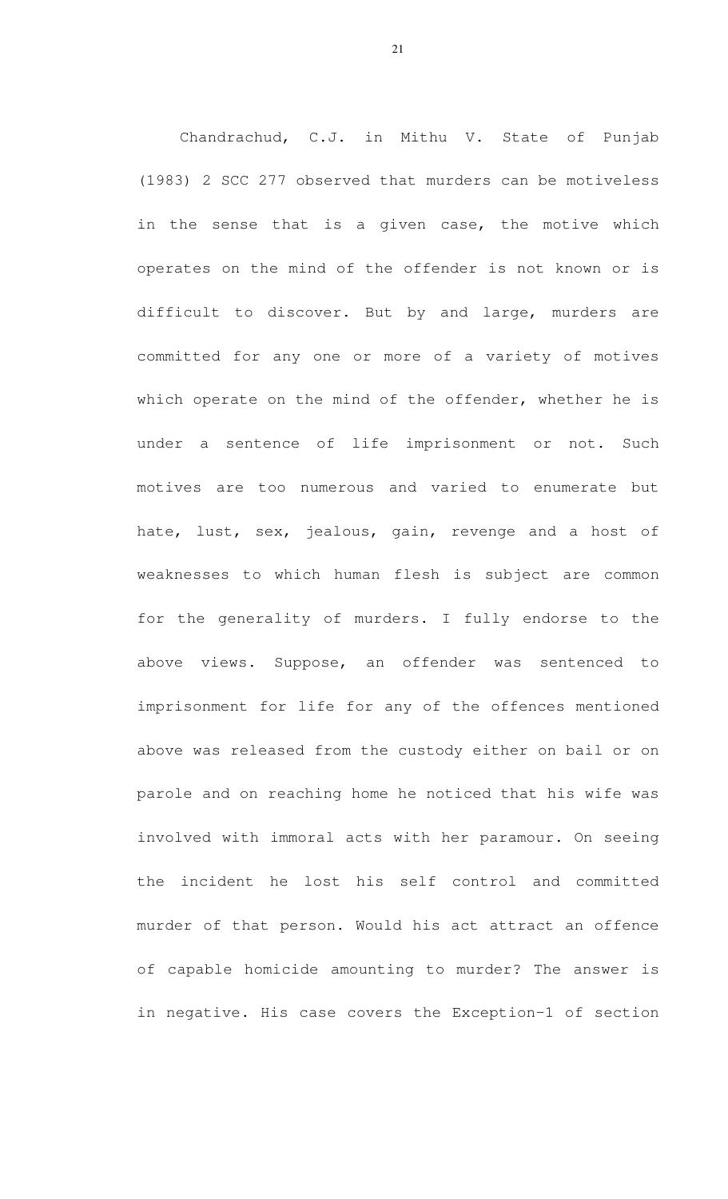Chandrachud, C.J. in Mithu V. State of Punjab (1983) 2 SCC 277 observed that murders can be motiveless in the sense that is a given case, the motive which operates on the mind of the offender is not known or is difficult to discover. But by and large, murders are committed for any one or more of a variety of motives which operate on the mind of the offender, whether he is under a sentence of life imprisonment or not. Such motives are too numerous and varied to enumerate but hate, lust, sex, jealous, gain, revenge and a host of weaknesses to which human flesh is subject are common for the generality of murders. I fully endorse to the above views. Suppose, an offender was sentenced to imprisonment for life for any of the offences mentioned above was released from the custody either on bail or on parole and on reaching home he noticed that his wife was involved with immoral acts with her paramour. On seeing the incident he lost his self control and committed murder of that person. Would his act attract an offence of capable homicide amounting to murder? The answer is in negative. His case covers the Exception-1 of section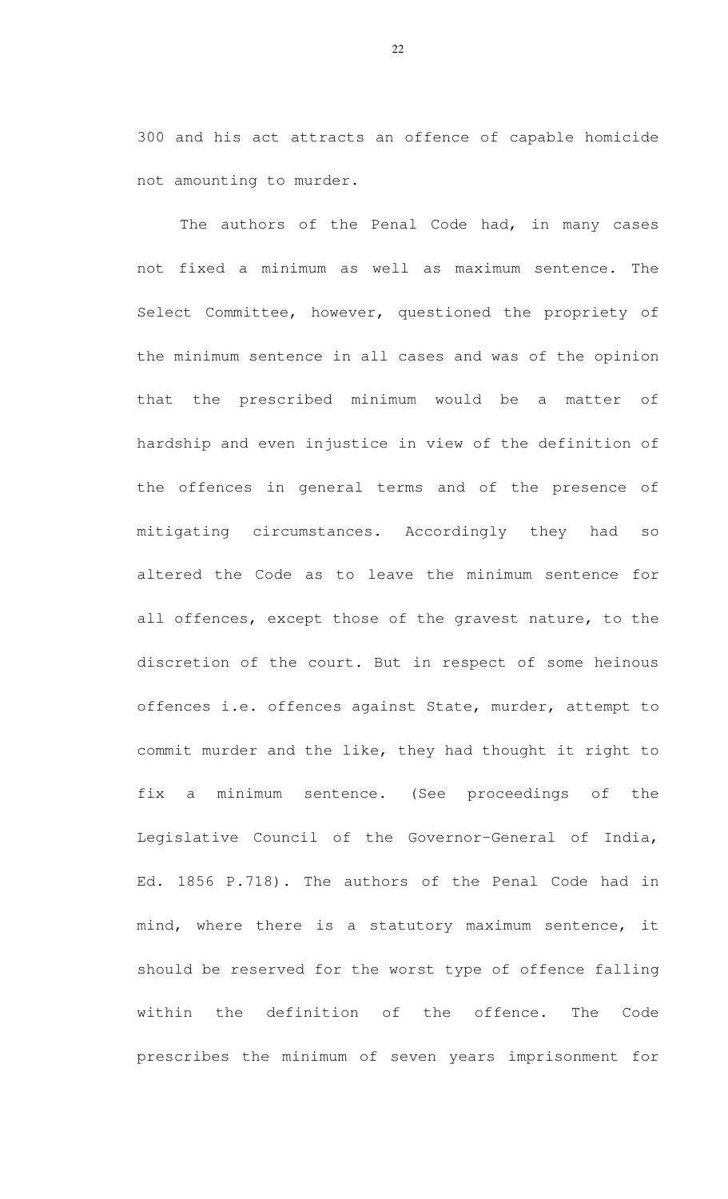300 and his act attracts an offence of capable homicide not amounting to murder.

The authors of the Penal Code had, in many cases not fixed a minimum as well as maximum sentence. The Select Committee, however, questioned the propriety of the minimum sentence in all cases and was of the opinion that the prescribed minimum would be a matter of hardship and even injustice in view of the definition of the offences in general terms and of the presence of mitigating circumstances. Accordingly they had so altered the Code as to leave the minimum sentence for all offences, except those of the gravest nature, to the discretion of the court. But in respect of some heinous offences i.e. offences against State, murder, attempt to commit murder and the like, they had thought it right to fix a minimum sentence. (See proceedings of the Legislative Council of the Governor-General of India, Ed. 1856 P.718). The authors of the Penal Code had in mind, where there is a statutory maximum sentence, it should be reserved for the worst type of offence falling within the definition of the offence. The Code prescribes the minimum of seven years imprisonment for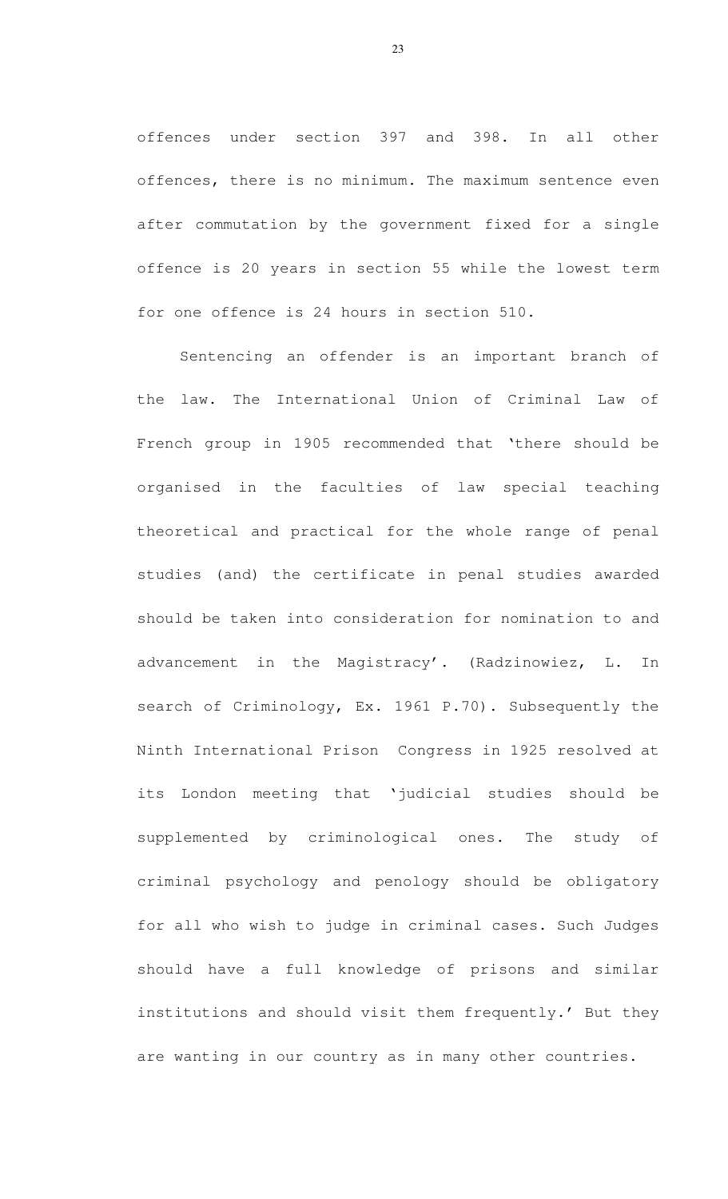offences under section 397 and 398. In all other offences, there is no minimum. The maximum sentence even after commutation by the government fixed for a single offence is 20 years in section 55 while the lowest term for one offence is 24 hours in section 510.

Sentencing an offender is an important branch of the law. The International Union of Criminal Law of French group in 1905 recommended that 'there should be organised in the faculties of law special teaching theoretical and practical for the whole range of penal studies (and) the certificate in penal studies awarded should be taken into consideration for nomination to and advancement in the Magistracy'. (Radzinowiez, L. In search of Criminology, Ex. 1961 P.70). Subsequently the Ninth International Prison Congress in 1925 resolved at its London meeting that 'judicial studies should be supplemented by criminological ones. The study of criminal psychology and penology should be obligatory for all who wish to judge in criminal cases. Such Judges should have a full knowledge of prisons and similar institutions and should visit them frequently.' But they are wanting in our country as in many other countries.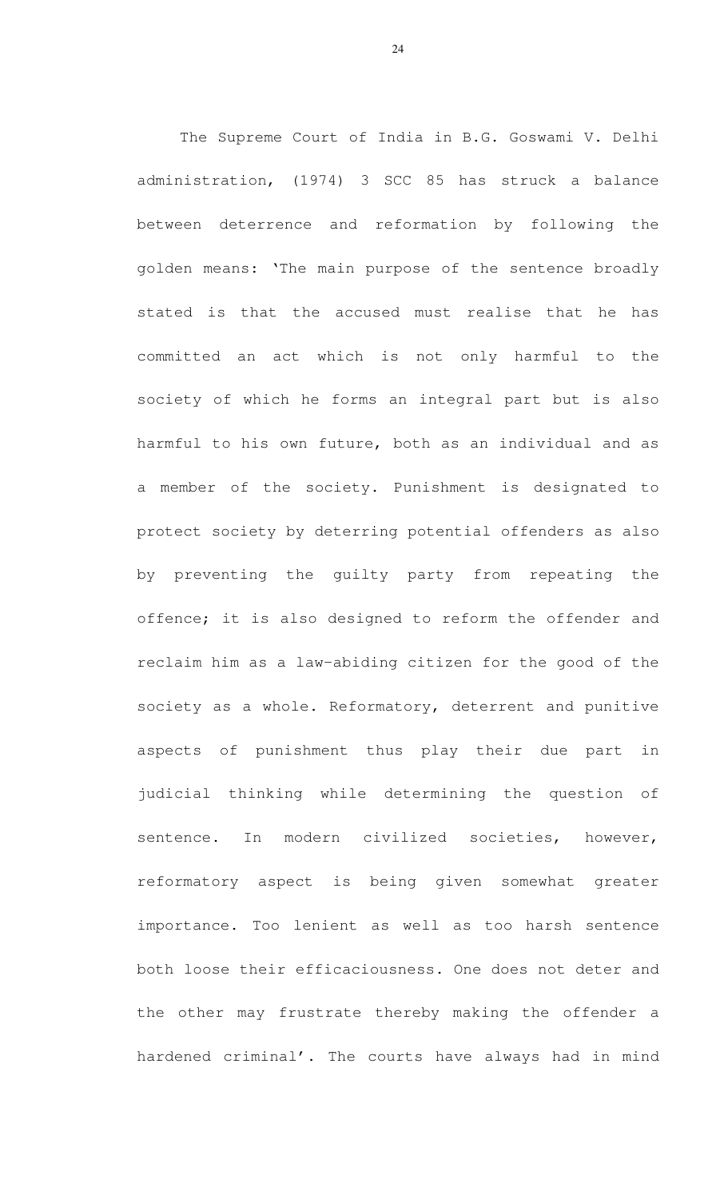The Supreme Court of India in B.G. Goswami V. Delhi administration, (1974) 3 SCC 85 has struck a balance between deterrence and reformation by following the golden means: 'The main purpose of the sentence broadly stated is that the accused must realise that he has committed an act which is not only harmful to the society of which he forms an integral part but is also harmful to his own future, both as an individual and as a member of the society. Punishment is designated to protect society by deterring potential offenders as also by preventing the guilty party from repeating the offence; it is also designed to reform the offender and reclaim him as a law-abiding citizen for the good of the society as a whole. Reformatory, deterrent and punitive aspects of punishment thus play their due part in judicial thinking while determining the question of sentence. In modern civilized societies, however, reformatory aspect is being given somewhat greater importance. Too lenient as well as too harsh sentence both loose their efficaciousness. One does not deter and the other may frustrate thereby making the offender a hardened criminal'. The courts have always had in mind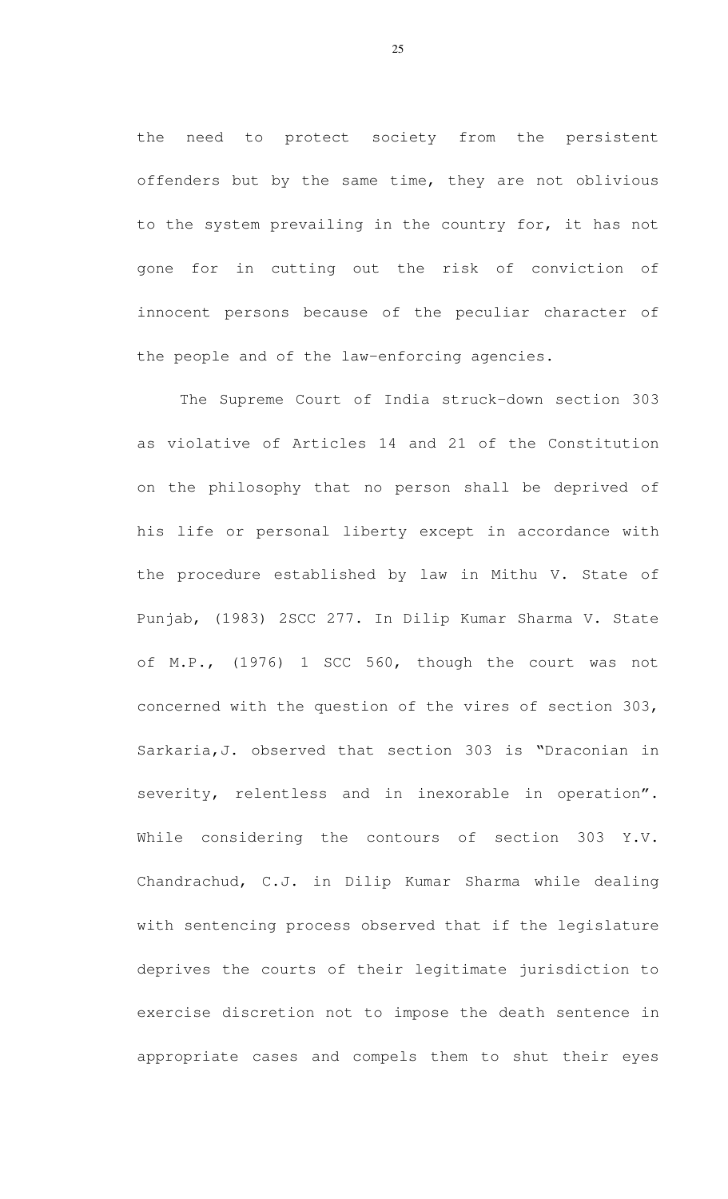the need to protect society from the persistent offenders but by the same time, they are not oblivious to the system prevailing in the country for, it has not gone for in cutting out the risk of conviction of innocent persons because of the peculiar character of the people and of the law-enforcing agencies.

 The Supreme Court of India struck-down section 303 as violative of Articles 14 and 21 of the Constitution on the philosophy that no person shall be deprived of his life or personal liberty except in accordance with the procedure established by law in Mithu V. State of Punjab, (1983) 2SCC 277. In Dilip Kumar Sharma V. State of M.P., (1976) 1 SCC 560, though the court was not concerned with the question of the vires of section 303, Sarkaria,J. observed that section 303 is "Draconian in severity, relentless and in inexorable in operation". While considering the contours of section 303 Y.V. Chandrachud, C.J. in Dilip Kumar Sharma while dealing with sentencing process observed that if the legislature deprives the courts of their legitimate jurisdiction to exercise discretion not to impose the death sentence in appropriate cases and compels them to shut their eyes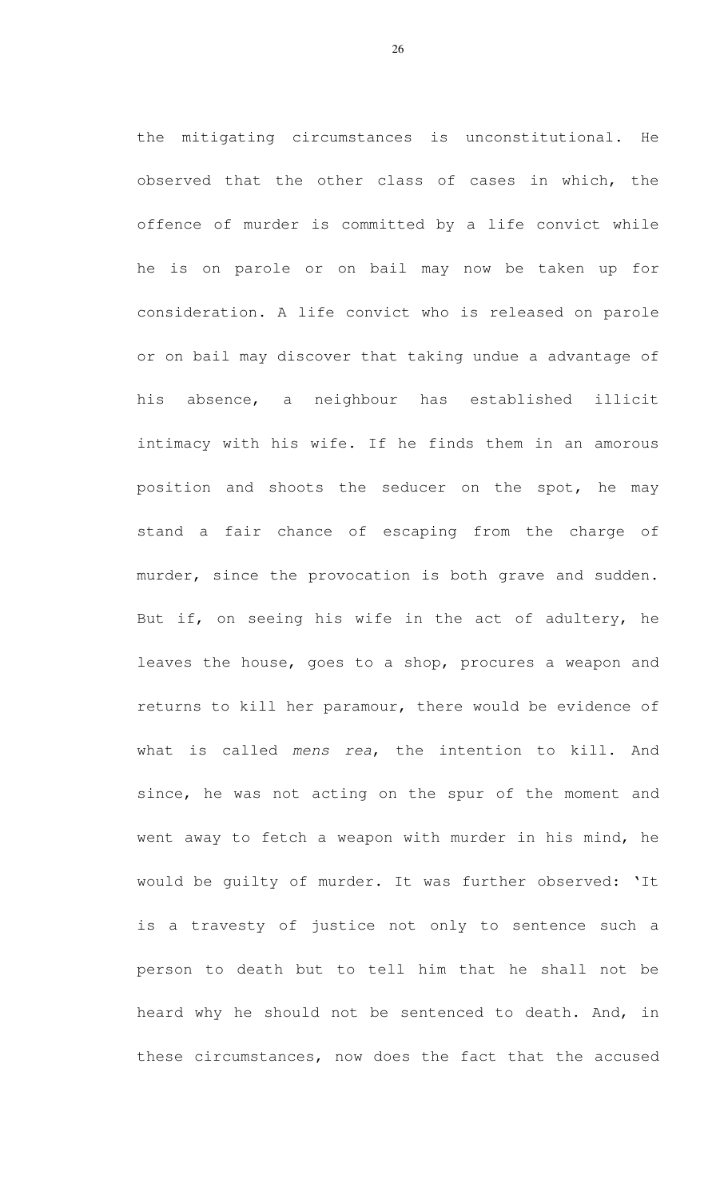the mitigating circumstances is unconstitutional. He observed that the other class of cases in which, the offence of murder is committed by a life convict while he is on parole or on bail may now be taken up for consideration. A life convict who is released on parole or on bail may discover that taking undue a advantage of his absence, a neighbour has established illicit intimacy with his wife. If he finds them in an amorous position and shoots the seducer on the spot, he may stand a fair chance of escaping from the charge of murder, since the provocation is both grave and sudden. But if, on seeing his wife in the act of adultery, he leaves the house, goes to a shop, procures a weapon and returns to kill her paramour, there would be evidence of what is called mens rea, the intention to kill. And since, he was not acting on the spur of the moment and went away to fetch a weapon with murder in his mind, he would be guilty of murder. It was further observed: 'It is a travesty of justice not only to sentence such a person to death but to tell him that he shall not be heard why he should not be sentenced to death. And, in these circumstances, now does the fact that the accused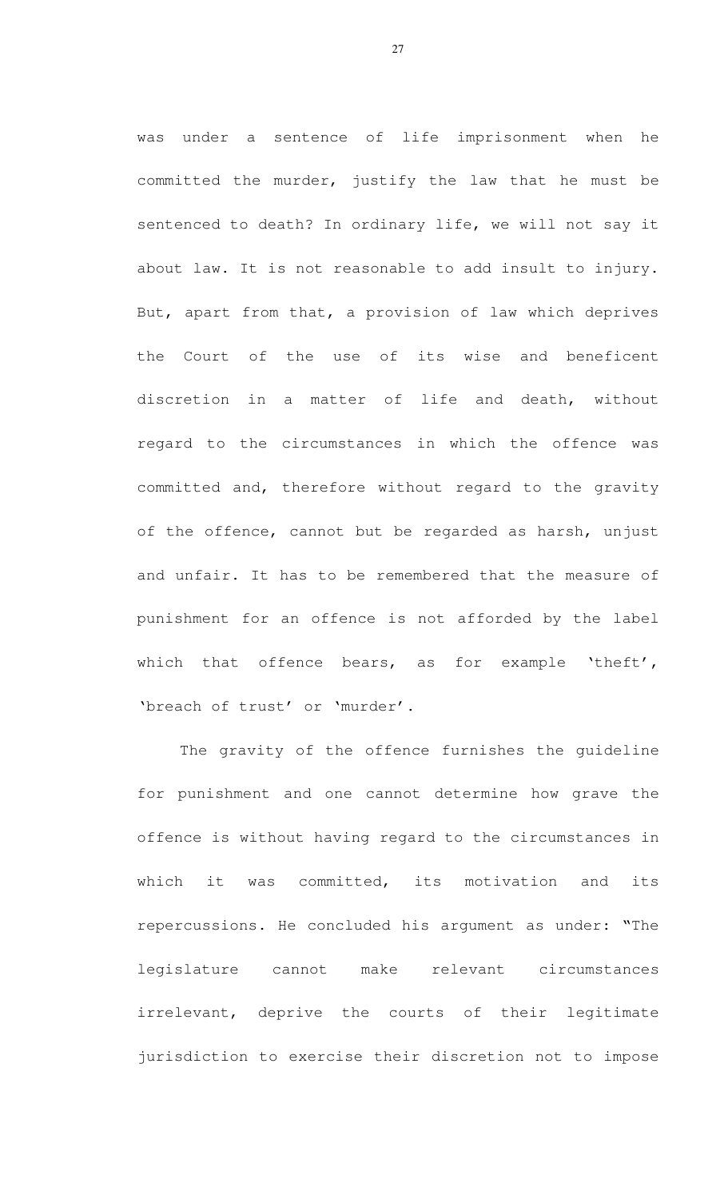was under a sentence of life imprisonment when he committed the murder, justify the law that he must be sentenced to death? In ordinary life, we will not say it about law. It is not reasonable to add insult to injury. But, apart from that, a provision of law which deprives the Court of the use of its wise and beneficent discretion in a matter of life and death, without regard to the circumstances in which the offence was committed and, therefore without regard to the gravity of the offence, cannot but be regarded as harsh, unjust and unfair. It has to be remembered that the measure of punishment for an offence is not afforded by the label which that offence bears, as for example 'theft', 'breach of trust' or 'murder'.

The gravity of the offence furnishes the guideline for punishment and one cannot determine how grave the offence is without having regard to the circumstances in which it was committed, its motivation and its repercussions. He concluded his argument as under: "The legislature cannot make relevant circumstances irrelevant, deprive the courts of their legitimate jurisdiction to exercise their discretion not to impose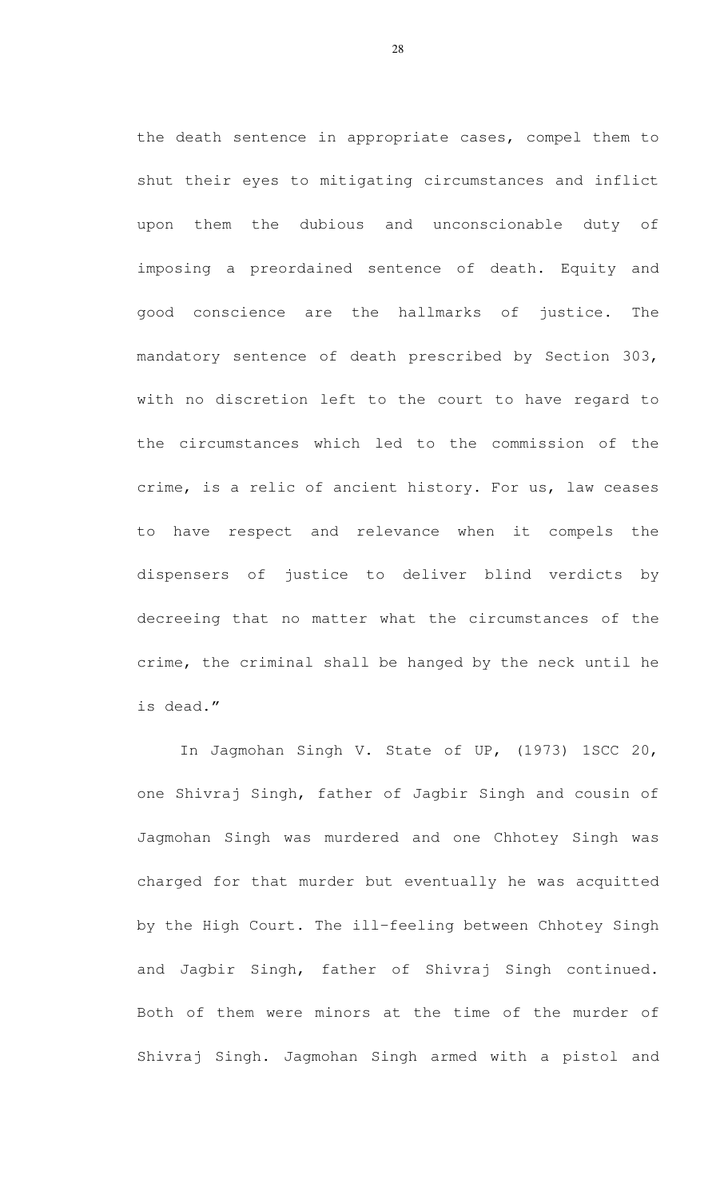the death sentence in appropriate cases, compel them to shut their eyes to mitigating circumstances and inflict upon them the dubious and unconscionable duty of imposing a preordained sentence of death. Equity and good conscience are the hallmarks of justice. The mandatory sentence of death prescribed by Section 303, with no discretion left to the court to have regard to the circumstances which led to the commission of the crime, is a relic of ancient history. For us, law ceases to have respect and relevance when it compels the dispensers of justice to deliver blind verdicts by decreeing that no matter what the circumstances of the crime, the criminal shall be hanged by the neck until he is dead."

 In Jagmohan Singh V. State of UP, (1973) 1SCC 20, one Shivraj Singh, father of Jagbir Singh and cousin of Jagmohan Singh was murdered and one Chhotey Singh was charged for that murder but eventually he was acquitted by the High Court. The ill-feeling between Chhotey Singh and Jagbir Singh, father of Shivraj Singh continued. Both of them were minors at the time of the murder of Shivraj Singh. Jagmohan Singh armed with a pistol and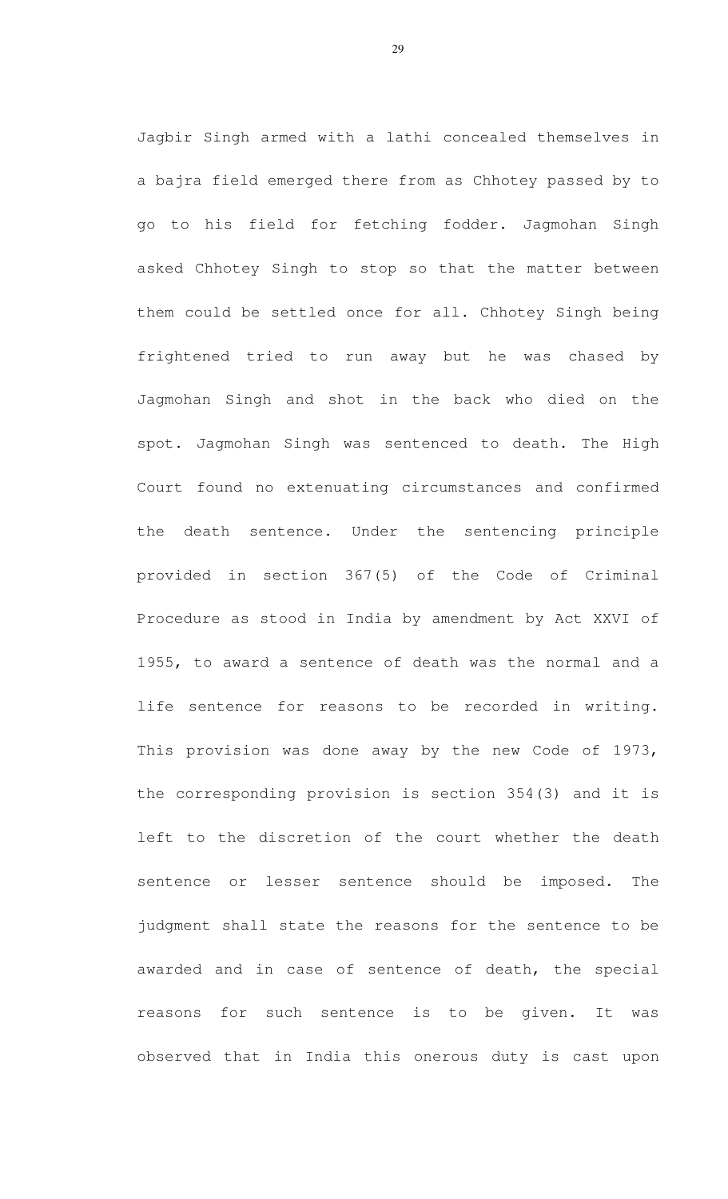Jagbir Singh armed with a lathi concealed themselves in a bajra field emerged there from as Chhotey passed by to go to his field for fetching fodder. Jagmohan Singh asked Chhotey Singh to stop so that the matter between them could be settled once for all. Chhotey Singh being frightened tried to run away but he was chased by Jagmohan Singh and shot in the back who died on the spot. Jagmohan Singh was sentenced to death. The High Court found no extenuating circumstances and confirmed the death sentence. Under the sentencing principle provided in section 367(5) of the Code of Criminal Procedure as stood in India by amendment by Act XXVI of 1955, to award a sentence of death was the normal and a life sentence for reasons to be recorded in writing. This provision was done away by the new Code of 1973, the corresponding provision is section 354(3) and it is left to the discretion of the court whether the death sentence or lesser sentence should be imposed. The judgment shall state the reasons for the sentence to be awarded and in case of sentence of death, the special reasons for such sentence is to be given. It was observed that in India this onerous duty is cast upon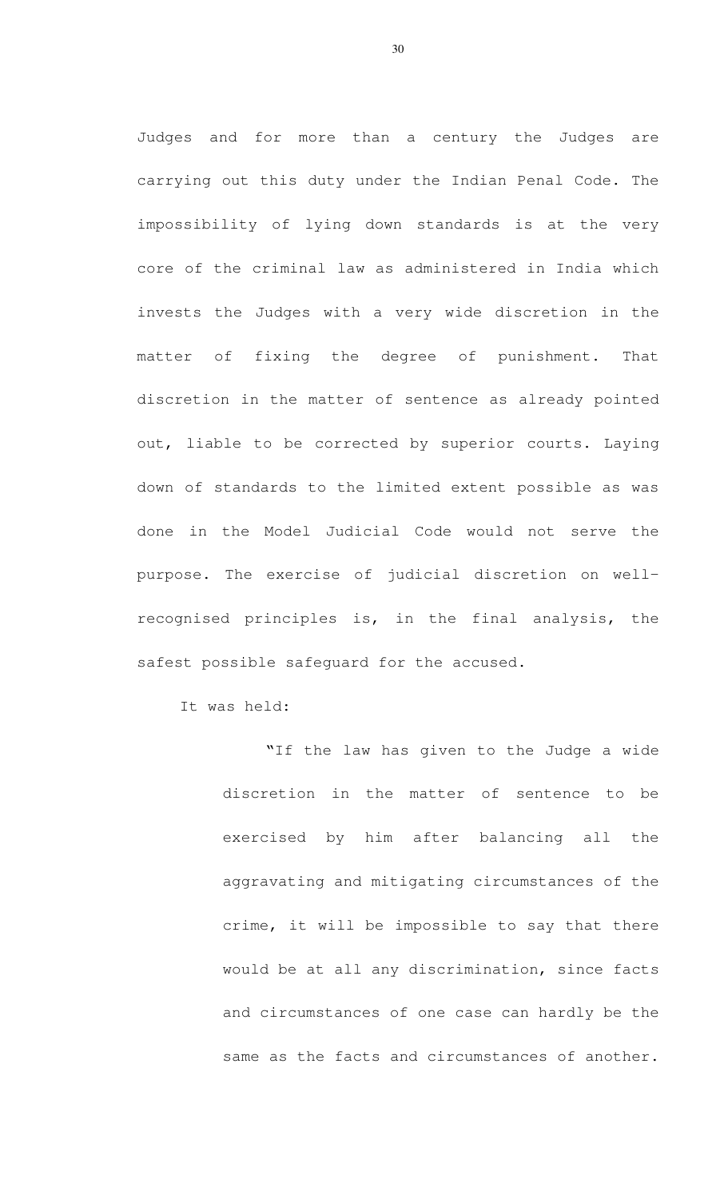Judges and for more than a century the Judges are carrying out this duty under the Indian Penal Code. The impossibility of lying down standards is at the very core of the criminal law as administered in India which invests the Judges with a very wide discretion in the matter of fixing the degree of punishment. That discretion in the matter of sentence as already pointed out, liable to be corrected by superior courts. Laying down of standards to the limited extent possible as was done in the Model Judicial Code would not serve the purpose. The exercise of judicial discretion on wellrecognised principles is, in the final analysis, the safest possible safeguard for the accused.

It was held:

"If the law has given to the Judge a wide discretion in the matter of sentence to be exercised by him after balancing all the aggravating and mitigating circumstances of the crime, it will be impossible to say that there would be at all any discrimination, since facts and circumstances of one case can hardly be the same as the facts and circumstances of another.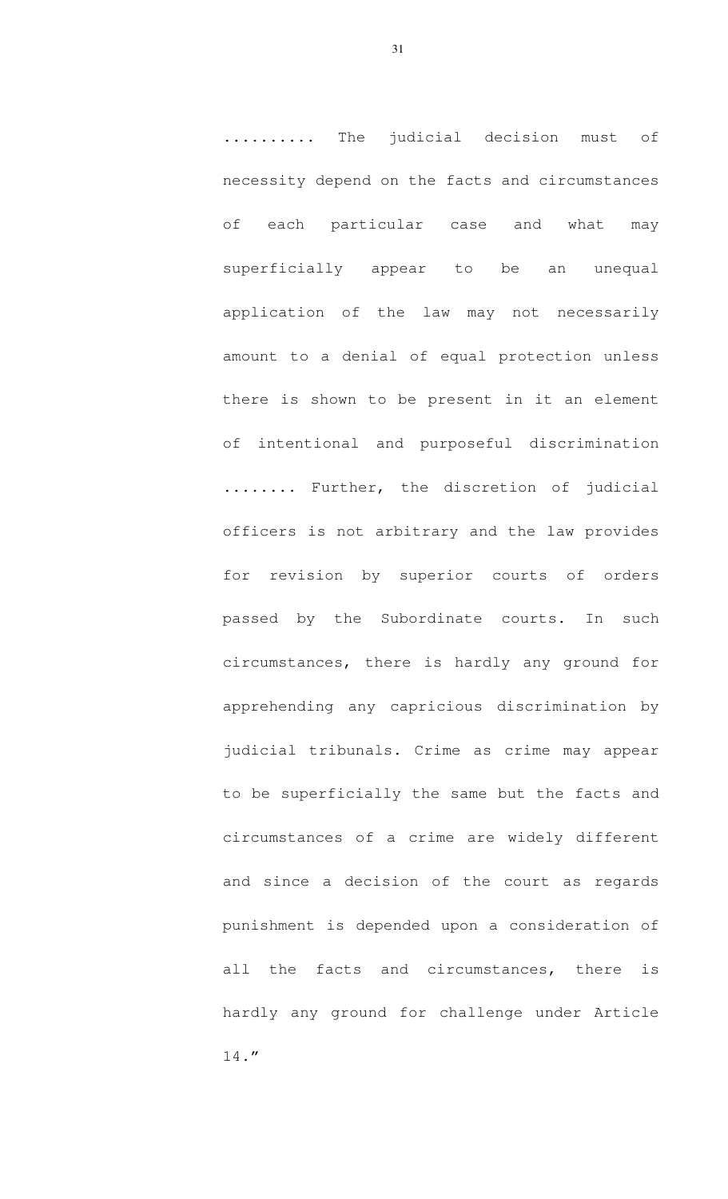.......... The judicial decision must of necessity depend on the facts and circumstances of each particular case and what may superficially appear to be an unequal application of the law may not necessarily amount to a denial of equal protection unless there is shown to be present in it an element of intentional and purposeful discrimination ........ Further, the discretion of judicial officers is not arbitrary and the law provides for revision by superior courts of orders passed by the Subordinate courts. In such circumstances, there is hardly any ground for apprehending any capricious discrimination by judicial tribunals. Crime as crime may appear to be superficially the same but the facts and circumstances of a crime are widely different and since a decision of the court as regards punishment is depended upon a consideration of all the facts and circumstances, there is hardly any ground for challenge under Article 14."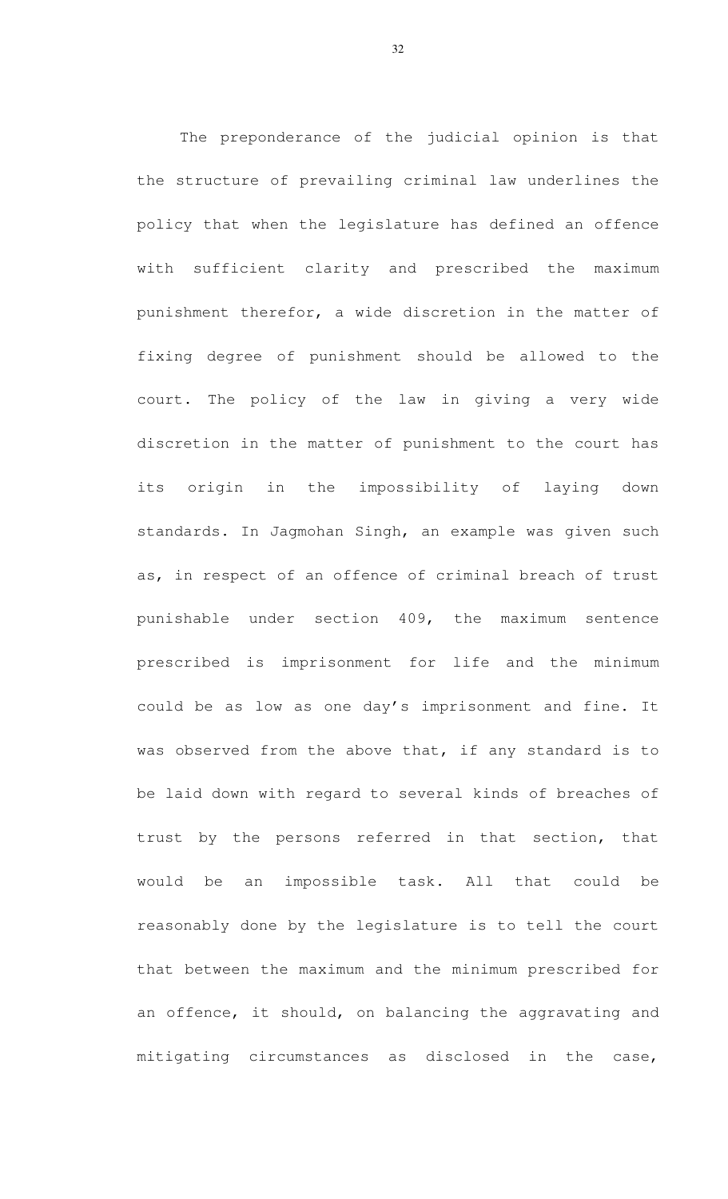The preponderance of the judicial opinion is that the structure of prevailing criminal law underlines the policy that when the legislature has defined an offence with sufficient clarity and prescribed the maximum punishment therefor, a wide discretion in the matter of fixing degree of punishment should be allowed to the court. The policy of the law in giving a very wide discretion in the matter of punishment to the court has its origin in the impossibility of laying down standards. In Jagmohan Singh, an example was given such as, in respect of an offence of criminal breach of trust punishable under section 409, the maximum sentence prescribed is imprisonment for life and the minimum could be as low as one day's imprisonment and fine. It was observed from the above that, if any standard is to be laid down with regard to several kinds of breaches of trust by the persons referred in that section, that would be an impossible task. All that could be reasonably done by the legislature is to tell the court that between the maximum and the minimum prescribed for an offence, it should, on balancing the aggravating and mitigating circumstances as disclosed in the case,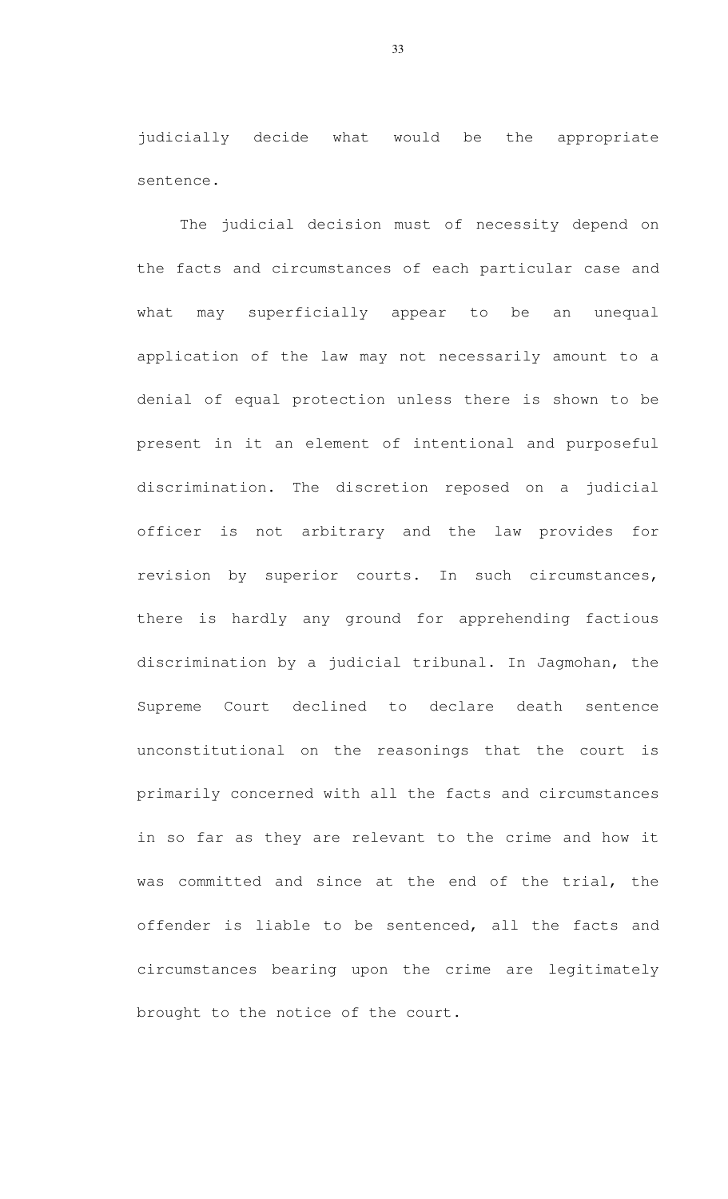judicially decide what would be the appropriate sentence.

The judicial decision must of necessity depend on the facts and circumstances of each particular case and what may superficially appear to be an unequal application of the law may not necessarily amount to a denial of equal protection unless there is shown to be present in it an element of intentional and purposeful discrimination. The discretion reposed on a judicial officer is not arbitrary and the law provides for revision by superior courts. In such circumstances, there is hardly any ground for apprehending factious discrimination by a judicial tribunal. In Jagmohan, the Supreme Court declined to declare death sentence unconstitutional on the reasonings that the court is primarily concerned with all the facts and circumstances in so far as they are relevant to the crime and how it was committed and since at the end of the trial, the offender is liable to be sentenced, all the facts and circumstances bearing upon the crime are legitimately brought to the notice of the court.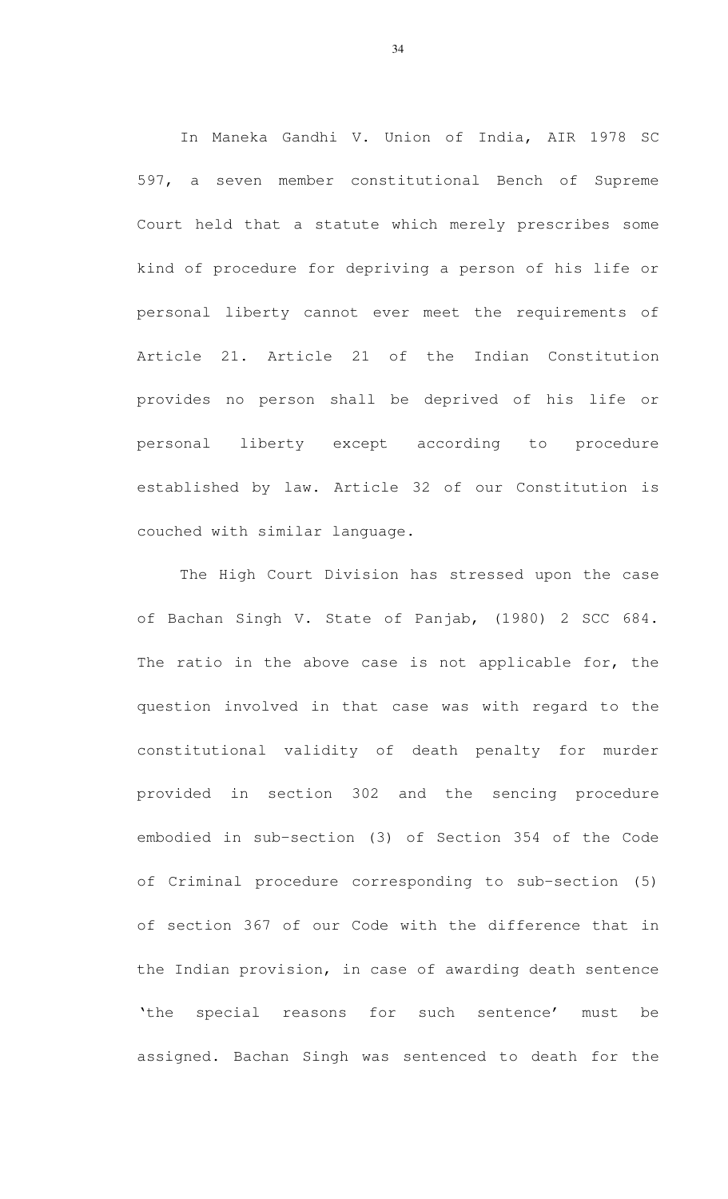In Maneka Gandhi V. Union of India, AIR 1978 SC 597, a seven member constitutional Bench of Supreme Court held that a statute which merely prescribes some kind of procedure for depriving a person of his life or personal liberty cannot ever meet the requirements of Article 21. Article 21 of the Indian Constitution provides no person shall be deprived of his life or personal liberty except according to procedure established by law. Article 32 of our Constitution is couched with similar language.

The High Court Division has stressed upon the case of Bachan Singh V. State of Panjab, (1980) 2 SCC 684. The ratio in the above case is not applicable for, the question involved in that case was with regard to the constitutional validity of death penalty for murder provided in section 302 and the sencing procedure embodied in sub-section (3) of Section 354 of the Code of Criminal procedure corresponding to sub-section (5) of section 367 of our Code with the difference that in the Indian provision, in case of awarding death sentence 'the special reasons for such sentence' must be assigned. Bachan Singh was sentenced to death for the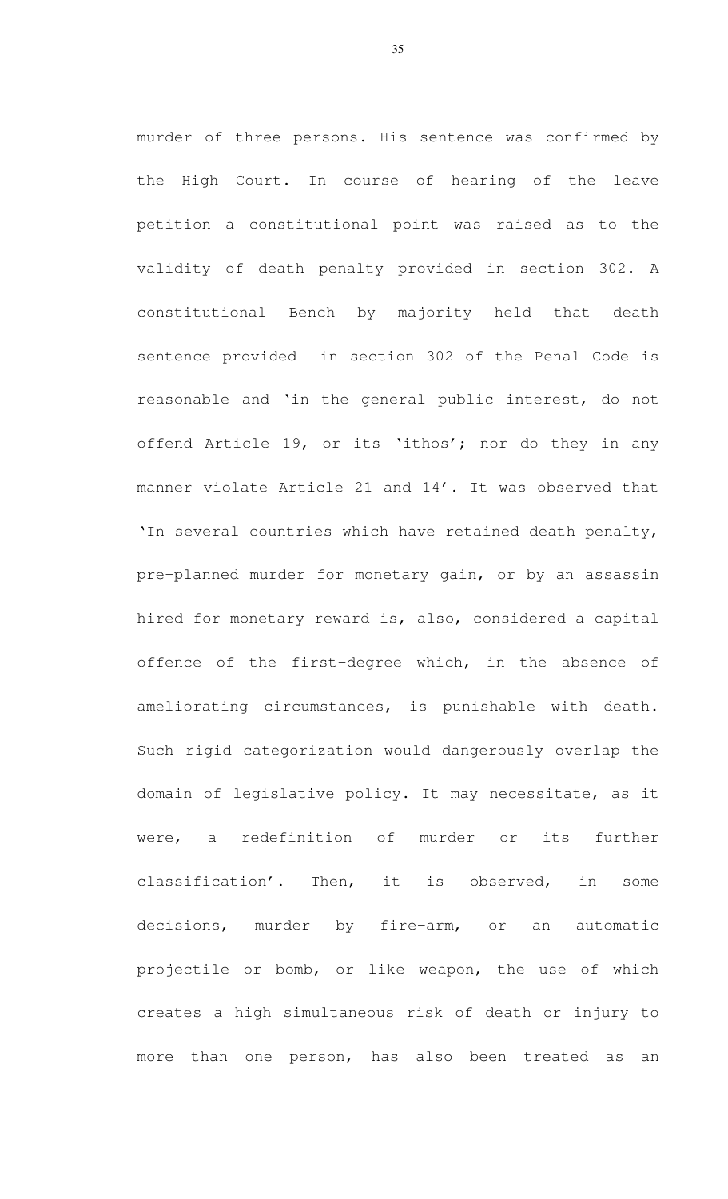murder of three persons. His sentence was confirmed by the High Court. In course of hearing of the leave petition a constitutional point was raised as to the validity of death penalty provided in section 302. A constitutional Bench by majority held that death sentence provided in section 302 of the Penal Code is reasonable and 'in the general public interest, do not offend Article 19, or its 'ithos'; nor do they in any manner violate Article 21 and 14'. It was observed that 'In several countries which have retained death penalty, pre-planned murder for monetary gain, or by an assassin hired for monetary reward is, also, considered a capital offence of the first-degree which, in the absence of ameliorating circumstances, is punishable with death. Such rigid categorization would dangerously overlap the domain of legislative policy. It may necessitate, as it were, a redefinition of murder or its further classification'. Then, it is observed, in some decisions, murder by fire-arm, or an automatic projectile or bomb, or like weapon, the use of which creates a high simultaneous risk of death or injury to more than one person, has also been treated as an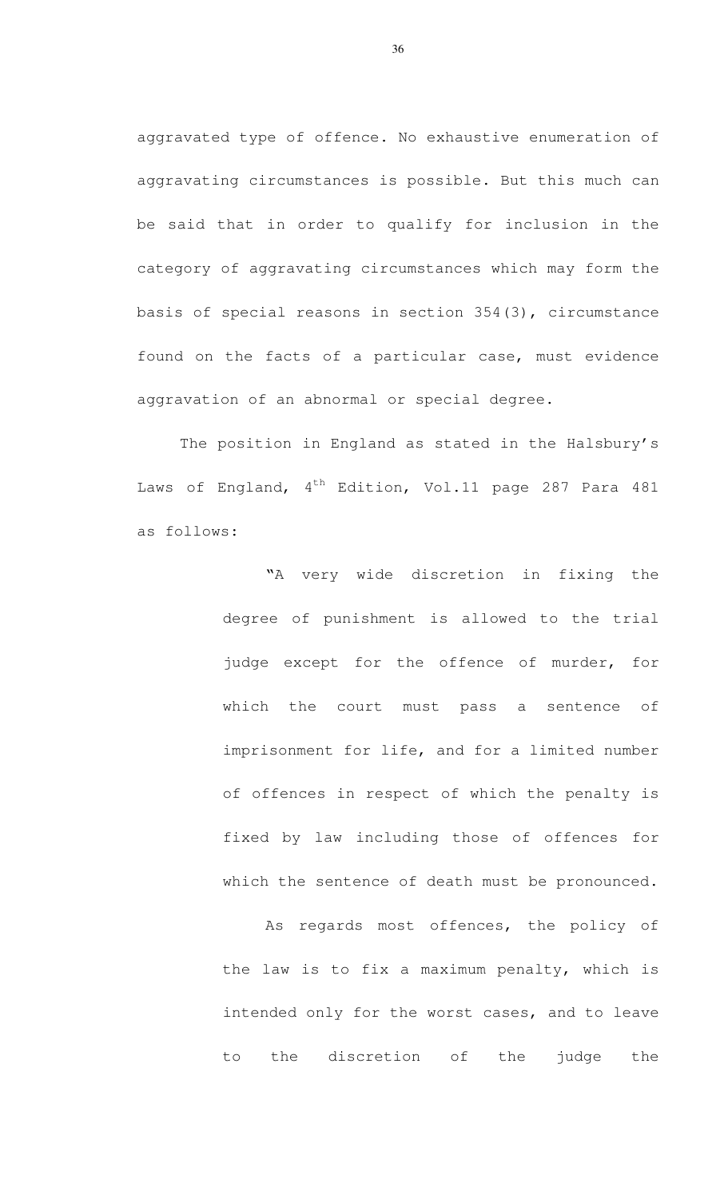aggravated type of offence. No exhaustive enumeration of aggravating circumstances is possible. But this much can be said that in order to qualify for inclusion in the category of aggravating circumstances which may form the basis of special reasons in section 354(3), circumstance found on the facts of a particular case, must evidence aggravation of an abnormal or special degree.

 The position in England as stated in the Halsbury's Laws of England, 4<sup>th</sup> Edition, Vol.11 page 287 Para 481 as follows:

> "A very wide discretion in fixing the degree of punishment is allowed to the trial judge except for the offence of murder, for which the court must pass a sentence of imprisonment for life, and for a limited number of offences in respect of which the penalty is fixed by law including those of offences for which the sentence of death must be pronounced.

> As regards most offences, the policy of the law is to fix a maximum penalty, which is intended only for the worst cases, and to leave to the discretion of the judge the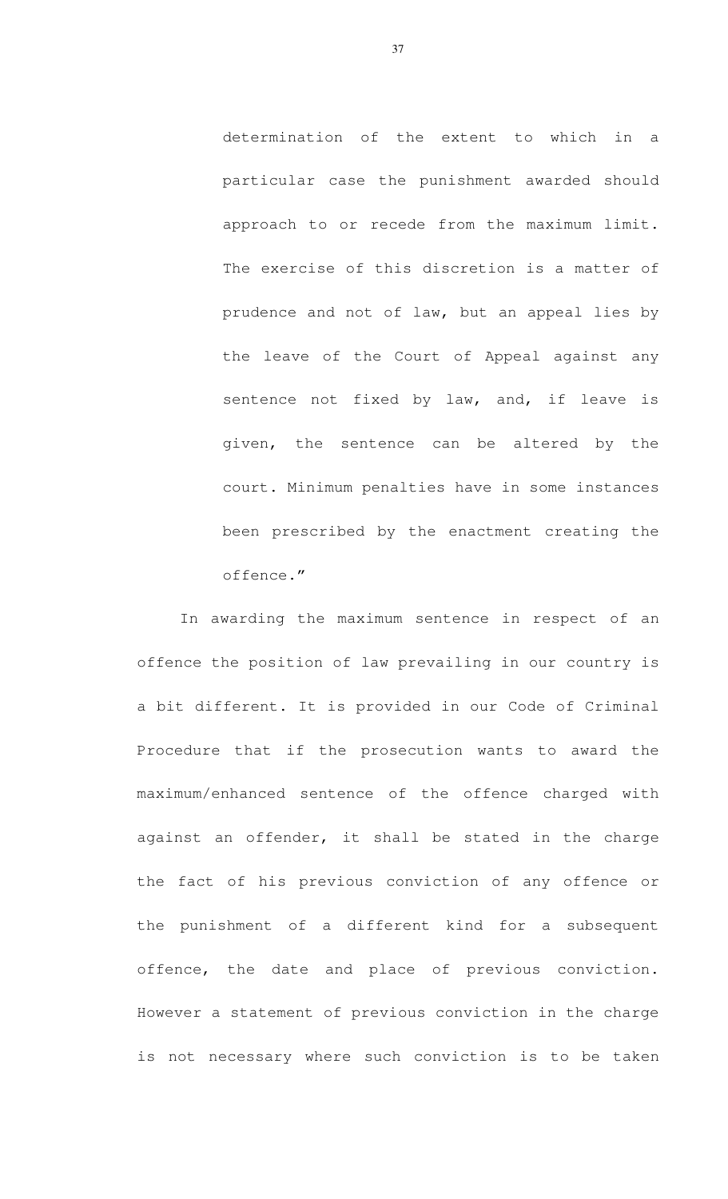determination of the extent to which in a particular case the punishment awarded should approach to or recede from the maximum limit. The exercise of this discretion is a matter of prudence and not of law, but an appeal lies by the leave of the Court of Appeal against any sentence not fixed by law, and, if leave is given, the sentence can be altered by the court. Minimum penalties have in some instances been prescribed by the enactment creating the offence."

 In awarding the maximum sentence in respect of an offence the position of law prevailing in our country is a bit different. It is provided in our Code of Criminal Procedure that if the prosecution wants to award the maximum/enhanced sentence of the offence charged with against an offender, it shall be stated in the charge the fact of his previous conviction of any offence or the punishment of a different kind for a subsequent offence, the date and place of previous conviction. However a statement of previous conviction in the charge is not necessary where such conviction is to be taken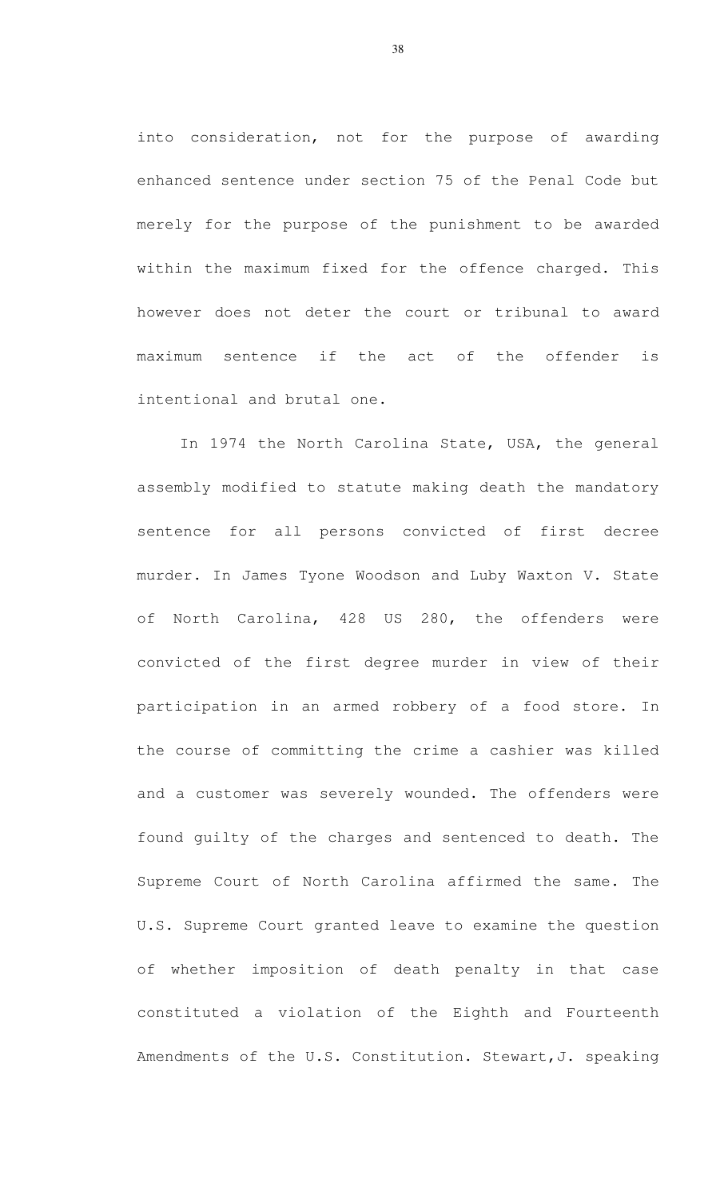into consideration, not for the purpose of awarding enhanced sentence under section 75 of the Penal Code but merely for the purpose of the punishment to be awarded within the maximum fixed for the offence charged. This however does not deter the court or tribunal to award maximum sentence if the act of the offender is intentional and brutal one.

 In 1974 the North Carolina State, USA, the general assembly modified to statute making death the mandatory sentence for all persons convicted of first decree murder. In James Tyone Woodson and Luby Waxton V. State of North Carolina, 428 US 280, the offenders were convicted of the first degree murder in view of their participation in an armed robbery of a food store. In the course of committing the crime a cashier was killed and a customer was severely wounded. The offenders were found guilty of the charges and sentenced to death. The Supreme Court of North Carolina affirmed the same. The U.S. Supreme Court granted leave to examine the question of whether imposition of death penalty in that case constituted a violation of the Eighth and Fourteenth Amendments of the U.S. Constitution. Stewart,J. speaking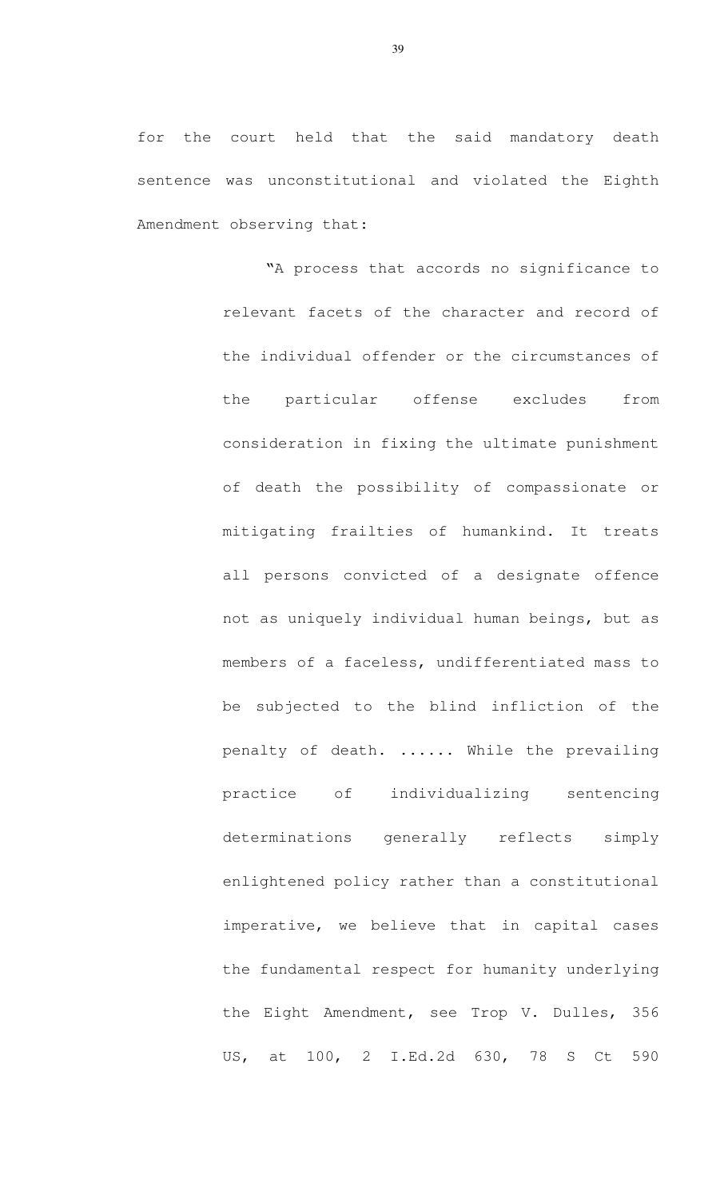for the court held that the said mandatory death sentence was unconstitutional and violated the Eighth Amendment observing that:

> "A process that accords no significance to relevant facets of the character and record of the individual offender or the circumstances of the particular offense excludes from consideration in fixing the ultimate punishment of death the possibility of compassionate or mitigating frailties of humankind. It treats all persons convicted of a designate offence not as uniquely individual human beings, but as members of a faceless, undifferentiated mass to be subjected to the blind infliction of the penalty of death. ...... While the prevailing practice of individualizing sentencing determinations generally reflects simply enlightened policy rather than a constitutional imperative, we believe that in capital cases the fundamental respect for humanity underlying the Eight Amendment, see Trop V. Dulles, 356 US, at 100, 2 I.Ed.2d 630, 78 S Ct 590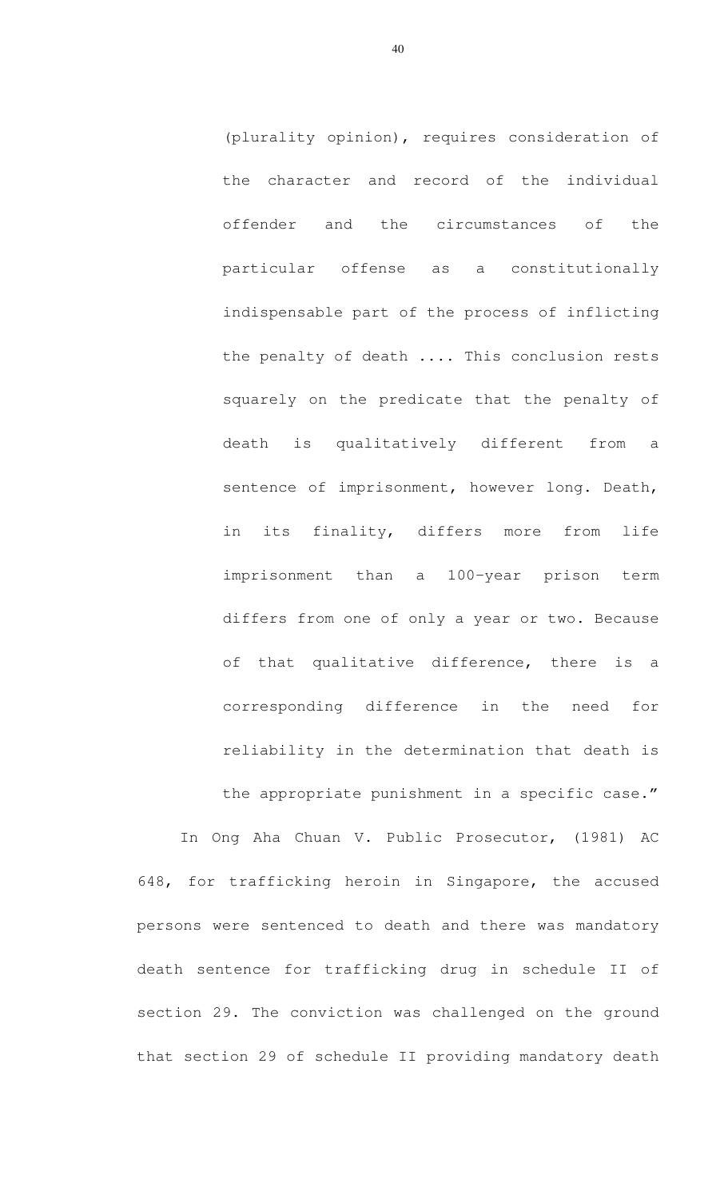(plurality opinion), requires consideration of the character and record of the individual offender and the circumstances of the particular offense as a constitutionally indispensable part of the process of inflicting the penalty of death .... This conclusion rests squarely on the predicate that the penalty of death is qualitatively different from a sentence of imprisonment, however long. Death, in its finality, differs more from life imprisonment than a 100-year prison term differs from one of only a year or two. Because of that qualitative difference, there is a corresponding difference in the need for reliability in the determination that death is the appropriate punishment in a specific case."

In Ong Aha Chuan V. Public Prosecutor, (1981) AC 648, for trafficking heroin in Singapore, the accused persons were sentenced to death and there was mandatory death sentence for trafficking drug in schedule II of section 29. The conviction was challenged on the ground that section 29 of schedule II providing mandatory death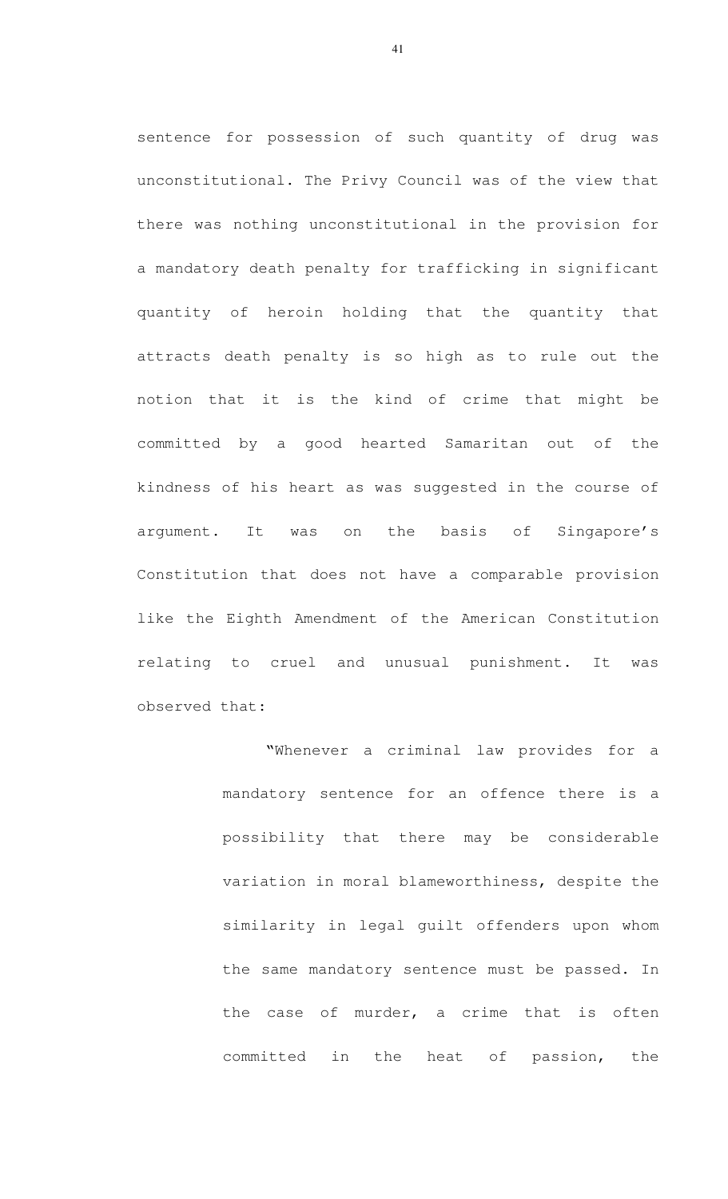sentence for possession of such quantity of drug was unconstitutional. The Privy Council was of the view that there was nothing unconstitutional in the provision for a mandatory death penalty for trafficking in significant quantity of heroin holding that the quantity that attracts death penalty is so high as to rule out the notion that it is the kind of crime that might be committed by a good hearted Samaritan out of the kindness of his heart as was suggested in the course of argument. It was on the basis of Singapore's Constitution that does not have a comparable provision like the Eighth Amendment of the American Constitution relating to cruel and unusual punishment. It was observed that:

> "Whenever a criminal law provides for a mandatory sentence for an offence there is a possibility that there may be considerable variation in moral blameworthiness, despite the similarity in legal guilt offenders upon whom the same mandatory sentence must be passed. In the case of murder, a crime that is often committed in the heat of passion, the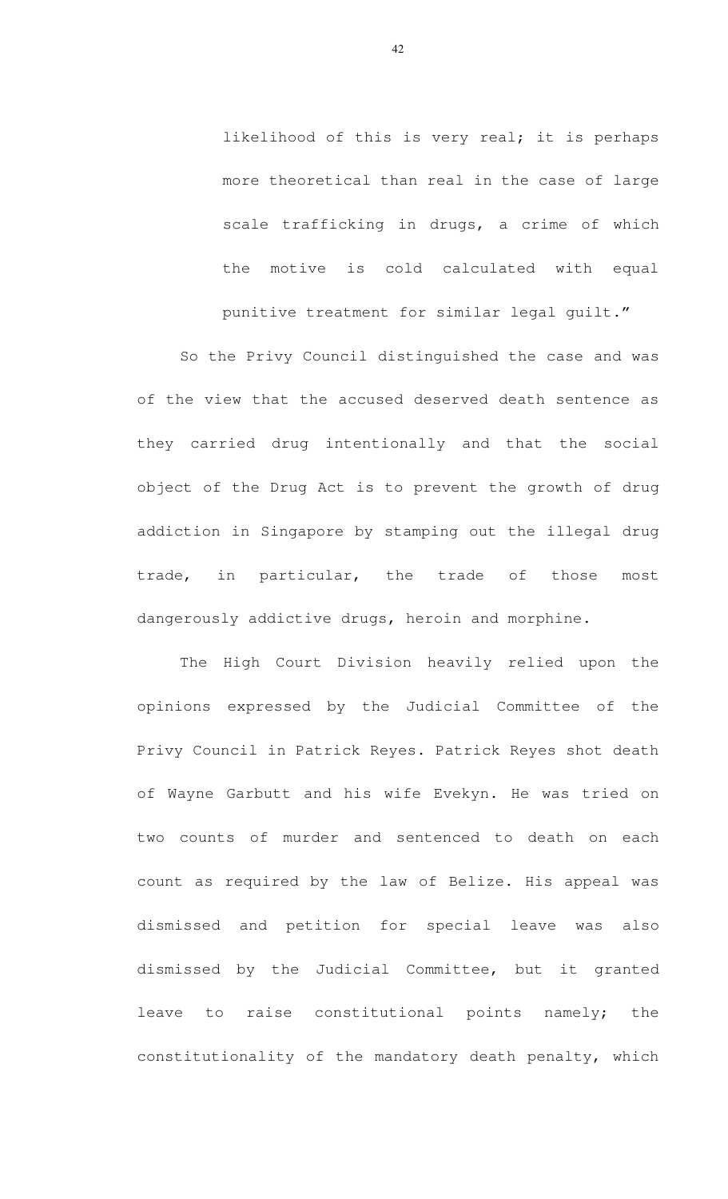likelihood of this is very real; it is perhaps more theoretical than real in the case of large scale trafficking in drugs, a crime of which the motive is cold calculated with equal punitive treatment for similar legal guilt."

So the Privy Council distinguished the case and was of the view that the accused deserved death sentence as they carried drug intentionally and that the social object of the Drug Act is to prevent the growth of drug addiction in Singapore by stamping out the illegal drug trade, in particular, the trade of those most dangerously addictive drugs, heroin and morphine.

The High Court Division heavily relied upon the opinions expressed by the Judicial Committee of the Privy Council in Patrick Reyes. Patrick Reyes shot death of Wayne Garbutt and his wife Evekyn. He was tried on two counts of murder and sentenced to death on each count as required by the law of Belize. His appeal was dismissed and petition for special leave was also dismissed by the Judicial Committee, but it granted leave to raise constitutional points namely; the constitutionality of the mandatory death penalty, which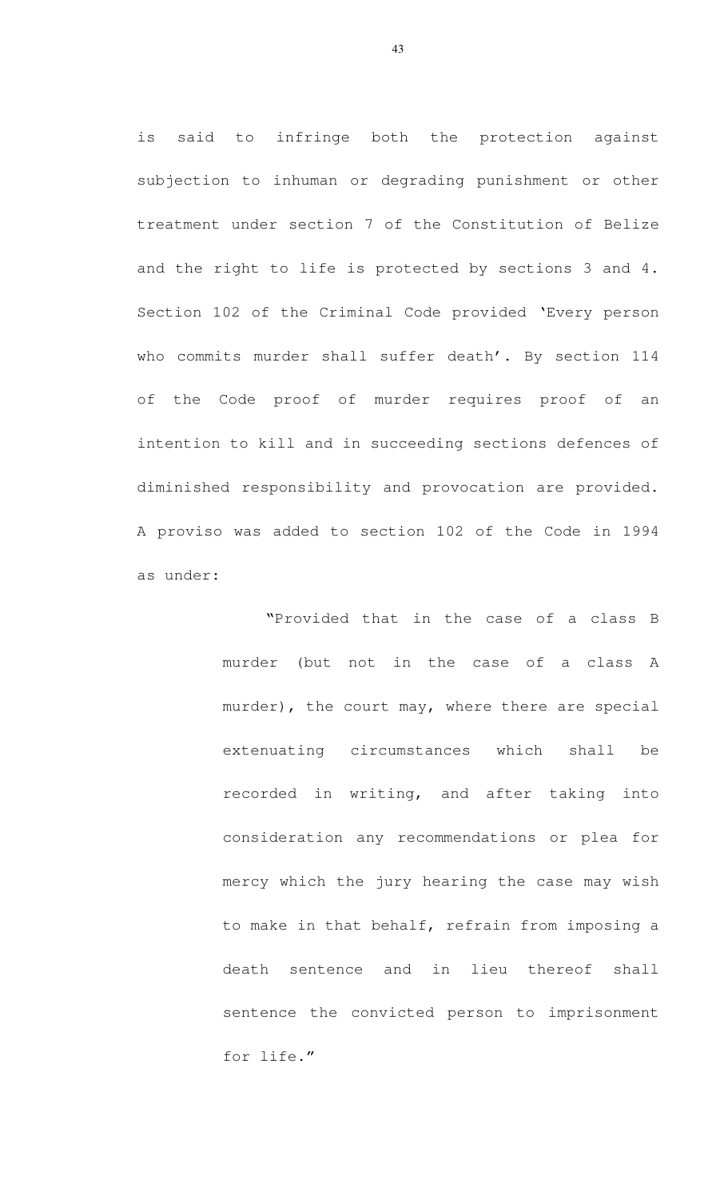is said to infringe both the protection against subjection to inhuman or degrading punishment or other treatment under section 7 of the Constitution of Belize and the right to life is protected by sections 3 and 4. Section 102 of the Criminal Code provided 'Every person who commits murder shall suffer death'. By section 114 of the Code proof of murder requires proof of an intention to kill and in succeeding sections defences of diminished responsibility and provocation are provided. A proviso was added to section 102 of the Code in 1994 as under:

> "Provided that in the case of a class B murder (but not in the case of a class A murder), the court may, where there are special extenuating circumstances which shall be recorded in writing, and after taking into consideration any recommendations or plea for mercy which the jury hearing the case may wish to make in that behalf, refrain from imposing a death sentence and in lieu thereof shall sentence the convicted person to imprisonment for life."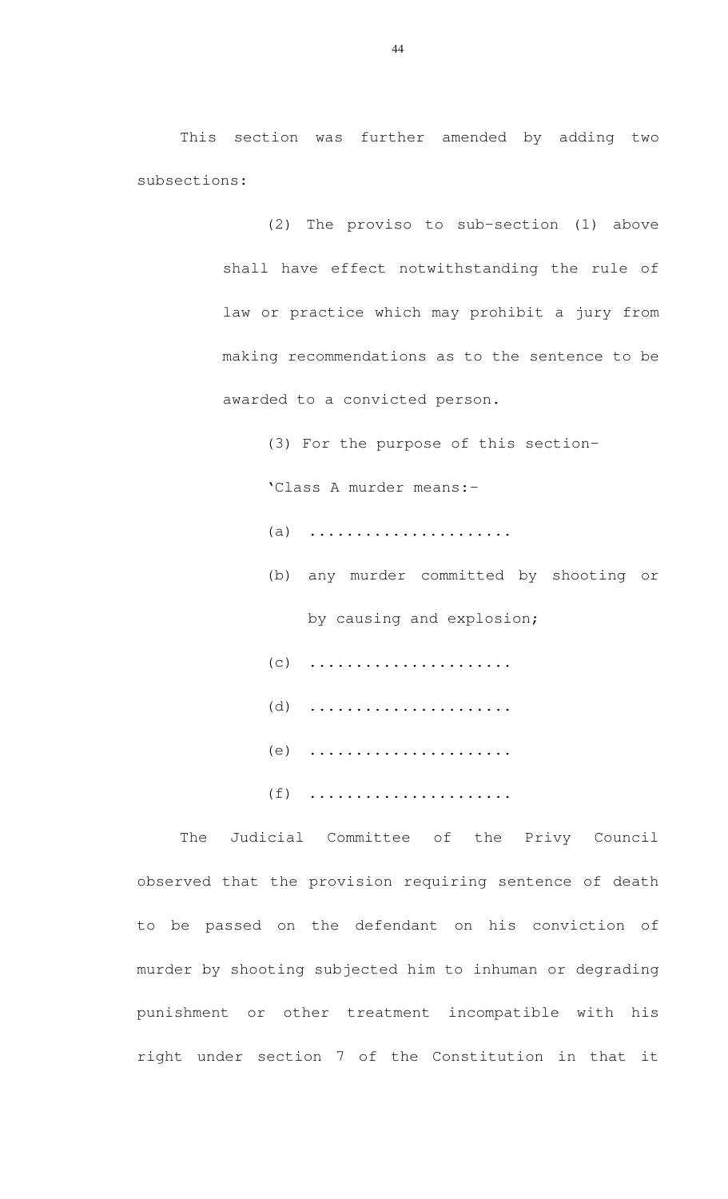This section was further amended by adding two subsections:

> (2) The proviso to sub-section (1) above shall have effect notwithstanding the rule of law or practice which may prohibit a jury from making recommendations as to the sentence to be awarded to a convicted person.

> > (3) For the purpose of this section- 'Class A murder means:- (a) ...................... (b) any murder committed by shooting or by causing and explosion; (c) ...................... (d) ...................... (e) ...................... (f) ......................

The Judicial Committee of the Privy Council observed that the provision requiring sentence of death to be passed on the defendant on his conviction of murder by shooting subjected him to inhuman or degrading punishment or other treatment incompatible with his right under section 7 of the Constitution in that it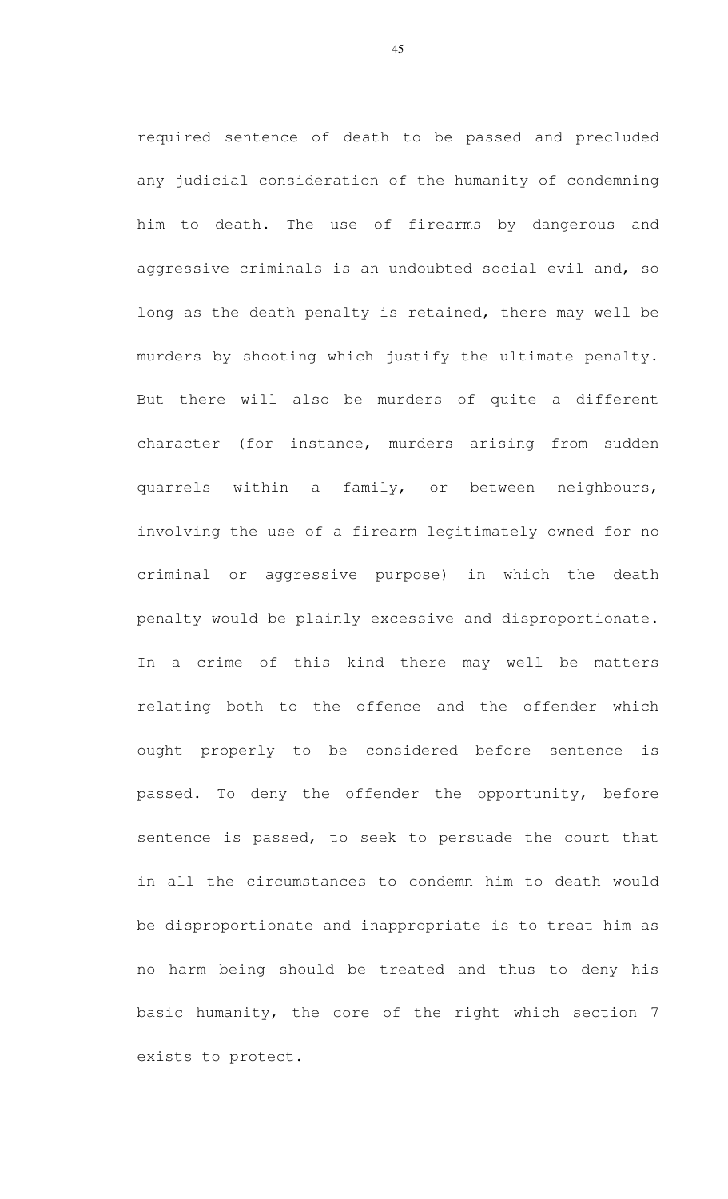required sentence of death to be passed and precluded any judicial consideration of the humanity of condemning him to death. The use of firearms by dangerous and aggressive criminals is an undoubted social evil and, so long as the death penalty is retained, there may well be murders by shooting which justify the ultimate penalty. But there will also be murders of quite a different character (for instance, murders arising from sudden quarrels within a family, or between neighbours, involving the use of a firearm legitimately owned for no criminal or aggressive purpose) in which the death penalty would be plainly excessive and disproportionate. In a crime of this kind there may well be matters relating both to the offence and the offender which ought properly to be considered before sentence is passed. To deny the offender the opportunity, before sentence is passed, to seek to persuade the court that in all the circumstances to condemn him to death would be disproportionate and inappropriate is to treat him as no harm being should be treated and thus to deny his basic humanity, the core of the right which section 7 exists to protect.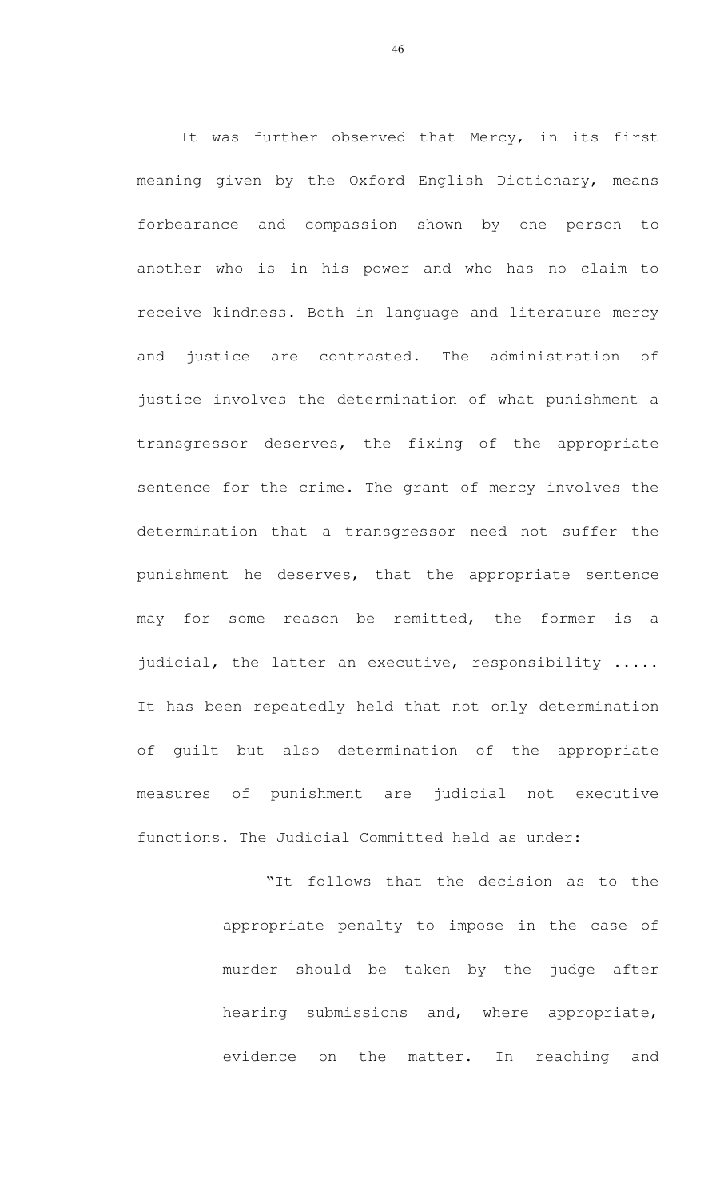It was further observed that Mercy, in its first meaning given by the Oxford English Dictionary, means forbearance and compassion shown by one person to another who is in his power and who has no claim to receive kindness. Both in language and literature mercy and justice are contrasted. The administration of justice involves the determination of what punishment a transgressor deserves, the fixing of the appropriate sentence for the crime. The grant of mercy involves the determination that a transgressor need not suffer the punishment he deserves, that the appropriate sentence may for some reason be remitted, the former is a judicial, the latter an executive, responsibility ..... It has been repeatedly held that not only determination of guilt but also determination of the appropriate measures of punishment are judicial not executive functions. The Judicial Committed held as under:

> "It follows that the decision as to the appropriate penalty to impose in the case of murder should be taken by the judge after hearing submissions and, where appropriate, evidence on the matter. In reaching and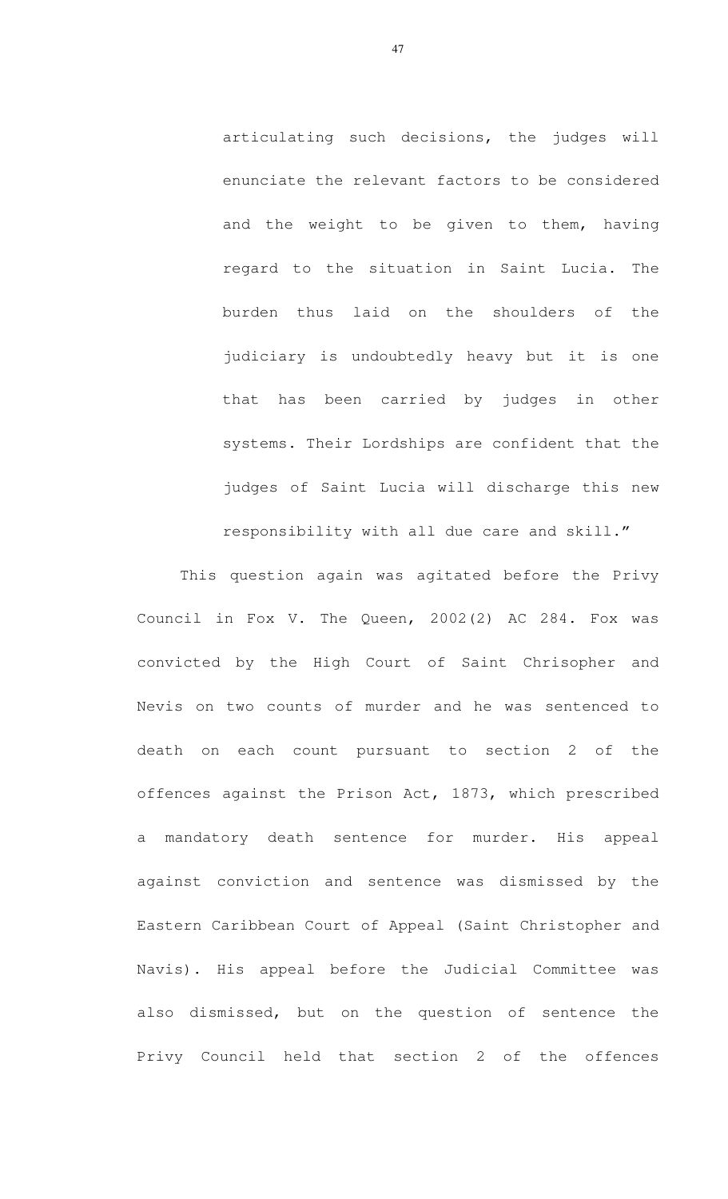articulating such decisions, the judges will enunciate the relevant factors to be considered and the weight to be given to them, having regard to the situation in Saint Lucia. The burden thus laid on the shoulders of the judiciary is undoubtedly heavy but it is one that has been carried by judges in other systems. Their Lordships are confident that the judges of Saint Lucia will discharge this new responsibility with all due care and skill."

This question again was agitated before the Privy Council in Fox V. The Queen, 2002(2) AC 284. Fox was convicted by the High Court of Saint Chrisopher and Nevis on two counts of murder and he was sentenced to death on each count pursuant to section 2 of the offences against the Prison Act, 1873, which prescribed a mandatory death sentence for murder. His appeal against conviction and sentence was dismissed by the Eastern Caribbean Court of Appeal (Saint Christopher and Navis). His appeal before the Judicial Committee was also dismissed, but on the question of sentence the Privy Council held that section 2 of the offences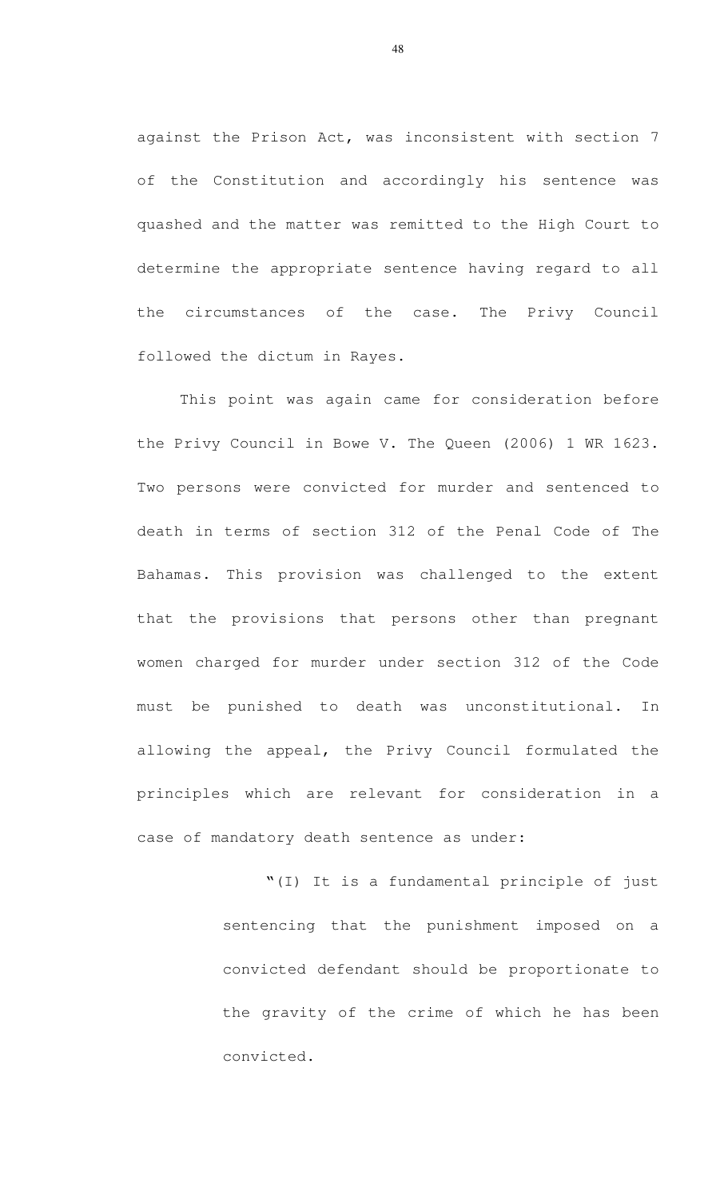against the Prison Act, was inconsistent with section 7 of the Constitution and accordingly his sentence was quashed and the matter was remitted to the High Court to determine the appropriate sentence having regard to all the circumstances of the case. The Privy Council followed the dictum in Rayes.

This point was again came for consideration before the Privy Council in Bowe V. The Queen (2006) 1 WR 1623. Two persons were convicted for murder and sentenced to death in terms of section 312 of the Penal Code of The Bahamas. This provision was challenged to the extent that the provisions that persons other than pregnant women charged for murder under section 312 of the Code must be punished to death was unconstitutional. In allowing the appeal, the Privy Council formulated the principles which are relevant for consideration in a case of mandatory death sentence as under:

> "(I) It is a fundamental principle of just sentencing that the punishment imposed on a convicted defendant should be proportionate to the gravity of the crime of which he has been convicted.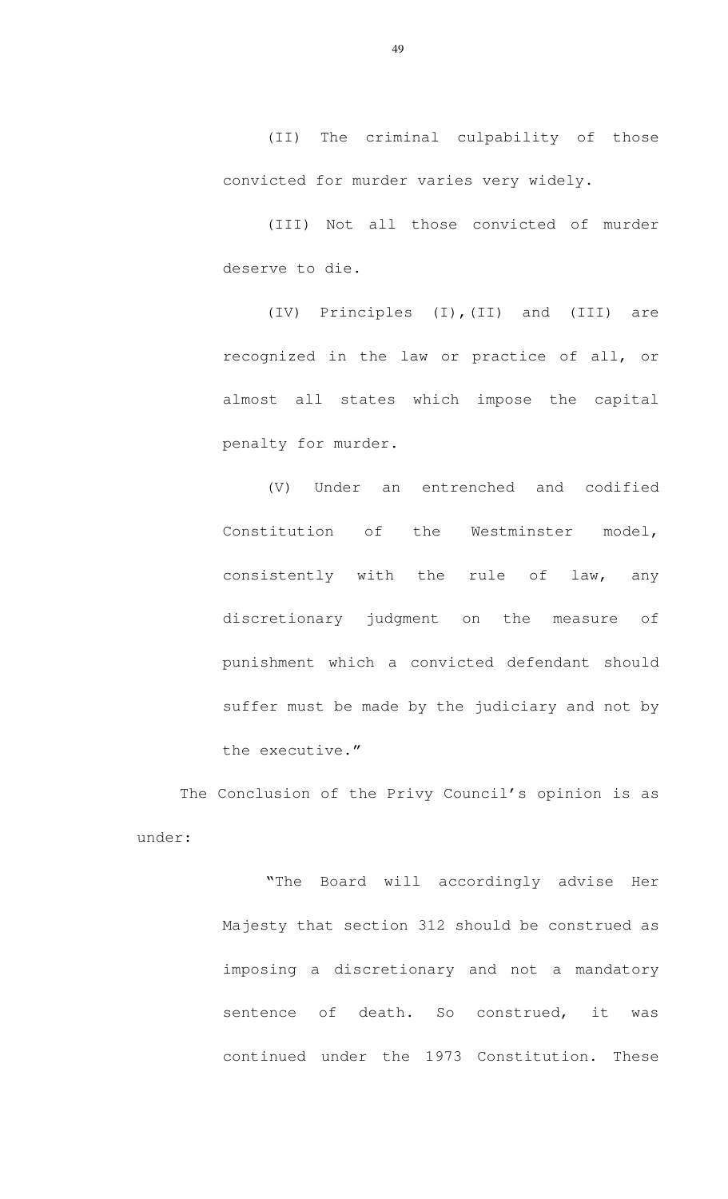(II) The criminal culpability of those convicted for murder varies very widely.

(III) Not all those convicted of murder deserve to die.

(IV) Principles (I),(II) and (III) are recognized in the law or practice of all, or almost all states which impose the capital penalty for murder.

(V) Under an entrenched and codified Constitution of the Westminster model, consistently with the rule of law, any discretionary judgment on the measure of punishment which a convicted defendant should suffer must be made by the judiciary and not by the executive."

The Conclusion of the Privy Council's opinion is as under:

> "The Board will accordingly advise Her Majesty that section 312 should be construed as imposing a discretionary and not a mandatory sentence of death. So construed, it was continued under the 1973 Constitution. These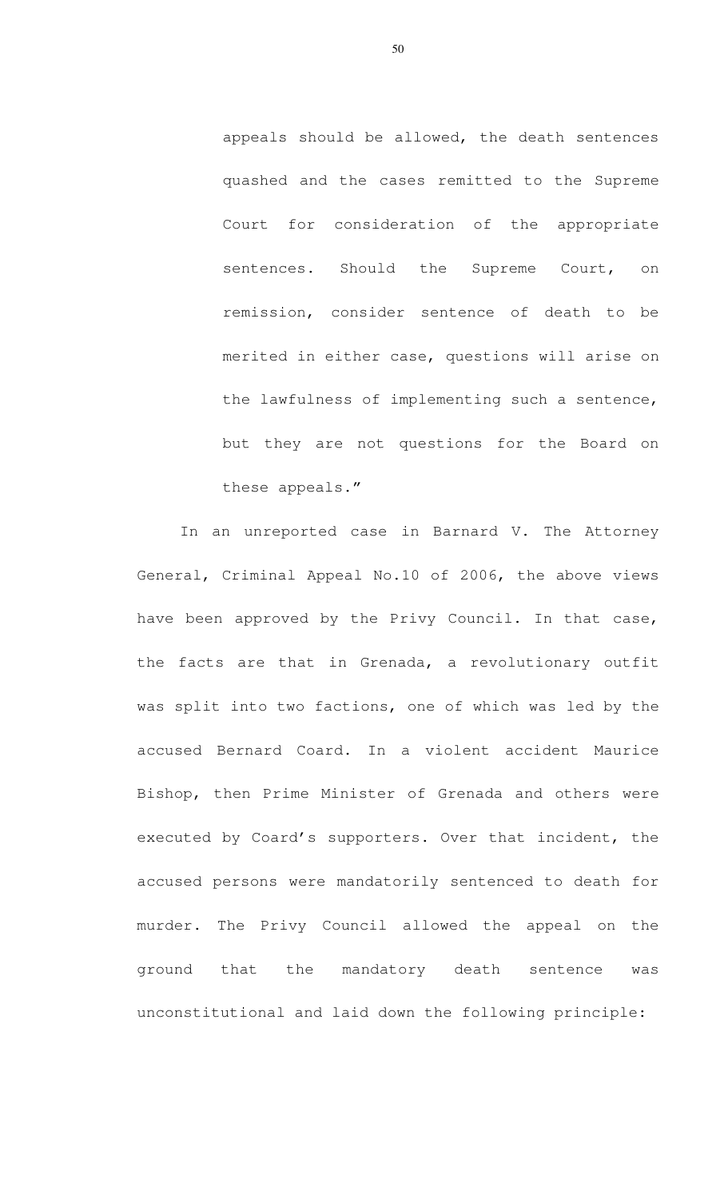appeals should be allowed, the death sentences quashed and the cases remitted to the Supreme Court for consideration of the appropriate sentences. Should the Supreme Court, on remission, consider sentence of death to be merited in either case, questions will arise on the lawfulness of implementing such a sentence, but they are not questions for the Board on these appeals."

In an unreported case in Barnard V. The Attorney General, Criminal Appeal No.10 of 2006, the above views have been approved by the Privy Council. In that case, the facts are that in Grenada, a revolutionary outfit was split into two factions, one of which was led by the accused Bernard Coard. In a violent accident Maurice Bishop, then Prime Minister of Grenada and others were executed by Coard's supporters. Over that incident, the accused persons were mandatorily sentenced to death for murder. The Privy Council allowed the appeal on the ground that the mandatory death sentence was unconstitutional and laid down the following principle: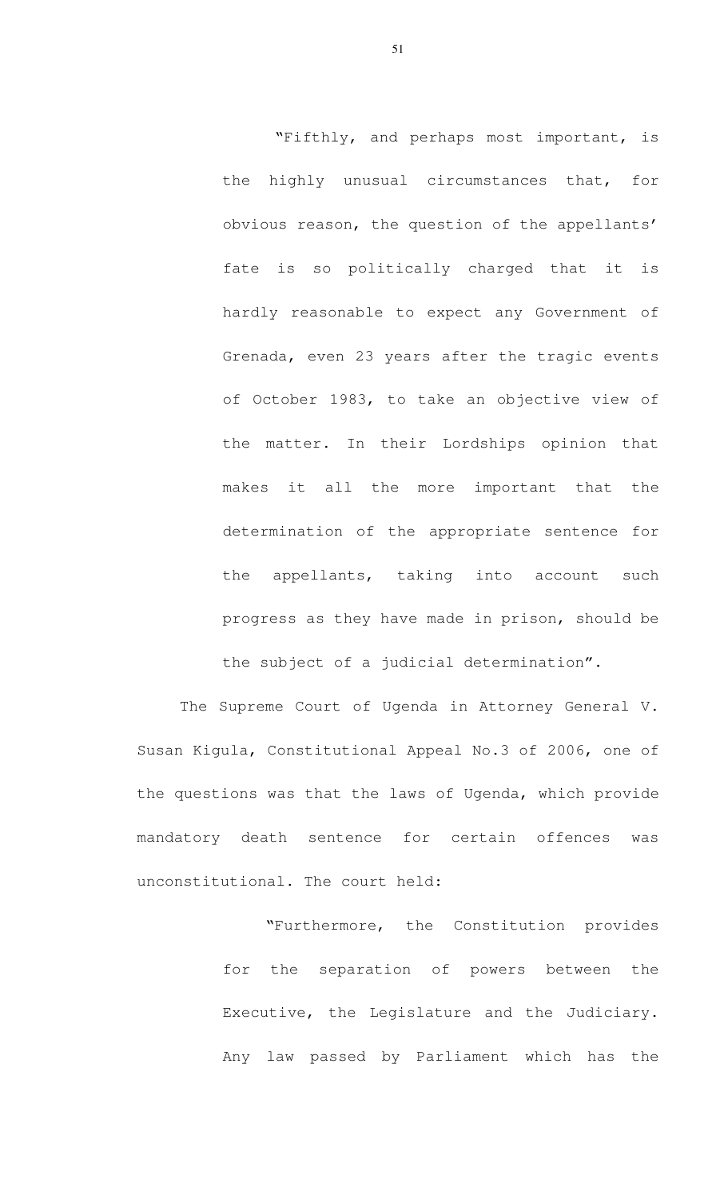"Fifthly, and perhaps most important, is the highly unusual circumstances that, for obvious reason, the question of the appellants' fate is so politically charged that it is hardly reasonable to expect any Government of Grenada, even 23 years after the tragic events of October 1983, to take an objective view of the matter. In their Lordships opinion that makes it all the more important that the determination of the appropriate sentence for the appellants, taking into account such progress as they have made in prison, should be the subject of a judicial determination".

 The Supreme Court of Ugenda in Attorney General V. Susan Kigula, Constitutional Appeal No.3 of 2006, one of the questions was that the laws of Ugenda, which provide mandatory death sentence for certain offences was unconstitutional. The court held:

> "Furthermore, the Constitution provides for the separation of powers between the Executive, the Legislature and the Judiciary. Any law passed by Parliament which has the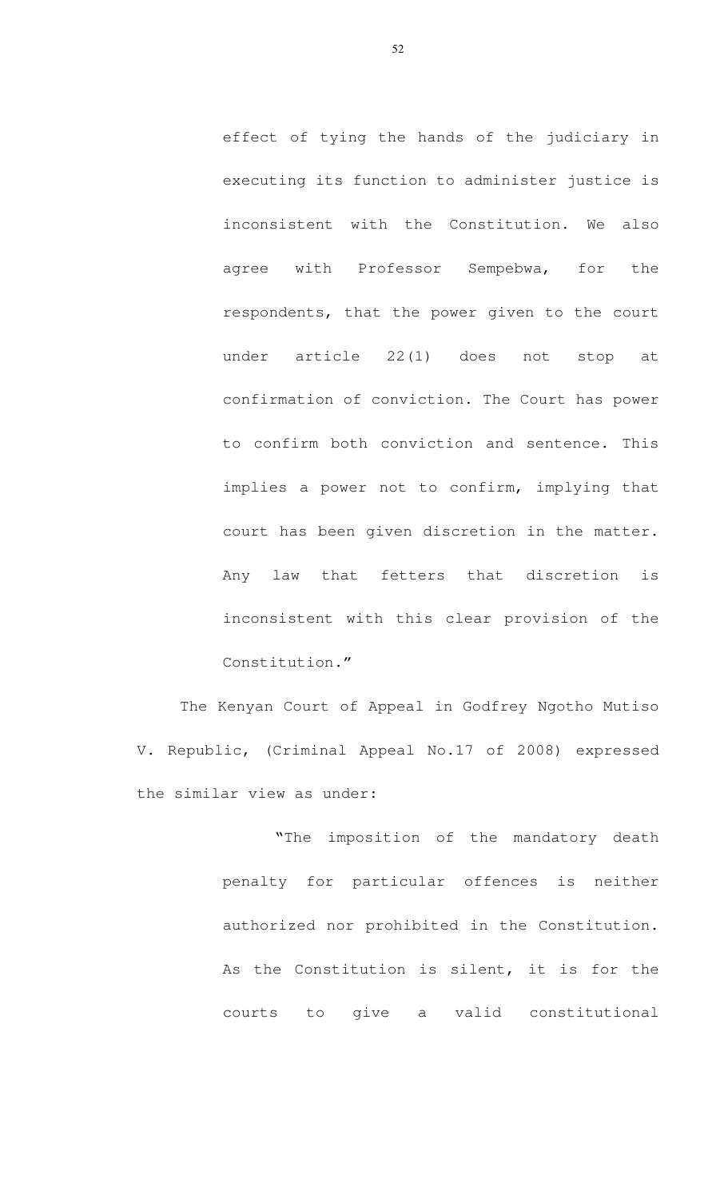effect of tying the hands of the judiciary in executing its function to administer justice is inconsistent with the Constitution. We also agree with Professor Sempebwa, for the respondents, that the power given to the court under article 22(1) does not stop at confirmation of conviction. The Court has power to confirm both conviction and sentence. This implies a power not to confirm, implying that court has been given discretion in the matter. Any law that fetters that discretion is inconsistent with this clear provision of the Constitution."

The Kenyan Court of Appeal in Godfrey Ngotho Mutiso V. Republic, (Criminal Appeal No.17 of 2008) expressed the similar view as under:

> "The imposition of the mandatory death penalty for particular offences is neither authorized nor prohibited in the Constitution. As the Constitution is silent, it is for the courts to give a valid constitutional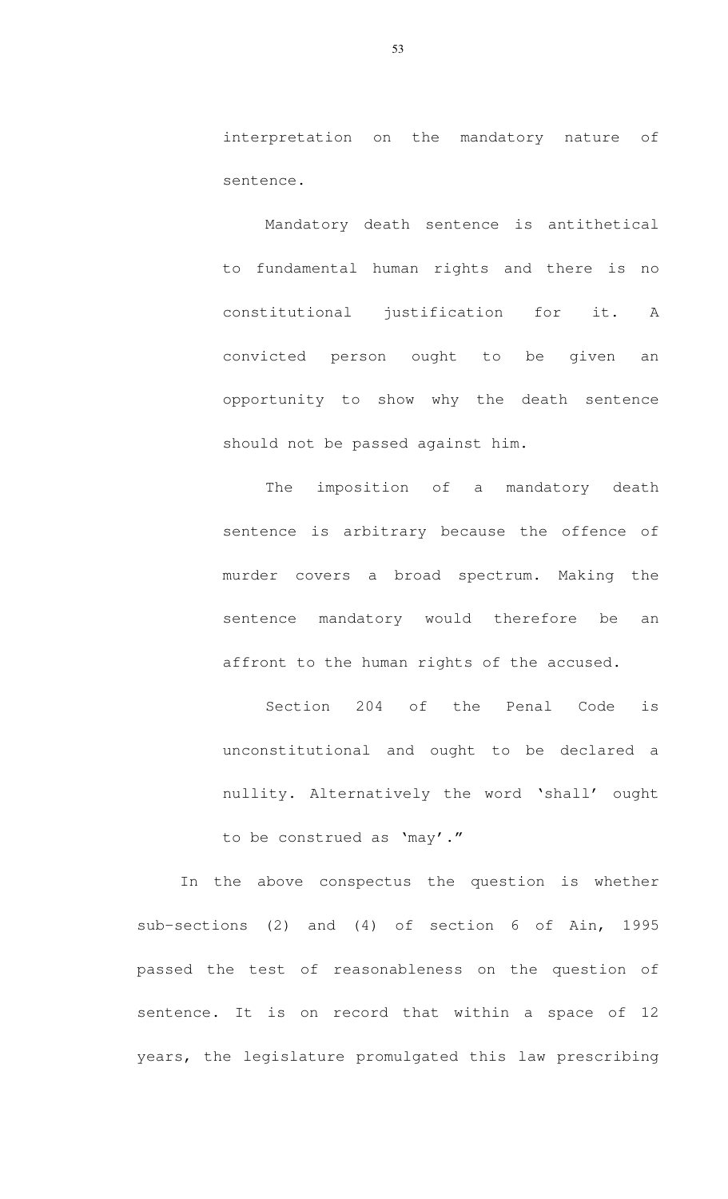interpretation on the mandatory nature of sentence.

Mandatory death sentence is antithetical to fundamental human rights and there is no constitutional justification for it. A convicted person ought to be given an opportunity to show why the death sentence should not be passed against him.

The imposition of a mandatory death sentence is arbitrary because the offence of murder covers a broad spectrum. Making the sentence mandatory would therefore be an affront to the human rights of the accused.

Section 204 of the Penal Code is unconstitutional and ought to be declared a nullity. Alternatively the word 'shall' ought to be construed as 'may'."

In the above conspectus the question is whether sub-sections (2) and (4) of section 6 of Ain, 1995 passed the test of reasonableness on the question of sentence. It is on record that within a space of 12 years, the legislature promulgated this law prescribing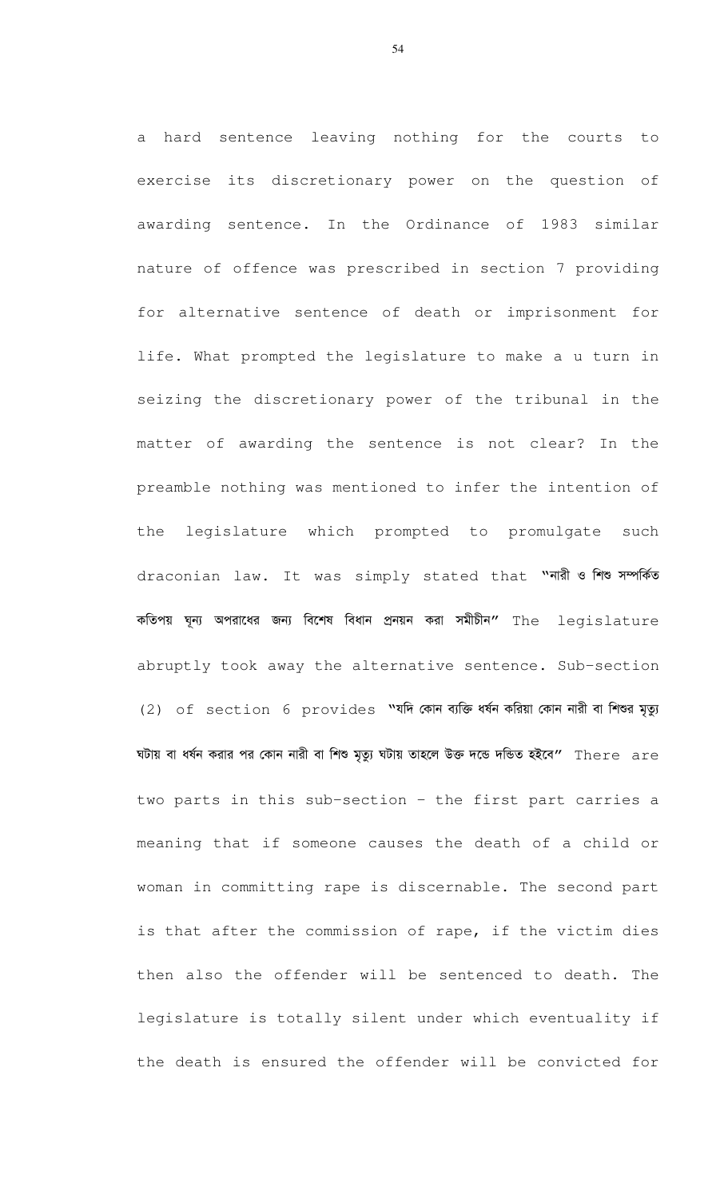a hard sentence leaving nothing for the courts to exercise its discretionary power on the question of awarding sentence. In the Ordinance of 1983 similar nature of offence was prescribed in section 7 providing for alternative sentence of death or imprisonment for life. What prompted the legislature to make a u turn in seizing the discretionary power of the tribunal in the matter of awarding the sentence is not clear? In the preamble nothing was mentioned to infer the intention of the legislature which prompted to promulgate such draconian law. It was simply stated that "ni & Free work কতিপয় ঘূন্য অপরাধের জন্য বিশেষ বিধান প্রনয়ন করা সমীচীন" The legislature abruptly took away the alternative sentence. Sub-section (2) of section 6 provides "যদি কোন ব্যক্তি ধৰ্ষন করিয়া কোন নারী বা শিশুর মৃত্যু ঘটায় বা ধর্ষন করার পর কোন নারী বা শিশু মৃত্যু ঘটায় তাহলে উক্ত দন্ডে দন্ডিত হইবে" There  $\;$ are two parts in this sub-section - the first part carries a meaning that if someone causes the death of a child or woman in committing rape is discernable. The second part is that after the commission of rape, if the victim dies then also the offender will be sentenced to death. The legislature is totally silent under which eventuality if the death is ensured the offender will be convicted for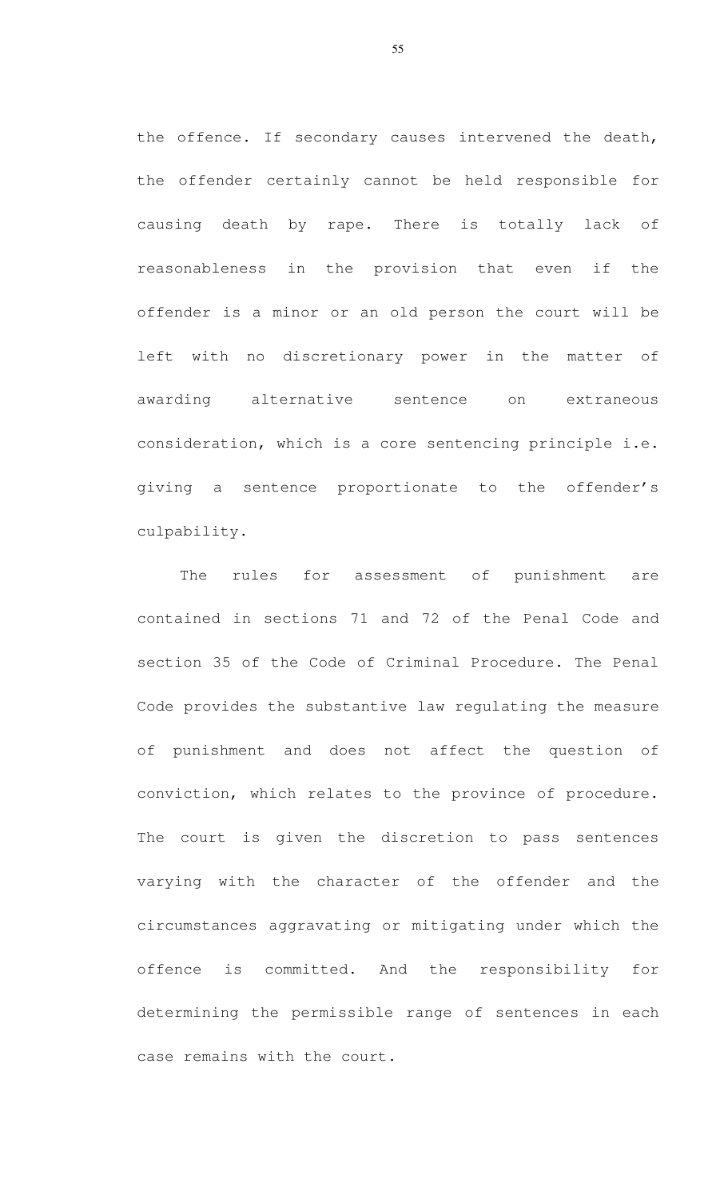the offence. If secondary causes intervened the death, the offender certainly cannot be held responsible for causing death by rape. There is totally lack of reasonableness in the provision that even if the offender is a minor or an old person the court will be left with no discretionary power in the matter of awarding alternative sentence on extraneous consideration, which is a core sentencing principle i.e. giving a sentence proportionate to the offender's culpability.

The rules for assessment of punishment are contained in sections 71 and 72 of the Penal Code and section 35 of the Code of Criminal Procedure. The Penal Code provides the substantive law regulating the measure of punishment and does not affect the question of conviction, which relates to the province of procedure. The court is given the discretion to pass sentences varying with the character of the offender and the circumstances aggravating or mitigating under which the offence is committed. And the responsibility for determining the permissible range of sentences in each case remains with the court.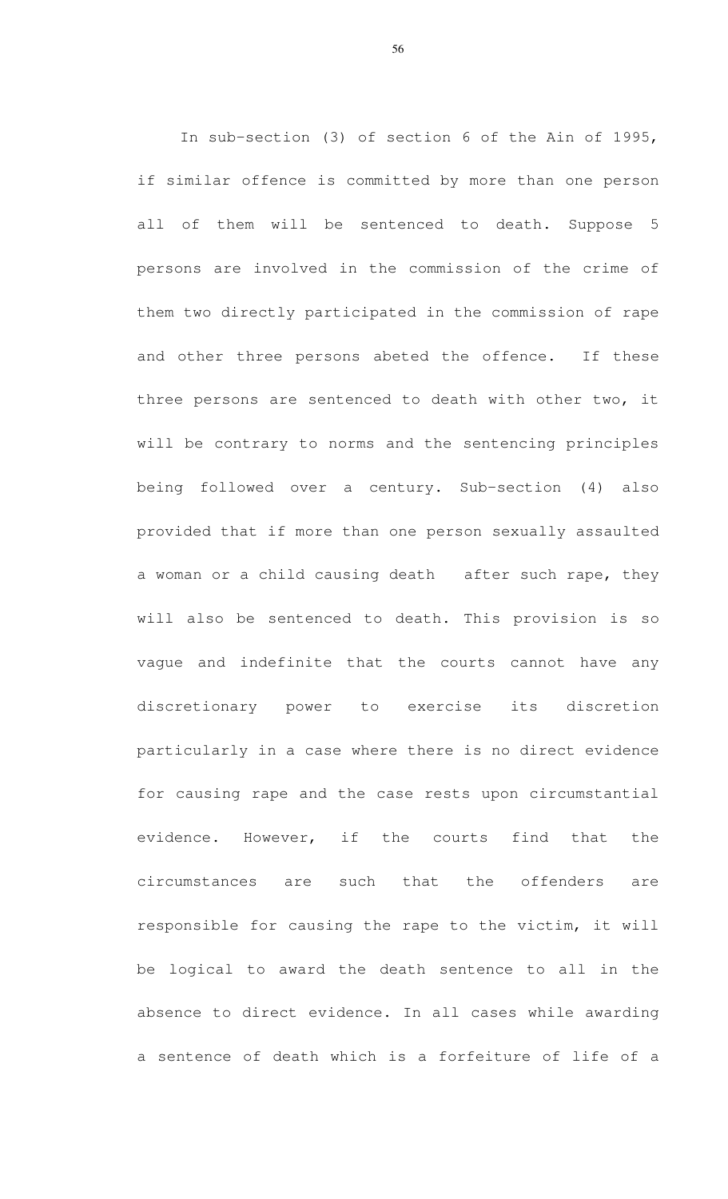In sub-section (3) of section 6 of the Ain of 1995, if similar offence is committed by more than one person all of them will be sentenced to death. Suppose 5 persons are involved in the commission of the crime of them two directly participated in the commission of rape and other three persons abeted the offence. If these three persons are sentenced to death with other two, it will be contrary to norms and the sentencing principles being followed over a century. Sub-section (4) also provided that if more than one person sexually assaulted a woman or a child causing death after such rape, they will also be sentenced to death. This provision is so vague and indefinite that the courts cannot have any discretionary power to exercise its discretion particularly in a case where there is no direct evidence for causing rape and the case rests upon circumstantial evidence. However, if the courts find that the circumstances are such that the offenders are responsible for causing the rape to the victim, it will be logical to award the death sentence to all in the absence to direct evidence. In all cases while awarding a sentence of death which is a forfeiture of life of a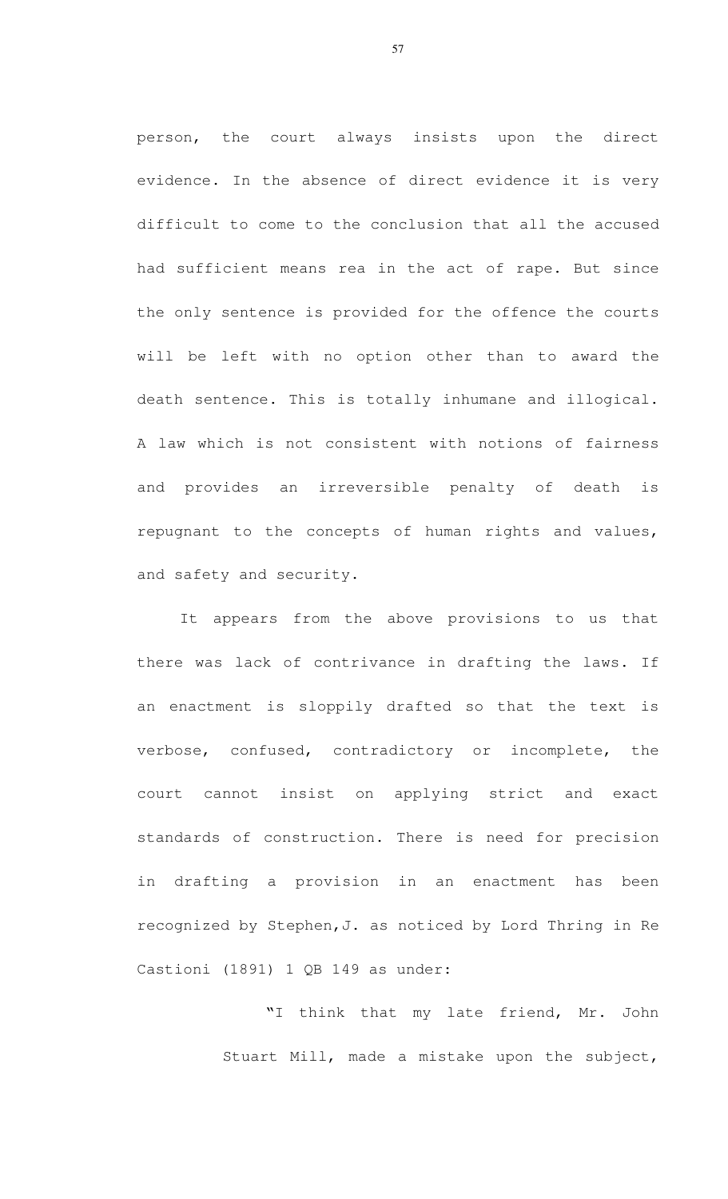person, the court always insists upon the direct evidence. In the absence of direct evidence it is very difficult to come to the conclusion that all the accused had sufficient means rea in the act of rape. But since the only sentence is provided for the offence the courts will be left with no option other than to award the death sentence. This is totally inhumane and illogical. A law which is not consistent with notions of fairness and provides an irreversible penalty of death is repugnant to the concepts of human rights and values, and safety and security.

 It appears from the above provisions to us that there was lack of contrivance in drafting the laws. If an enactment is sloppily drafted so that the text is verbose, confused, contradictory or incomplete, the court cannot insist on applying strict and exact standards of construction. There is need for precision in drafting a provision in an enactment has been recognized by Stephen,J. as noticed by Lord Thring in Re Castioni (1891) 1 QB 149 as under:

> "I think that my late friend, Mr. John Stuart Mill, made a mistake upon the subject,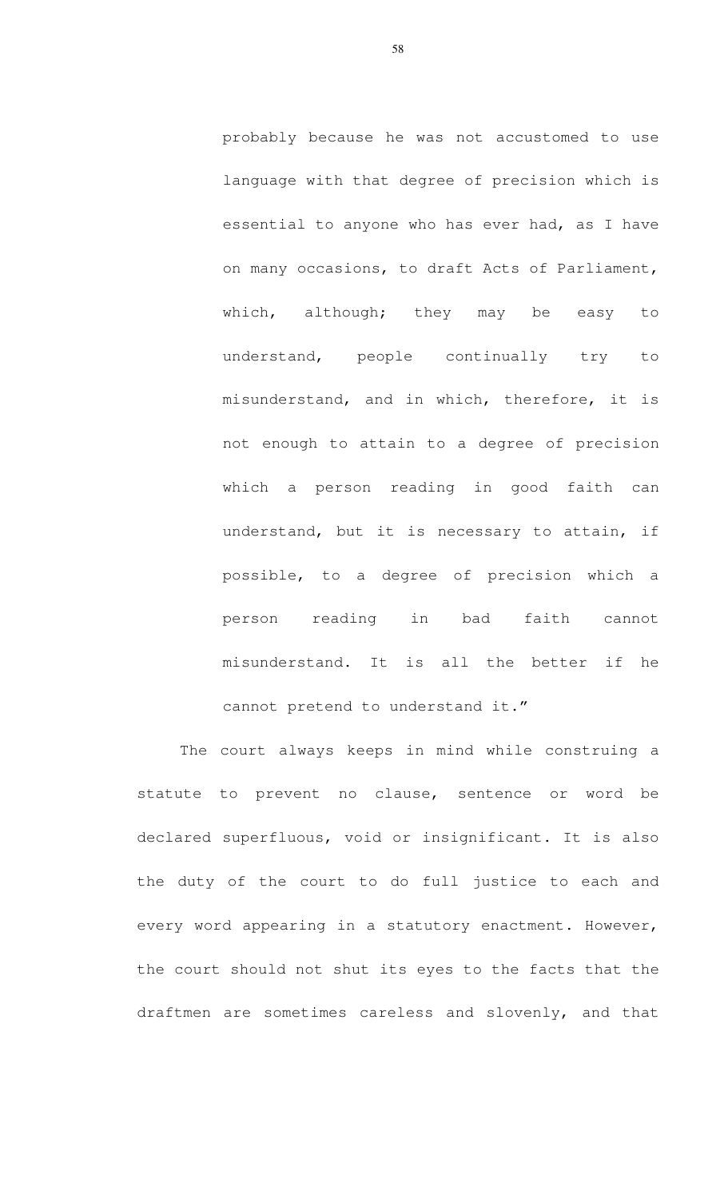probably because he was not accustomed to use language with that degree of precision which is essential to anyone who has ever had, as I have on many occasions, to draft Acts of Parliament, which, although; they may be easy to understand, people continually try to misunderstand, and in which, therefore, it is not enough to attain to a degree of precision which a person reading in good faith can understand, but it is necessary to attain, if possible, to a degree of precision which a person reading in bad faith cannot misunderstand. It is all the better if he cannot pretend to understand it."

 The court always keeps in mind while construing a statute to prevent no clause, sentence or word be declared superfluous, void or insignificant. It is also the duty of the court to do full justice to each and every word appearing in a statutory enactment. However, the court should not shut its eyes to the facts that the draftmen are sometimes careless and slovenly, and that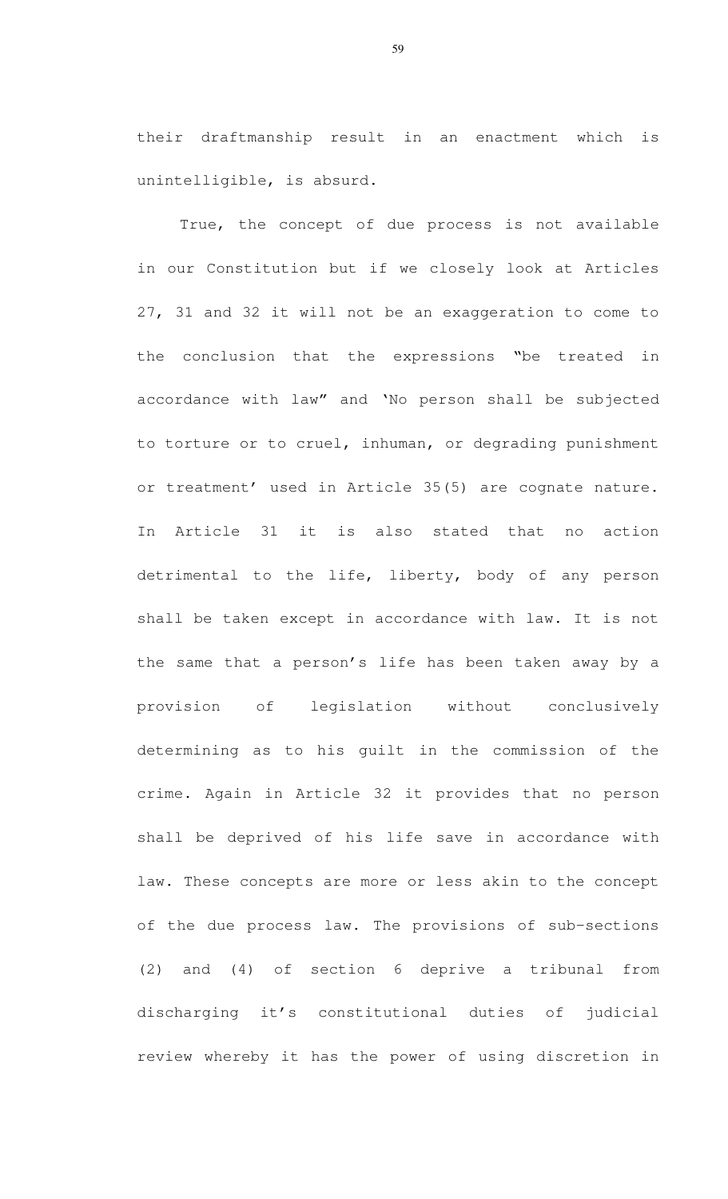their draftmanship result in an enactment which is unintelligible, is absurd.

True, the concept of due process is not available in our Constitution but if we closely look at Articles 27, 31 and 32 it will not be an exaggeration to come to the conclusion that the expressions "be treated in accordance with law" and 'No person shall be subjected to torture or to cruel, inhuman, or degrading punishment or treatment' used in Article 35(5) are cognate nature. In Article 31 it is also stated that no action detrimental to the life, liberty, body of any person shall be taken except in accordance with law. It is not the same that a person's life has been taken away by a provision of legislation without conclusively determining as to his guilt in the commission of the crime. Again in Article 32 it provides that no person shall be deprived of his life save in accordance with law. These concepts are more or less akin to the concept of the due process law. The provisions of sub-sections (2) and (4) of section 6 deprive a tribunal from discharging it's constitutional duties of judicial review whereby it has the power of using discretion in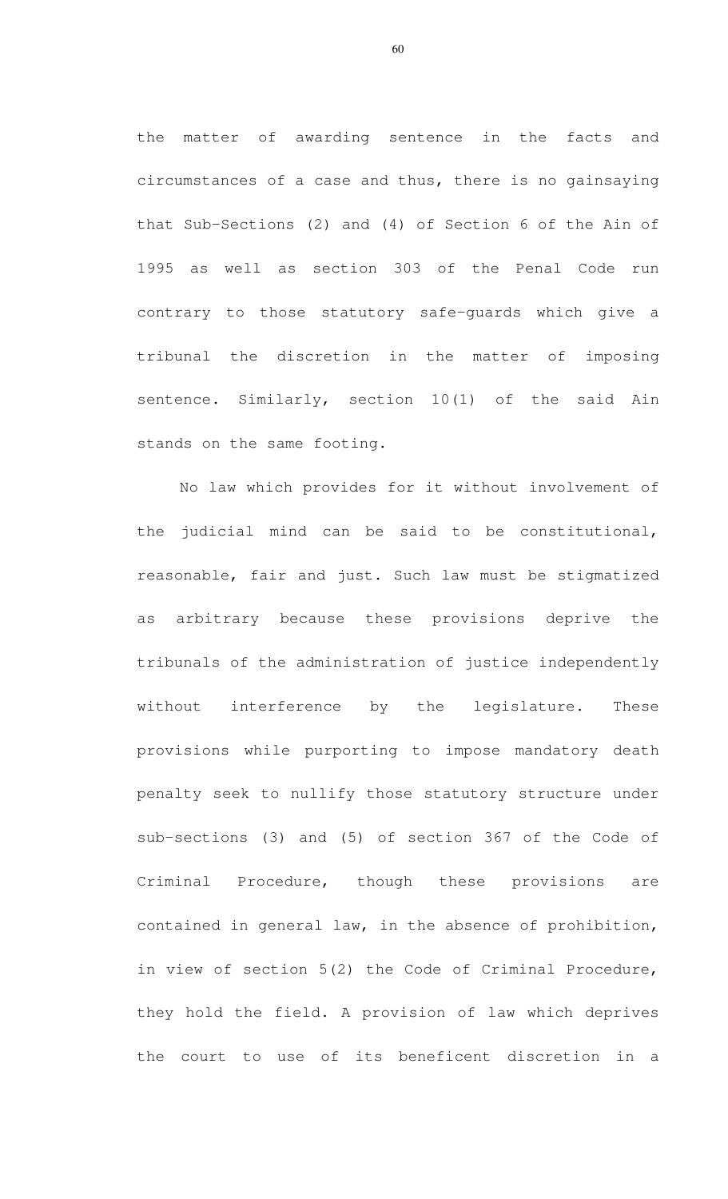the matter of awarding sentence in the facts and circumstances of a case and thus, there is no gainsaying that Sub-Sections (2) and (4) of Section 6 of the Ain of 1995 as well as section 303 of the Penal Code run contrary to those statutory safe-guards which give a tribunal the discretion in the matter of imposing sentence. Similarly, section 10(1) of the said Ain stands on the same footing.

No law which provides for it without involvement of the judicial mind can be said to be constitutional, reasonable, fair and just. Such law must be stigmatized as arbitrary because these provisions deprive the tribunals of the administration of justice independently without interference by the legislature. These provisions while purporting to impose mandatory death penalty seek to nullify those statutory structure under sub-sections (3) and (5) of section 367 of the Code of Criminal Procedure, though these provisions are contained in general law, in the absence of prohibition, in view of section 5(2) the Code of Criminal Procedure, they hold the field. A provision of law which deprives the court to use of its beneficent discretion in a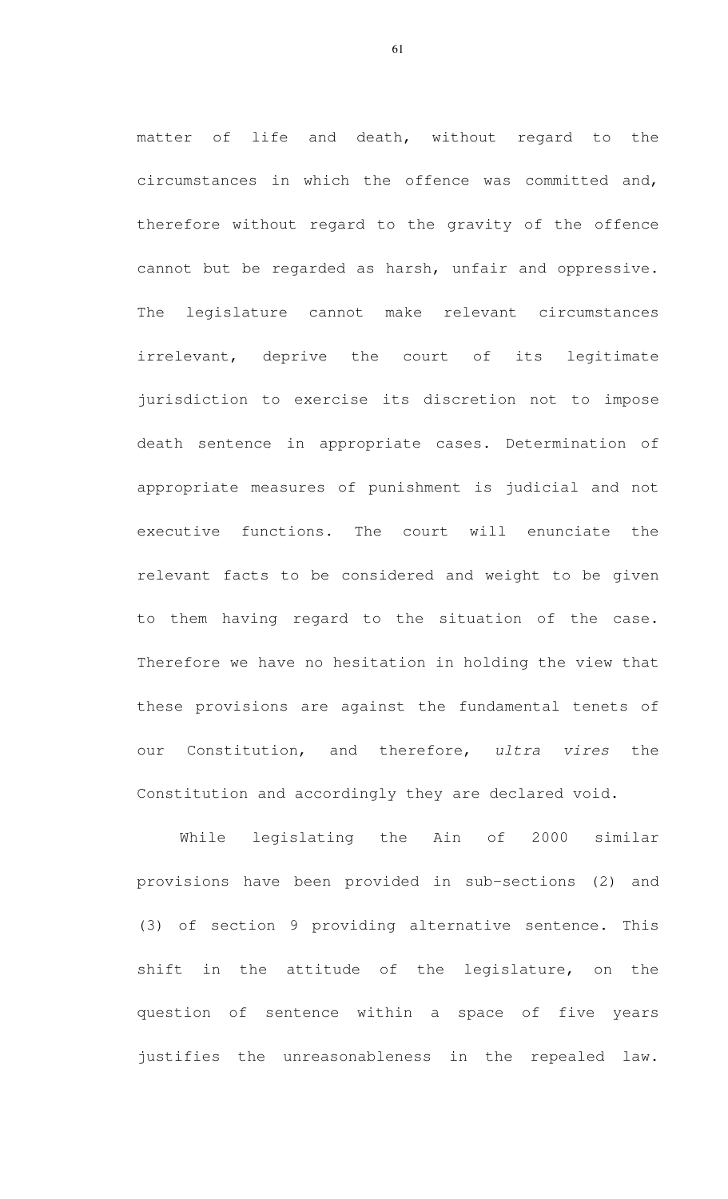matter of life and death, without regard to the circumstances in which the offence was committed and, therefore without regard to the gravity of the offence cannot but be regarded as harsh, unfair and oppressive. The legislature cannot make relevant circumstances irrelevant, deprive the court of its legitimate jurisdiction to exercise its discretion not to impose death sentence in appropriate cases. Determination of appropriate measures of punishment is judicial and not executive functions. The court will enunciate the relevant facts to be considered and weight to be given to them having regard to the situation of the case. Therefore we have no hesitation in holding the view that these provisions are against the fundamental tenets of our Constitution, and therefore, ultra vires the Constitution and accordingly they are declared void.

While legislating the Ain of 2000 similar provisions have been provided in sub-sections (2) and (3) of section 9 providing alternative sentence. This shift in the attitude of the legislature, on the question of sentence within a space of five years justifies the unreasonableness in the repealed law.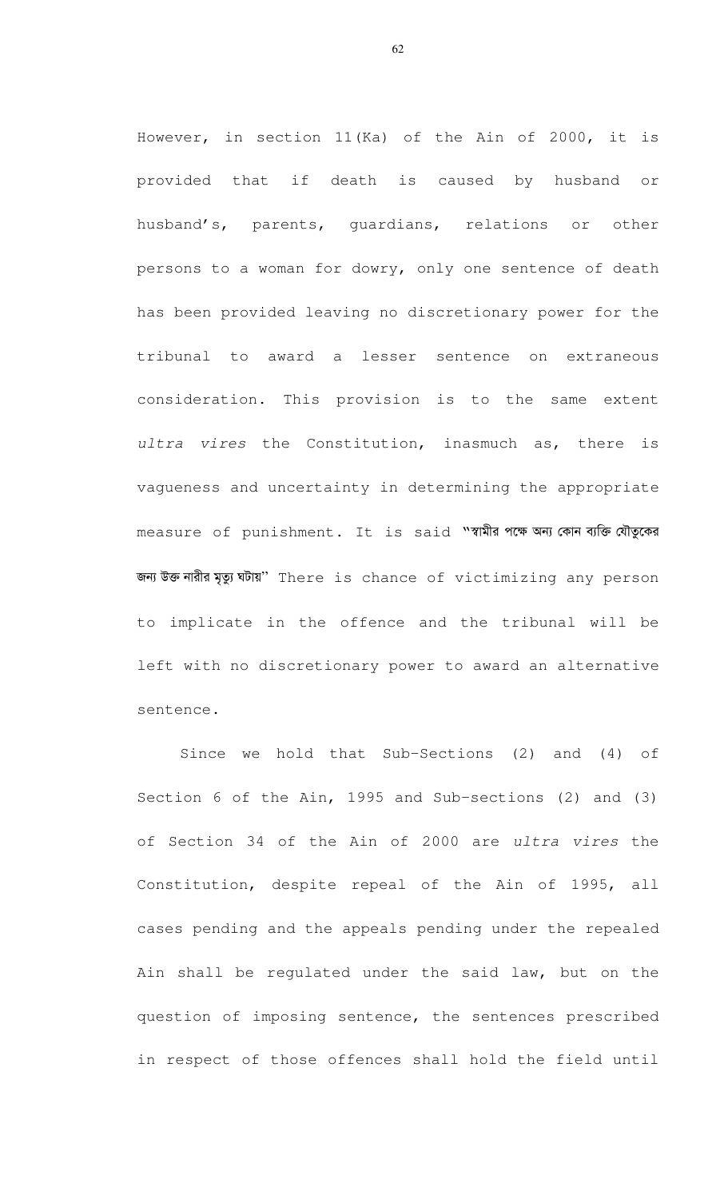However, in section 11(Ka) of the Ain of 2000, it is provided that if death is caused by husband or husband's, parents, guardians, relations or other persons to a woman for dowry, only one sentence of death has been provided leaving no discretionary power for the tribunal to award a lesser sentence on extraneous consideration. This provision is to the same extent ultra vires the Constitution, inasmuch as, there is vagueness and uncertainty in determining the appropriate measure of punishment. It is said "शभौत नक खन कान तक योज़ूदन জন্য উক্ত নারীর মৃত্যু ঘটায়" There is chance of victimizing any person to implicate in the offence and the tribunal will be left with no discretionary power to award an alternative sentence.

Since we hold that Sub-Sections (2) and (4) of Section 6 of the Ain, 1995 and Sub-sections (2) and (3) of Section 34 of the Ain of 2000 are ultra vires the Constitution, despite repeal of the Ain of 1995, all cases pending and the appeals pending under the repealed Ain shall be regulated under the said law, but on the question of imposing sentence, the sentences prescribed in respect of those offences shall hold the field until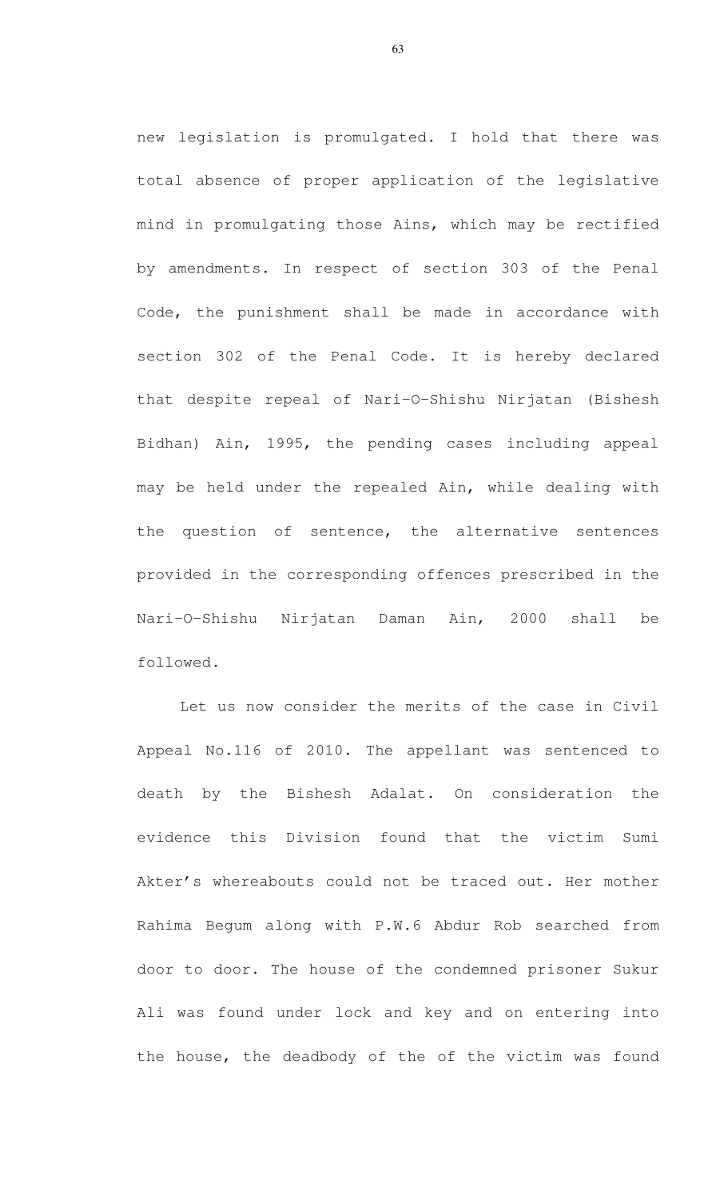new legislation is promulgated. I hold that there was total absence of proper application of the legislative mind in promulgating those Ains, which may be rectified by amendments. In respect of section 303 of the Penal Code, the punishment shall be made in accordance with section 302 of the Penal Code. It is hereby declared that despite repeal of Nari-O-Shishu Nirjatan (Bishesh Bidhan) Ain, 1995, the pending cases including appeal may be held under the repealed Ain, while dealing with the question of sentence, the alternative sentences provided in the corresponding offences prescribed in the Nari-O-Shishu Nirjatan Daman Ain, 2000 shall be followed.

Let us now consider the merits of the case in Civil Appeal No.116 of 2010. The appellant was sentenced to death by the Bishesh Adalat. On consideration the evidence this Division found that the victim Sumi Akter's whereabouts could not be traced out. Her mother Rahima Begum along with P.W.6 Abdur Rob searched from door to door. The house of the condemned prisoner Sukur Ali was found under lock and key and on entering into the house, the deadbody of the of the victim was found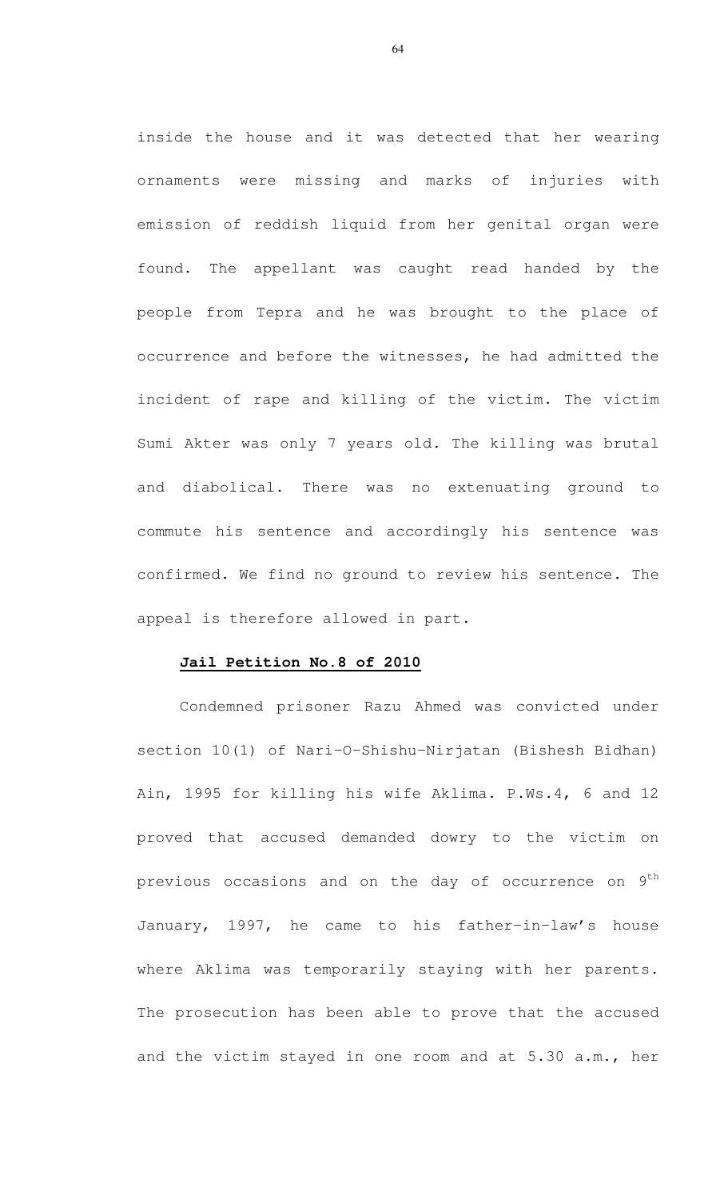inside the house and it was detected that her wearing ornaments were missing and marks of injuries with emission of reddish liquid from her genital organ were found. The appellant was caught read handed by the people from Tepra and he was brought to the place of occurrence and before the witnesses, he had admitted the incident of rape and killing of the victim. The victim Sumi Akter was only 7 years old. The killing was brutal and diabolical. There was no extenuating ground to commute his sentence and accordingly his sentence was confirmed. We find no ground to review his sentence. The appeal is therefore allowed in part.

# **Jail Petition No.8 of 2010**

Condemned prisoner Razu Ahmed was convicted under section 10(1) of Nari-O-Shishu-Nirjatan (Bishesh Bidhan) Ain, 1995 for killing his wife Aklima. P.Ws.4, 6 and 12 proved that accused demanded dowry to the victim on previous occasions and on the day of occurrence on  $9^{\text{th}}$ January, 1997, he came to his father-in-law's house where Aklima was temporarily staying with her parents. The prosecution has been able to prove that the accused and the victim stayed in one room and at 5.30 a.m., her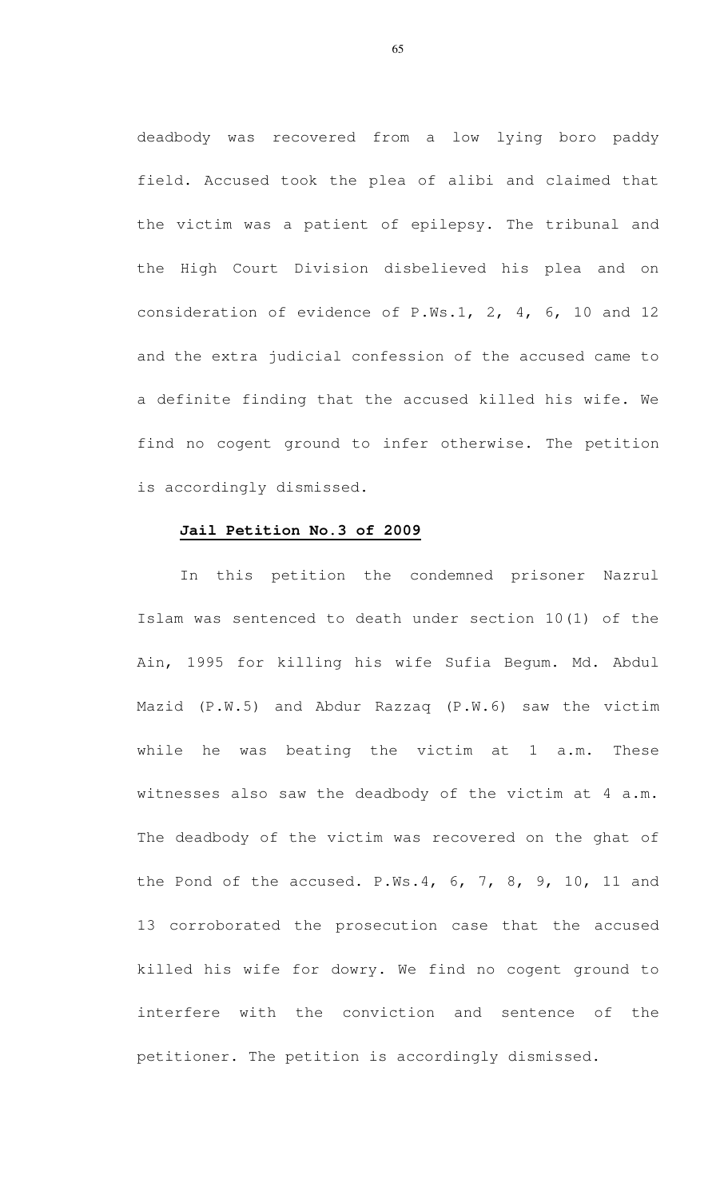deadbody was recovered from a low lying boro paddy field. Accused took the plea of alibi and claimed that the victim was a patient of epilepsy. The tribunal and the High Court Division disbelieved his plea and on consideration of evidence of P.Ws.1, 2, 4, 6, 10 and 12 and the extra judicial confession of the accused came to a definite finding that the accused killed his wife. We find no cogent ground to infer otherwise. The petition is accordingly dismissed.

# **Jail Petition No.3 of 2009**

In this petition the condemned prisoner Nazrul Islam was sentenced to death under section 10(1) of the Ain, 1995 for killing his wife Sufia Begum. Md. Abdul Mazid (P.W.5) and Abdur Razzaq (P.W.6) saw the victim while he was beating the victim at 1 a.m. These witnesses also saw the deadbody of the victim at 4 a.m. The deadbody of the victim was recovered on the ghat of the Pond of the accused. P.Ws.4, 6, 7, 8, 9, 10, 11 and 13 corroborated the prosecution case that the accused killed his wife for dowry. We find no cogent ground to interfere with the conviction and sentence of the petitioner. The petition is accordingly dismissed.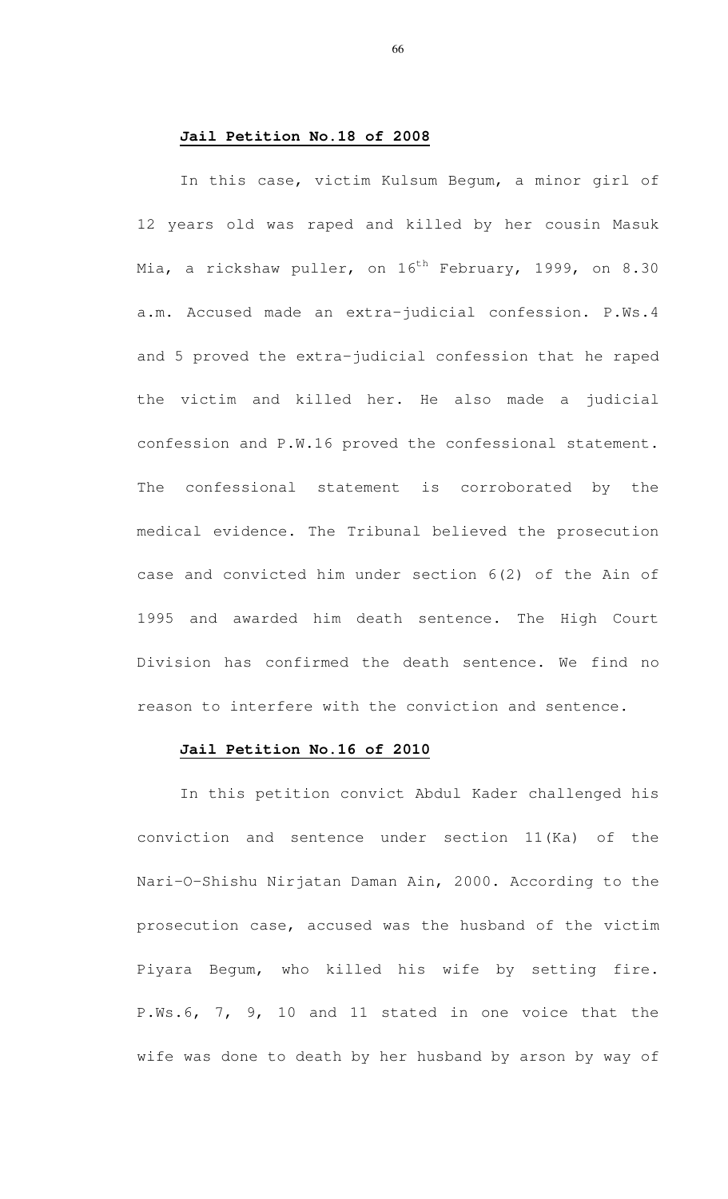# **Jail Petition No.18 of 2008**

In this case, victim Kulsum Begum, a minor girl of 12 years old was raped and killed by her cousin Masuk Mia, a rickshaw puller, on  $16^{th}$  February, 1999, on 8.30 a.m. Accused made an extra-judicial confession. P.Ws.4 and 5 proved the extra-judicial confession that he raped the victim and killed her. He also made a judicial confession and P.W.16 proved the confessional statement. The confessional statement is corroborated by the medical evidence. The Tribunal believed the prosecution case and convicted him under section 6(2) of the Ain of 1995 and awarded him death sentence. The High Court Division has confirmed the death sentence. We find no reason to interfere with the conviction and sentence.

#### **Jail Petition No.16 of 2010**

In this petition convict Abdul Kader challenged his conviction and sentence under section 11(Ka) of the Nari-O-Shishu Nirjatan Daman Ain, 2000. According to the prosecution case, accused was the husband of the victim Piyara Begum, who killed his wife by setting fire. P.Ws.6, 7, 9, 10 and 11 stated in one voice that the wife was done to death by her husband by arson by way of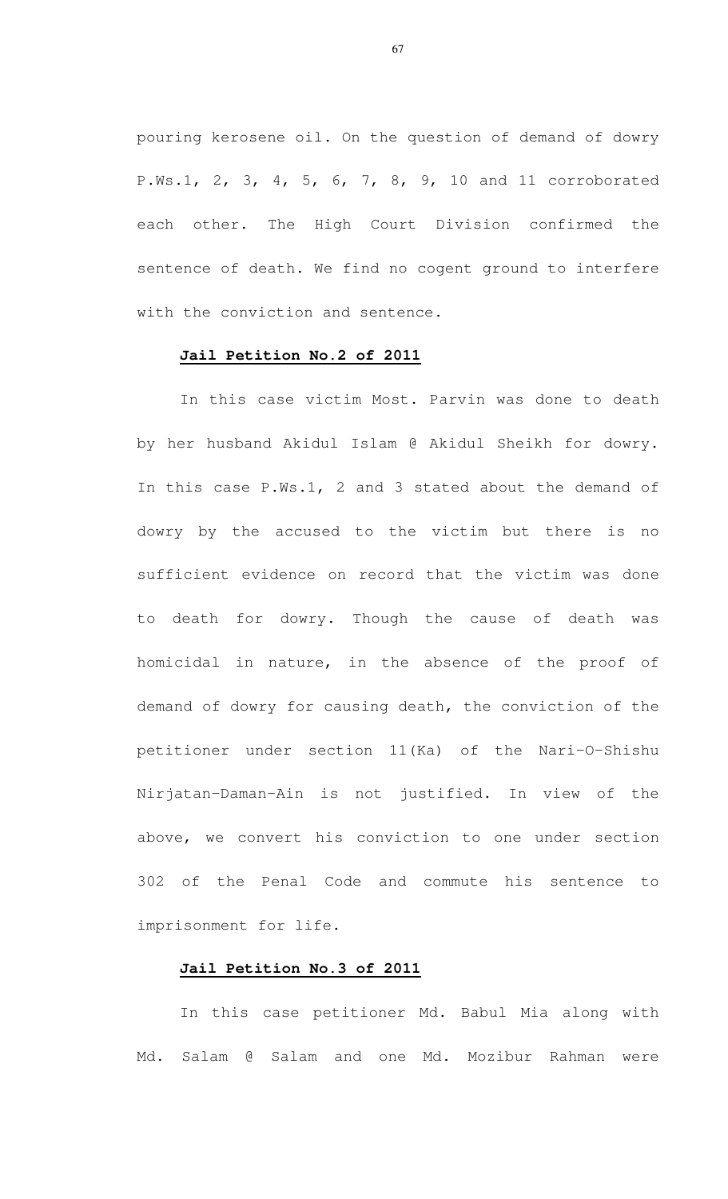pouring kerosene oil. On the question of demand of dowry P.Ws.1, 2, 3, 4, 5, 6, 7, 8, 9, 10 and 11 corroborated each other. The High Court Division confirmed the sentence of death. We find no cogent ground to interfere with the conviction and sentence.

# **Jail Petition No.2 of 2011**

In this case victim Most. Parvin was done to death by her husband Akidul Islam @ Akidul Sheikh for dowry. In this case P.Ws.1, 2 and 3 stated about the demand of dowry by the accused to the victim but there is no sufficient evidence on record that the victim was done to death for dowry. Though the cause of death was homicidal in nature, in the absence of the proof of demand of dowry for causing death, the conviction of the petitioner under section 11(Ka) of the Nari-O-Shishu Nirjatan-Daman-Ain is not justified. In view of the above, we convert his conviction to one under section 302 of the Penal Code and commute his sentence to imprisonment for life.

#### **Jail Petition No.3 of 2011**

In this case petitioner Md. Babul Mia along with Md. Salam @ Salam and one Md. Mozibur Rahman were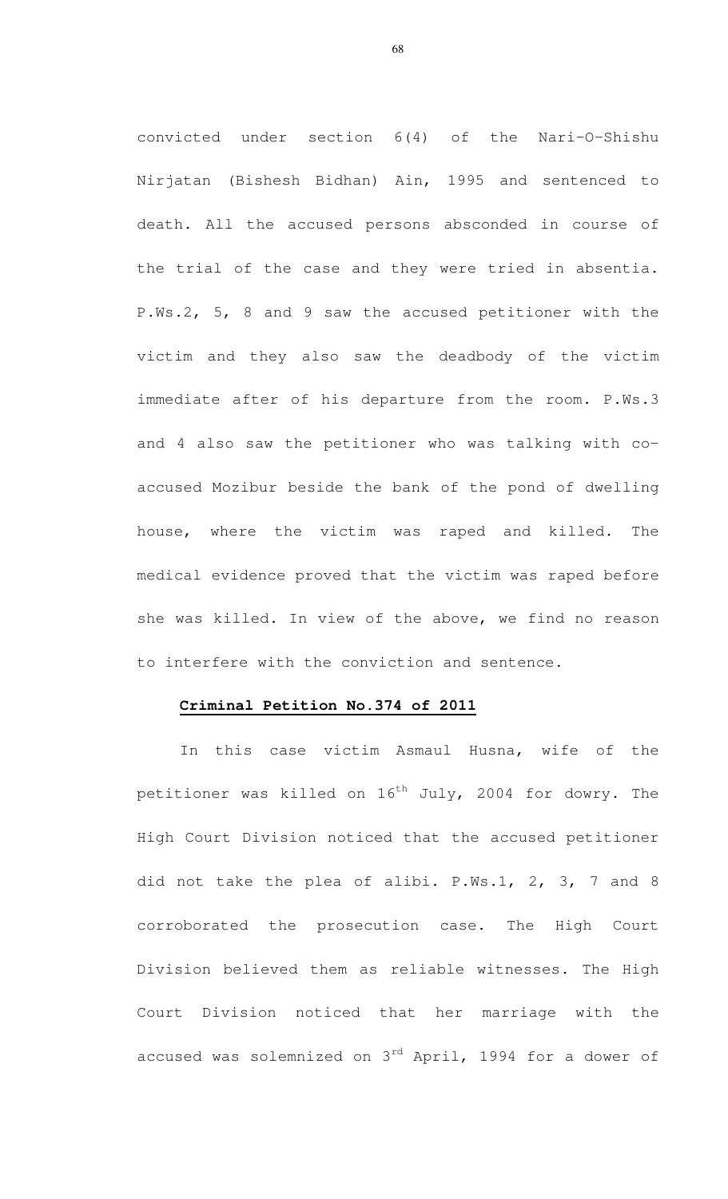convicted under section 6(4) of the Nari-O-Shishu Nirjatan (Bishesh Bidhan) Ain, 1995 and sentenced to death. All the accused persons absconded in course of the trial of the case and they were tried in absentia. P.Ws.2, 5, 8 and 9 saw the accused petitioner with the victim and they also saw the deadbody of the victim immediate after of his departure from the room. P.Ws.3 and 4 also saw the petitioner who was talking with coaccused Mozibur beside the bank of the pond of dwelling house, where the victim was raped and killed. The medical evidence proved that the victim was raped before she was killed. In view of the above, we find no reason to interfere with the conviction and sentence.

#### **Criminal Petition No.374 of 2011**

In this case victim Asmaul Husna, wife of the petitioner was killed on  $16^{th}$  July, 2004 for dowry. The High Court Division noticed that the accused petitioner did not take the plea of alibi. P.Ws.1, 2, 3, 7 and 8 corroborated the prosecution case. The High Court Division believed them as reliable witnesses. The High Court Division noticed that her marriage with the accused was solemnized on  $3^{rd}$  April, 1994 for a dower of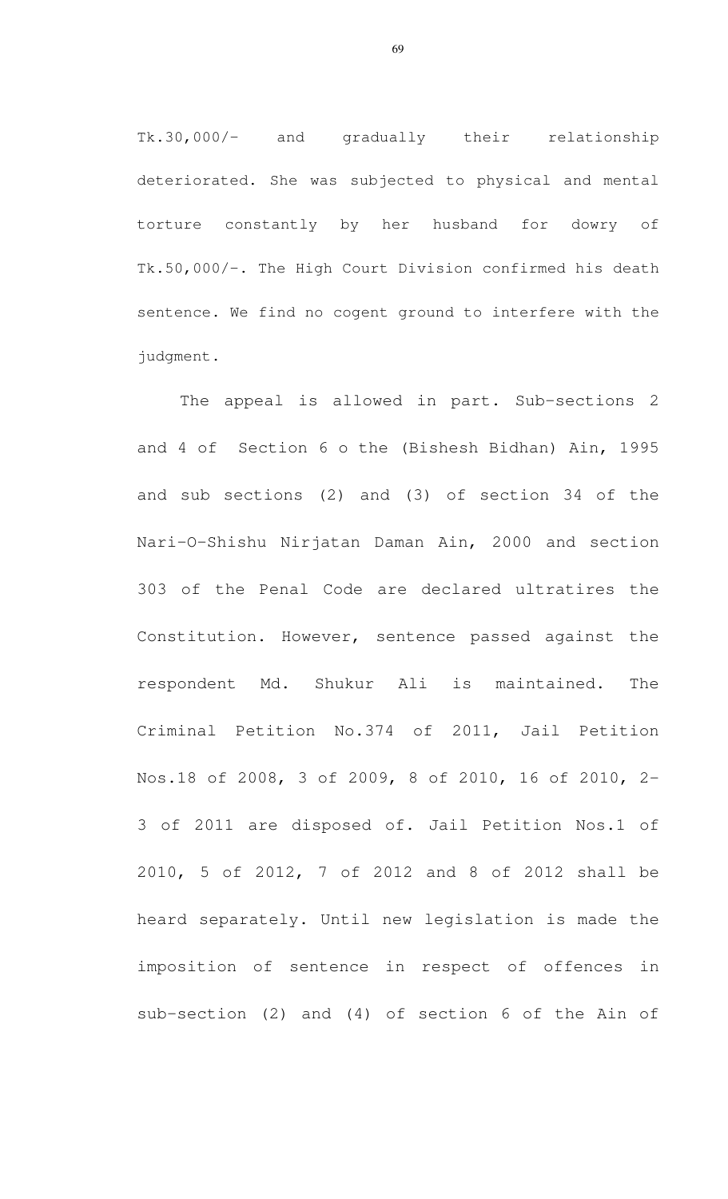Tk.30,000/- and gradually their relationship deteriorated. She was subjected to physical and mental torture constantly by her husband for dowry of Tk.50,000/-. The High Court Division confirmed his death sentence. We find no cogent ground to interfere with the judgment.

The appeal is allowed in part. Sub-sections 2 and 4 of Section 6 o the (Bishesh Bidhan) Ain, 1995 and sub sections (2) and (3) of section 34 of the Nari-O-Shishu Nirjatan Daman Ain, 2000 and section 303 of the Penal Code are declared ultratires the Constitution. However, sentence passed against the respondent Md. Shukur Ali is maintained. The Criminal Petition No.374 of 2011, Jail Petition Nos.18 of 2008, 3 of 2009, 8 of 2010, 16 of 2010, 2- 3 of 2011 are disposed of. Jail Petition Nos.1 of 2010, 5 of 2012, 7 of 2012 and 8 of 2012 shall be heard separately. Until new legislation is made the imposition of sentence in respect of offences in sub-section (2) and (4) of section 6 of the Ain of